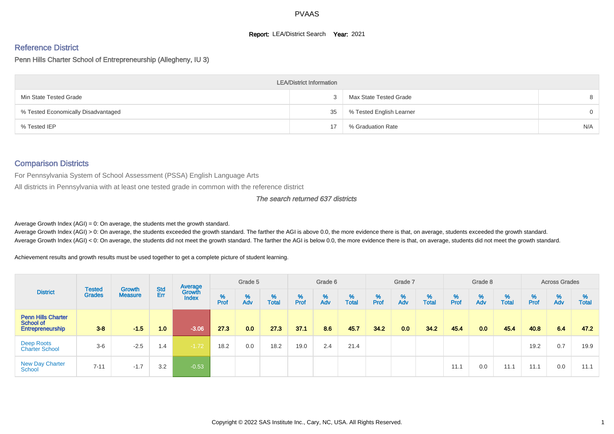### **Report: LEA/District Search Year: 2021**

# Reference District

Penn Hills Charter School of Entrepreneurship (Allegheny, IU 3)

|                                     | <b>LEA/District Information</b> |                          |          |
|-------------------------------------|---------------------------------|--------------------------|----------|
| Min State Tested Grade              |                                 | Max State Tested Grade   |          |
| % Tested Economically Disadvantaged | 35                              | % Tested English Learner | $\Omega$ |
| % Tested IEP                        |                                 | % Graduation Rate        | N/A      |

## Comparison Districts

For Pennsylvania System of School Assessment (PSSA) English Language Arts

All districts in Pennsylvania with at least one tested grade in common with the reference district

#### The search returned 637 districts

Average Growth Index  $(AGI) = 0$ : On average, the students met the growth standard.

Average Growth Index (AGI) > 0: On average, the students exceeded the growth standard. The farther the AGI is above 0.0, the more evidence there is that, on average, students exceeded the growth standard. Average Growth Index (AGI) < 0: On average, the students did not meet the growth standard. The farther the AGI is below 0.0, the more evidence there is that, on average, students did not meet the growth standard.

Achievement results and growth results must be used together to get a complete picture of student learning.

| <b>District</b>                                            |                                |                          |            | Average                |           | Grade 5  |                   |           | Grade 6  |                   |           | Grade 7  |                   |           | Grade 8  |                   |           | <b>Across Grades</b> |                   |
|------------------------------------------------------------|--------------------------------|--------------------------|------------|------------------------|-----------|----------|-------------------|-----------|----------|-------------------|-----------|----------|-------------------|-----------|----------|-------------------|-----------|----------------------|-------------------|
|                                                            | <b>Tested</b><br><b>Grades</b> | Growth<br><b>Measure</b> | Std<br>Err | Growth<br><b>Index</b> | %<br>Prof | %<br>Adv | %<br><b>Total</b> | %<br>Prof | %<br>Adv | %<br><b>Total</b> | %<br>Prof | %<br>Adv | %<br><b>Total</b> | %<br>Prof | %<br>Adv | %<br><b>Total</b> | %<br>Prof | %<br>Adv             | %<br><b>Total</b> |
| <b>Penn Hills Charter</b><br>School of<br>Entrepreneurship | $3 - 8$                        | $-1.5$                   | 1.0        | $-3.06$                | 27.3      | 0.0      | 27.3              | 37.1      | 8.6      | 45.7              | 34.2      | 0.0      | 34.2              | 45.4      | 0.0      | 45.4              | 40.8      | 6.4                  | 47.2              |
| Deep Roots<br><b>Charter School</b>                        | $3-6$                          | $-2.5$                   | 1.4        | $-1.72$                | 18.2      | 0.0      | 18.2              | 19.0      | 2.4      | 21.4              |           |          |                   |           |          |                   | 19.2      | 0.7                  | 19.9              |
| <b>New Day Charter</b><br>School                           | $7 - 11$                       | $-1.7$                   | 3.2        | $-0.53$                |           |          |                   |           |          |                   |           |          |                   | 11.1      | 0.0      | 11.1              | 11.1      | 0.0                  | 11.1              |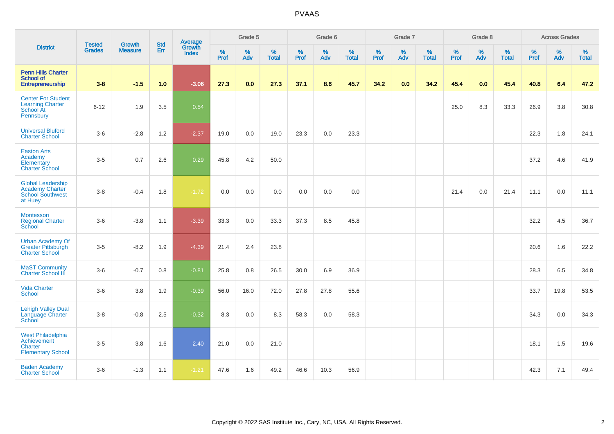|                                                                                          | <b>Tested</b> | <b>Growth</b>  | <b>Std</b> | Average                |              | Grade 5  |                   |              | Grade 6  |                   |              | Grade 7  |                   |              | Grade 8  |                   |              | <b>Across Grades</b> |               |
|------------------------------------------------------------------------------------------|---------------|----------------|------------|------------------------|--------------|----------|-------------------|--------------|----------|-------------------|--------------|----------|-------------------|--------------|----------|-------------------|--------------|----------------------|---------------|
| <b>District</b>                                                                          | <b>Grades</b> | <b>Measure</b> | <b>Err</b> | Growth<br><b>Index</b> | $\%$<br>Prof | %<br>Adv | %<br><b>Total</b> | $\%$<br>Prof | %<br>Adv | %<br><b>Total</b> | $\%$<br>Prof | %<br>Adv | %<br><b>Total</b> | $\%$<br>Prof | %<br>Adv | %<br><b>Total</b> | $\%$<br>Prof | $\%$<br>Adv          | $\%$<br>Total |
| <b>Penn Hills Charter</b><br>School of<br>Entrepreneurship                               | $3 - 8$       | $-1.5$         | 1.0        | $-3.06$                | 27.3         | 0.0      | 27.3              | 37.1         | 8.6      | 45.7              | 34.2         | 0.0      | 34.2              | 45.4         | 0.0      | 45.4              | 40.8         | 6.4                  | 47.2          |
| <b>Center For Student</b><br><b>Learning Charter</b><br>School At<br>Pennsbury           | $6 - 12$      | 1.9            | 3.5        | 0.54                   |              |          |                   |              |          |                   |              |          |                   | 25.0         | 8.3      | 33.3              | 26.9         | 3.8                  | 30.8          |
| <b>Universal Bluford</b><br><b>Charter School</b>                                        | $3-6$         | $-2.8$         | 1.2        | $-2.37$                | 19.0         | 0.0      | 19.0              | 23.3         | 0.0      | 23.3              |              |          |                   |              |          |                   | 22.3         | 1.8                  | 24.1          |
| <b>Easton Arts</b><br>Academy<br>Elementary<br><b>Charter School</b>                     | $3-5$         | 0.7            | 2.6        | 0.29                   | 45.8         | 4.2      | 50.0              |              |          |                   |              |          |                   |              |          |                   | 37.2         | 4.6                  | 41.9          |
| <b>Global Leadership</b><br><b>Academy Charter</b><br><b>School Southwest</b><br>at Huey | $3-8$         | $-0.4$         | 1.8        | $-1.72$                | 0.0          | 0.0      | 0.0               | 0.0          | 0.0      | 0.0               |              |          |                   | 21.4         | 0.0      | 21.4              | 11.1         | 0.0                  | 11.1          |
| <b>Montessori</b><br><b>Regional Charter</b><br>School                                   | $3-6$         | $-3.8$         | 1.1        | $-3.39$                | 33.3         | 0.0      | 33.3              | 37.3         | 8.5      | 45.8              |              |          |                   |              |          |                   | 32.2         | 4.5                  | 36.7          |
| <b>Urban Academy Of</b><br><b>Greater Pittsburgh</b><br><b>Charter School</b>            | $3-5$         | $-8.2$         | 1.9        | $-4.39$                | 21.4         | 2.4      | 23.8              |              |          |                   |              |          |                   |              |          |                   | 20.6         | 1.6                  | 22.2          |
| <b>MaST Community</b><br><b>Charter School III</b>                                       | $3-6$         | $-0.7$         | $0.8\,$    | $-0.81$                | 25.8         | $0.8\,$  | 26.5              | 30.0         | 6.9      | 36.9              |              |          |                   |              |          |                   | 28.3         | 6.5                  | 34.8          |
| <b>Vida Charter</b><br>School                                                            | $3-6$         | 3.8            | 1.9        | $-0.39$                | 56.0         | 16.0     | 72.0              | 27.8         | 27.8     | 55.6              |              |          |                   |              |          |                   | 33.7         | 19.8                 | 53.5          |
| <b>Lehigh Valley Dual</b><br>Language Charter<br>School                                  | $3-8$         | $-0.8$         | 2.5        | $-0.32$                | 8.3          | 0.0      | 8.3               | 58.3         | 0.0      | 58.3              |              |          |                   |              |          |                   | 34.3         | 0.0                  | 34.3          |
| <b>West Philadelphia</b><br>Achievement<br>Charter<br><b>Elementary School</b>           | $3-5$         | 3.8            | 1.6        | 2.40                   | 21.0         | 0.0      | 21.0              |              |          |                   |              |          |                   |              |          |                   | 18.1         | 1.5                  | 19.6          |
| <b>Baden Academy</b><br><b>Charter School</b>                                            | $3-6$         | $-1.3$         | 1.1        | $-1.21$                | 47.6         | 1.6      | 49.2              | 46.6         | 10.3     | 56.9              |              |          |                   |              |          |                   | 42.3         | 7.1                  | 49.4          |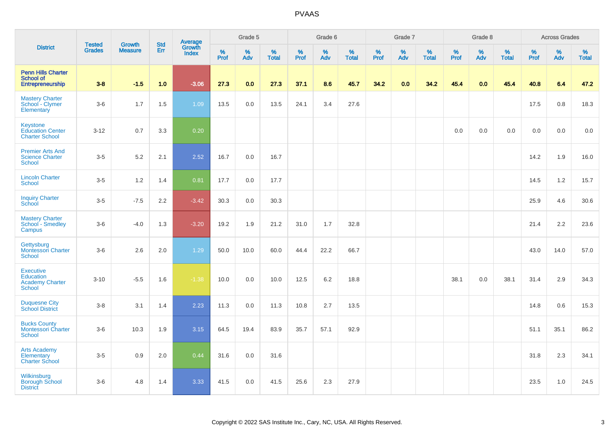|                                                                          |                                |                                 |                   | Average                |          | Grade 5  |                   |          | Grade 6  |                   |           | Grade 7  |                   |           | Grade 8  |                   |           | <b>Across Grades</b> |                   |
|--------------------------------------------------------------------------|--------------------------------|---------------------------------|-------------------|------------------------|----------|----------|-------------------|----------|----------|-------------------|-----------|----------|-------------------|-----------|----------|-------------------|-----------|----------------------|-------------------|
| <b>District</b>                                                          | <b>Tested</b><br><b>Grades</b> | <b>Growth</b><br><b>Measure</b> | <b>Std</b><br>Err | Growth<br><b>Index</b> | $%$ Prof | %<br>Adv | %<br><b>Total</b> | $%$ Prof | %<br>Adv | %<br><b>Total</b> | %<br>Prof | %<br>Adv | %<br><b>Total</b> | %<br>Prof | %<br>Adv | %<br><b>Total</b> | %<br>Prof | %<br>Adv             | %<br><b>Total</b> |
| <b>Penn Hills Charter</b><br><b>School of</b><br>Entrepreneurship        | $3 - 8$                        | $-1.5$                          | 1.0               | $-3.06$                | 27.3     | 0.0      | 27.3              | 37.1     | 8.6      | 45.7              | 34.2      | 0.0      | 34.2              | 45.4      | 0.0      | 45.4              | 40.8      | 6.4                  | 47.2              |
| <b>Mastery Charter</b><br>School - Clymer<br>Elementary                  | $3-6$                          | 1.7                             | 1.5               | 1.09                   | 13.5     | 0.0      | 13.5              | 24.1     | 3.4      | 27.6              |           |          |                   |           |          |                   | 17.5      | 0.8                  | 18.3              |
| Keystone<br><b>Education Center</b><br><b>Charter School</b>             | $3 - 12$                       | 0.7                             | 3.3               | 0.20                   |          |          |                   |          |          |                   |           |          |                   | 0.0       | 0.0      | 0.0               | 0.0       | 0.0                  | 0.0               |
| <b>Premier Arts And</b><br><b>Science Charter</b><br>School              | $3 - 5$                        | 5.2                             | 2.1               | 2.52                   | 16.7     | 0.0      | 16.7              |          |          |                   |           |          |                   |           |          |                   | 14.2      | 1.9                  | 16.0              |
| <b>Lincoln Charter</b><br><b>School</b>                                  | $3-5$                          | 1.2                             | 1.4               | 0.81                   | 17.7     | 0.0      | 17.7              |          |          |                   |           |          |                   |           |          |                   | 14.5      | 1.2                  | 15.7              |
| <b>Inquiry Charter</b><br>School                                         | $3-5$                          | $-7.5$                          | 2.2               | $-3.42$                | 30.3     | 0.0      | 30.3              |          |          |                   |           |          |                   |           |          |                   | 25.9      | 4.6                  | 30.6              |
| <b>Mastery Charter</b><br>School - Smedley<br>Campus                     | $3-6$                          | $-4.0$                          | 1.3               | $-3.20$                | 19.2     | 1.9      | 21.2              | 31.0     | 1.7      | 32.8              |           |          |                   |           |          |                   | 21.4      | 2.2                  | 23.6              |
| Gettysburg<br><b>Montessori Charter</b><br><b>School</b>                 | $3-6$                          | 2.6                             | 2.0               | 1.29                   | 50.0     | 10.0     | 60.0              | 44.4     | 22.2     | 66.7              |           |          |                   |           |          |                   | 43.0      | 14.0                 | 57.0              |
| <b>Executive</b><br>Education<br><b>Academy Charter</b><br><b>School</b> | $3 - 10$                       | $-5.5$                          | 1.6               | $-1.38$                | 10.0     | 0.0      | 10.0              | 12.5     | 6.2      | 18.8              |           |          |                   | 38.1      | 0.0      | 38.1              | 31.4      | 2.9                  | 34.3              |
| <b>Duquesne City</b><br><b>School District</b>                           | $3-8$                          | 3.1                             | 1.4               | 2.23                   | 11.3     | 0.0      | 11.3              | 10.8     | 2.7      | 13.5              |           |          |                   |           |          |                   | 14.8      | 0.6                  | 15.3              |
| <b>Bucks County</b><br>Montessori Charter<br>School                      | $3-6$                          | 10.3                            | 1.9               | 3.15                   | 64.5     | 19.4     | 83.9              | 35.7     | 57.1     | 92.9              |           |          |                   |           |          |                   | 51.1      | 35.1                 | 86.2              |
| <b>Arts Academy</b><br>Elementary<br><b>Charter School</b>               | $3-5$                          | 0.9                             | 2.0               | 0.44                   | 31.6     | 0.0      | 31.6              |          |          |                   |           |          |                   |           |          |                   | 31.8      | 2.3                  | 34.1              |
| Wilkinsburg<br><b>Borough School</b><br><b>District</b>                  | $3-6$                          | 4.8                             | 1.4               | 3.33                   | 41.5     | 0.0      | 41.5              | 25.6     | 2.3      | 27.9              |           |          |                   |           |          |                   | 23.5      | 1.0                  | 24.5              |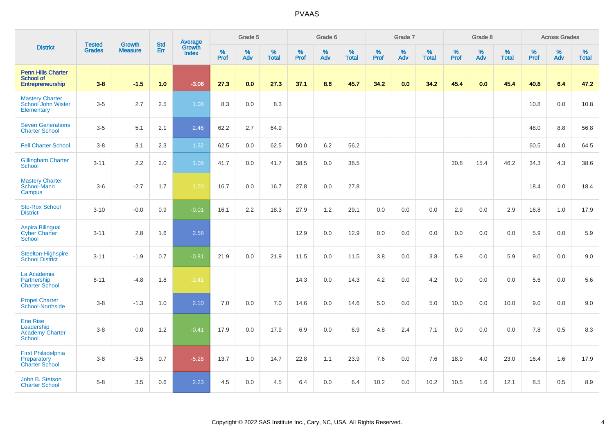|                                                                           | <b>Tested</b> | <b>Growth</b>  | <b>Std</b> | Average                |           | Grade 5  |                   |           | Grade 6  |                   |           | Grade 7  |                   |           | Grade 8  |                   |           | <b>Across Grades</b> |                   |
|---------------------------------------------------------------------------|---------------|----------------|------------|------------------------|-----------|----------|-------------------|-----------|----------|-------------------|-----------|----------|-------------------|-----------|----------|-------------------|-----------|----------------------|-------------------|
| <b>District</b>                                                           | <b>Grades</b> | <b>Measure</b> | Err        | Growth<br><b>Index</b> | %<br>Prof | %<br>Adv | %<br><b>Total</b> | %<br>Prof | %<br>Adv | %<br><b>Total</b> | %<br>Prof | %<br>Adv | %<br><b>Total</b> | %<br>Prof | %<br>Adv | %<br><b>Total</b> | %<br>Prof | %<br>Adv             | %<br><b>Total</b> |
| <b>Penn Hills Charter</b><br><b>School of</b><br>Entrepreneurship         | $3 - 8$       | $-1.5$         | 1.0        | $-3.06$                | 27.3      | 0.0      | 27.3              | 37.1      | 8.6      | 45.7              | 34.2      | 0.0      | 34.2              | 45.4      | 0.0      | 45.4              | 40.8      | 6.4                  | 47.2              |
| <b>Mastery Charter</b><br>School John Wister<br>Elementary                | $3-5$         | 2.7            | 2.5        | 1.08                   | 8.3       | 0.0      | 8.3               |           |          |                   |           |          |                   |           |          |                   | 10.8      | 0.0                  | 10.8              |
| <b>Seven Generations</b><br><b>Charter School</b>                         | $3-5$         | 5.1            | 2.1        | 2.46                   | 62.2      | 2.7      | 64.9              |           |          |                   |           |          |                   |           |          |                   | 48.0      | 8.8                  | 56.8              |
| <b>Fell Charter School</b>                                                | $3-8$         | 3.1            | 2.3        | 1.32                   | 62.5      | 0.0      | 62.5              | 50.0      | 6.2      | 56.2              |           |          |                   |           |          |                   | 60.5      | 4.0                  | 64.5              |
| <b>Gillingham Charter</b><br>School                                       | $3 - 11$      | 2.2            | 2.0        | 1.08                   | 41.7      | 0.0      | 41.7              | 38.5      | 0.0      | 38.5              |           |          |                   | 30.8      | 15.4     | 46.2              | 34.3      | 4.3                  | 38.6              |
| <b>Mastery Charter</b><br>School-Mann<br>Campus                           | $3-6$         | $-2.7$         | 1.7        | $-1.60$                | 16.7      | 0.0      | 16.7              | 27.8      | 0.0      | 27.8              |           |          |                   |           |          |                   | 18.4      | 0.0                  | 18.4              |
| <b>Sto-Rox School</b><br><b>District</b>                                  | $3 - 10$      | $-0.0$         | 0.9        | $-0.01$                | 16.1      | 2.2      | 18.3              | 27.9      | 1.2      | 29.1              | 0.0       | 0.0      | 0.0               | 2.9       | 0.0      | 2.9               | 16.8      | 1.0                  | 17.9              |
| <b>Aspira Bilingual</b><br><b>Cyber Charter</b><br>School                 | $3 - 11$      | 2.8            | 1.6        | 2.58                   |           |          |                   | 12.9      | 0.0      | 12.9              | 0.0       | 0.0      | 0.0               | 0.0       | 0.0      | 0.0               | 5.9       | $0.0\,$              | 5.9               |
| Steelton-Highspire<br><b>School District</b>                              | $3 - 11$      | $-1.9$         | 0.7        | $-0.81$                | 21.9      | 0.0      | 21.9              | 11.5      | 0.0      | 11.5              | 3.8       | 0.0      | 3.8               | 5.9       | 0.0      | 5.9               | 9.0       | 0.0                  | 9.0               |
| La Academia<br>Partnership<br><b>Charter School</b>                       | $6 - 11$      | $-4.8$         | 1.8        | $-1.41$                |           |          |                   | 14.3      | 0.0      | 14.3              | 4.2       | 0.0      | 4.2               | 0.0       | 0.0      | 0.0               | 5.6       | 0.0                  | 5.6               |
| <b>Propel Charter</b><br>School-Northside                                 | $3-8$         | $-1.3$         | 1.0        | 2.10                   | 7.0       | 0.0      | 7.0               | 14.6      | 0.0      | 14.6              | 5.0       | 0.0      | 5.0               | 10.0      | 0.0      | 10.0              | 9.0       | 0.0                  | 9.0               |
| <b>Erie Rise</b><br>Leadership<br><b>Academy Charter</b><br><b>School</b> | $3-8$         | 0.0            | 1.2        | $-0.41$                | 17.9      | 0.0      | 17.9              | 6.9       | 0.0      | 6.9               | 4.8       | 2.4      | 7.1               | $0.0\,$   | 0.0      | 0.0               | 7.8       | 0.5                  | 8.3               |
| <b>First Philadelphia</b><br>Preparatory<br><b>Charter School</b>         | $3-8$         | $-3.5$         | 0.7        | $-5.28$                | 13.7      | 1.0      | 14.7              | 22.8      | 1.1      | 23.9              | 7.6       | 0.0      | 7.6               | 18.9      | 4.0      | 23.0              | 16.4      | 1.6                  | 17.9              |
| John B. Stetson<br><b>Charter School</b>                                  | $5-8$         | 3.5            | 0.6        | 2.23                   | 4.5       | 0.0      | 4.5               | 6.4       | 0.0      | 6.4               | 10.2      | 0.0      | 10.2              | 10.5      | 1.6      | 12.1              | 8.5       | 0.5                  | 8.9               |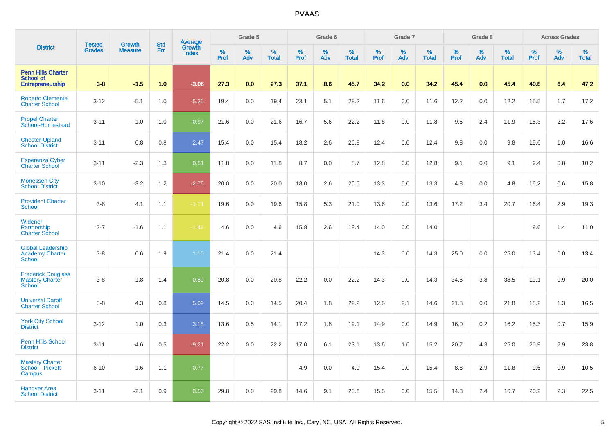|                                                                          | <b>Tested</b> | <b>Growth</b>  | <b>Std</b> | <b>Average</b><br>Growth |                     | Grade 5  |                   |           | Grade 6  |                   |           | Grade 7  |                   |                  | Grade 8  |                   |           | <b>Across Grades</b> |                   |
|--------------------------------------------------------------------------|---------------|----------------|------------|--------------------------|---------------------|----------|-------------------|-----------|----------|-------------------|-----------|----------|-------------------|------------------|----------|-------------------|-----------|----------------------|-------------------|
| <b>District</b>                                                          | <b>Grades</b> | <b>Measure</b> | Err        | <b>Index</b>             | $\%$<br><b>Prof</b> | %<br>Adv | %<br><b>Total</b> | %<br>Prof | %<br>Adv | %<br><b>Total</b> | %<br>Prof | %<br>Adv | %<br><b>Total</b> | %<br><b>Prof</b> | %<br>Adv | %<br><b>Total</b> | %<br>Prof | %<br>Adv             | %<br><b>Total</b> |
| <b>Penn Hills Charter</b><br><b>School of</b><br><b>Entrepreneurship</b> | $3 - 8$       | $-1.5$         | 1.0        | $-3.06$                  | 27.3                | 0.0      | 27.3              | 37.1      | 8.6      | 45.7              | 34.2      | 0.0      | 34.2              | 45.4             | 0.0      | 45.4              | 40.8      | 6.4                  | 47.2              |
| <b>Roberto Clemente</b><br><b>Charter School</b>                         | $3 - 12$      | $-5.1$         | 1.0        | $-5.25$                  | 19.4                | 0.0      | 19.4              | 23.1      | 5.1      | 28.2              | 11.6      | 0.0      | 11.6              | 12.2             | 0.0      | 12.2              | 15.5      | 1.7                  | 17.2              |
| <b>Propel Charter</b><br>School-Homestead                                | $3 - 11$      | $-1.0$         | 1.0        | $-0.97$                  | 21.6                | 0.0      | 21.6              | 16.7      | 5.6      | 22.2              | 11.8      | 0.0      | 11.8              | 9.5              | 2.4      | 11.9              | 15.3      | 2.2                  | 17.6              |
| <b>Chester-Upland</b><br><b>School District</b>                          | $3 - 11$      | 0.8            | 0.8        | 2.47                     | 15.4                | 0.0      | 15.4              | 18.2      | 2.6      | 20.8              | 12.4      | 0.0      | 12.4              | 9.8              | 0.0      | 9.8               | 15.6      | 1.0                  | 16.6              |
| <b>Esperanza Cyber</b><br>Charter School                                 | $3 - 11$      | $-2.3$         | 1.3        | 0.51                     | 11.8                | 0.0      | 11.8              | 8.7       | 0.0      | 8.7               | 12.8      | 0.0      | 12.8              | 9.1              | 0.0      | 9.1               | 9.4       | 0.8                  | 10.2              |
| <b>Monessen City</b><br><b>School District</b>                           | $3 - 10$      | $-3.2$         | 1.2        | $-2.75$                  | 20.0                | 0.0      | 20.0              | 18.0      | 2.6      | 20.5              | 13.3      | 0.0      | 13.3              | 4.8              | 0.0      | 4.8               | 15.2      | 0.6                  | 15.8              |
| <b>Provident Charter</b><br><b>School</b>                                | $3 - 8$       | 4.1            | 1.1        | $-1.11$                  | 19.6                | 0.0      | 19.6              | 15.8      | 5.3      | 21.0              | 13.6      | 0.0      | 13.6              | 17.2             | 3.4      | 20.7              | 16.4      | 2.9                  | 19.3              |
| Widener<br>Partnership<br><b>Charter School</b>                          | $3 - 7$       | $-1.6$         | 1.1        | $-1.43$                  | 4.6                 | 0.0      | 4.6               | 15.8      | 2.6      | 18.4              | 14.0      | 0.0      | 14.0              |                  |          |                   | 9.6       | 1.4                  | 11.0              |
| <b>Global Leadership</b><br><b>Academy Charter</b><br><b>School</b>      | $3 - 8$       | 0.6            | 1.9        | 1.10                     | 21.4                | 0.0      | 21.4              |           |          |                   | 14.3      | 0.0      | 14.3              | 25.0             | 0.0      | 25.0              | 13.4      | 0.0                  | 13.4              |
| <b>Frederick Douglass</b><br><b>Mastery Charter</b><br>School            | $3-8$         | 1.8            | 1.4        | 0.89                     | 20.8                | 0.0      | 20.8              | 22.2      | 0.0      | 22.2              | 14.3      | 0.0      | 14.3              | 34.6             | 3.8      | 38.5              | 19.1      | 0.9                  | 20.0              |
| <b>Universal Daroff</b><br><b>Charter School</b>                         | $3 - 8$       | 4.3            | 0.8        | 5.09                     | 14.5                | 0.0      | 14.5              | 20.4      | 1.8      | 22.2              | 12.5      | 2.1      | 14.6              | 21.8             | 0.0      | 21.8              | 15.2      | 1.3                  | 16.5              |
| <b>York City School</b><br><b>District</b>                               | $3 - 12$      | 1.0            | 0.3        | 3.18                     | 13.6                | 0.5      | 14.1              | 17.2      | 1.8      | 19.1              | 14.9      | 0.0      | 14.9              | 16.0             | 0.2      | 16.2              | 15.3      | 0.7                  | 15.9              |
| <b>Penn Hills School</b><br><b>District</b>                              | $3 - 11$      | $-4.6$         | 0.5        | $-9.21$                  | 22.2                | 0.0      | 22.2              | 17.0      | 6.1      | 23.1              | 13.6      | 1.6      | 15.2              | 20.7             | 4.3      | 25.0              | 20.9      | 2.9                  | 23.8              |
| <b>Mastery Charter</b><br>School - Pickett<br>Campus                     | $6 - 10$      | 1.6            | 1.1        | 0.77                     |                     |          |                   | 4.9       | 0.0      | 4.9               | 15.4      | 0.0      | 15.4              | 8.8              | 2.9      | 11.8              | 9.6       | 0.9                  | 10.5              |
| <b>Hanover Area</b><br><b>School District</b>                            | $3 - 11$      | $-2.1$         | 0.9        | 0.50                     | 29.8                | 0.0      | 29.8              | 14.6      | 9.1      | 23.6              | 15.5      | 0.0      | 15.5              | 14.3             | 2.4      | 16.7              | 20.2      | 2.3                  | 22.5              |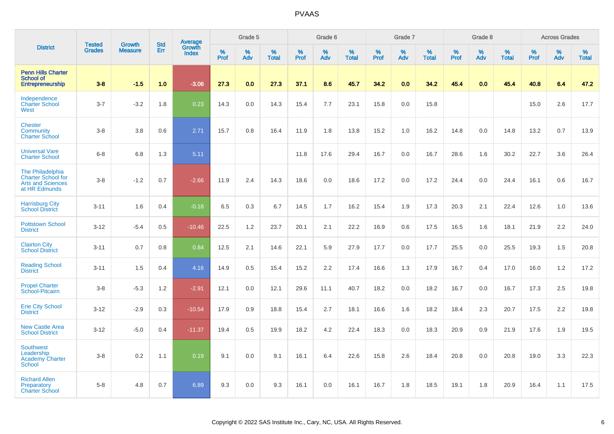|                                                                                            |                                |                          | <b>Std</b> | Average                |                     | Grade 5     |                      |                  | Grade 6  |                   |              | Grade 7  |                   |              | Grade 8  |                   |              | <b>Across Grades</b> |                   |
|--------------------------------------------------------------------------------------------|--------------------------------|--------------------------|------------|------------------------|---------------------|-------------|----------------------|------------------|----------|-------------------|--------------|----------|-------------------|--------------|----------|-------------------|--------------|----------------------|-------------------|
| <b>District</b>                                                                            | <b>Tested</b><br><b>Grades</b> | Growth<br><b>Measure</b> | Err        | Growth<br><b>Index</b> | $\%$<br><b>Prof</b> | $\%$<br>Adv | $\%$<br><b>Total</b> | %<br><b>Prof</b> | %<br>Adv | %<br><b>Total</b> | $\%$<br>Prof | %<br>Adv | %<br><b>Total</b> | $\%$<br>Prof | %<br>Adv | %<br><b>Total</b> | $\%$<br>Prof | $\%$<br>Adv          | %<br><b>Total</b> |
| <b>Penn Hills Charter</b><br><b>School of</b><br><b>Entrepreneurship</b>                   | $3-8$                          | $-1.5$                   | 1.0        | $-3.06$                | 27.3                | 0.0         | 27.3                 | 37.1             | 8.6      | 45.7              | 34.2         | 0.0      | 34.2              | 45.4         | 0.0      | 45.4              | 40.8         | 6.4                  | 47.2              |
| Independence<br><b>Charter School</b><br>West                                              | $3 - 7$                        | $-3.2$                   | 1.8        | 0.23                   | 14.3                | 0.0         | 14.3                 | 15.4             | 7.7      | 23.1              | 15.8         | 0.0      | 15.8              |              |          |                   | 15.0         | 2.6                  | 17.7              |
| <b>Chester</b><br>Community<br><b>Charter School</b>                                       | $3 - 8$                        | 3.8                      | 0.6        | 2.71                   | 15.7                | 0.8         | 16.4                 | 11.9             | 1.8      | 13.8              | 15.2         | 1.0      | 16.2              | 14.8         | 0.0      | 14.8              | 13.2         | 0.7                  | 13.9              |
| <b>Universal Vare</b><br><b>Charter School</b>                                             | $6 - 8$                        | 6.8                      | 1.3        | 5.11                   |                     |             |                      | 11.8             | 17.6     | 29.4              | 16.7         | 0.0      | 16.7              | 28.6         | 1.6      | 30.2              | 22.7         | 3.6                  | 26.4              |
| The Philadelphia<br><b>Charter School for</b><br><b>Arts and Sciences</b><br>at HR Edmunds | $3 - 8$                        | $-1.2$                   | 0.7        | $-2.66$                | 11.9                | 2.4         | 14.3                 | 18.6             | 0.0      | 18.6              | 17.2         | 0.0      | 17.2              | 24.4         | 0.0      | 24.4              | 16.1         | 0.6                  | 16.7              |
| <b>Harrisburg City</b><br><b>School District</b>                                           | $3 - 11$                       | 1.6                      | 0.4        | $-0.18$                | 6.5                 | 0.3         | 6.7                  | 14.5             | 1.7      | 16.2              | 15.4         | 1.9      | 17.3              | 20.3         | 2.1      | 22.4              | 12.6         | 1.0                  | 13.6              |
| <b>Pottstown School</b><br><b>District</b>                                                 | $3 - 12$                       | $-5.4$                   | 0.5        | $-10.46$               | 22.5                | 1.2         | 23.7                 | 20.1             | 2.1      | 22.2              | 16.9         | 0.6      | 17.5              | 16.5         | 1.6      | 18.1              | 21.9         | 2.2                  | 24.0              |
| <b>Clairton City</b><br><b>School District</b>                                             | $3 - 11$                       | 0.7                      | 0.8        | 0.84                   | 12.5                | 2.1         | 14.6                 | 22.1             | 5.9      | 27.9              | 17.7         | 0.0      | 17.7              | 25.5         | 0.0      | 25.5              | 19.3         | 1.5                  | 20.8              |
| <b>Reading School</b><br><b>District</b>                                                   | $3 - 11$                       | 1.5                      | 0.4        | 4.16                   | 14.9                | 0.5         | 15.4                 | 15.2             | 2.2      | 17.4              | 16.6         | 1.3      | 17.9              | 16.7         | 0.4      | 17.0              | 16.0         | 1.2                  | 17.2              |
| <b>Propel Charter</b><br><b>School-Pitcairn</b>                                            | $3-8$                          | $-5.3$                   | 1.2        | $-2.91$                | 12.1                | 0.0         | 12.1                 | 29.6             | 11.1     | 40.7              | 18.2         | 0.0      | 18.2              | 16.7         | 0.0      | 16.7              | 17.3         | 2.5                  | 19.8              |
| <b>Erie City School</b><br><b>District</b>                                                 | $3 - 12$                       | $-2.9$                   | 0.3        | $-10.54$               | 17.9                | 0.9         | 18.8                 | 15.4             | 2.7      | 18.1              | 16.6         | 1.6      | 18.2              | 18.4         | 2.3      | 20.7              | 17.5         | 2.2                  | 19.8              |
| <b>New Castle Area</b><br><b>School District</b>                                           | $3 - 12$                       | $-5.0$                   | 0.4        | $-11.37$               | 19.4                | 0.5         | 19.9                 | 18.2             | 4.2      | 22.4              | 18.3         | 0.0      | 18.3              | 20.9         | 0.9      | 21.9              | 17.6         | 1.9                  | 19.5              |
| <b>Southwest</b><br>Leadership<br><b>Academy Charter</b><br><b>School</b>                  | $3 - 8$                        | 0.2                      | 1.1        | 0.19                   | 9.1                 | 0.0         | 9.1                  | 16.1             | 6.4      | 22.6              | 15.8         | 2.6      | 18.4              | 20.8         | 0.0      | 20.8              | 19.0         | 3.3                  | 22.3              |
| <b>Richard Allen</b><br>Preparatory<br><b>Charter School</b>                               | $5 - 8$                        | 4.8                      | 0.7        | 6.89                   | 9.3                 | 0.0         | 9.3                  | 16.1             | 0.0      | 16.1              | 16.7         | 1.8      | 18.5              | 19.1         | 1.8      | 20.9              | 16.4         | 1.1                  | 17.5              |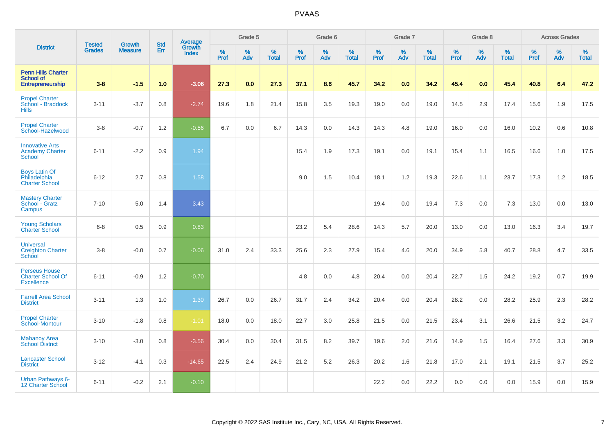|                                                                       |                                |                                 | <b>Std</b> | Average                |           | Grade 5  |                      |           | Grade 6  |                   |           | Grade 7  |                   |                  | Grade 8  |                   |                  | <b>Across Grades</b> |                   |
|-----------------------------------------------------------------------|--------------------------------|---------------------------------|------------|------------------------|-----------|----------|----------------------|-----------|----------|-------------------|-----------|----------|-------------------|------------------|----------|-------------------|------------------|----------------------|-------------------|
| <b>District</b>                                                       | <b>Tested</b><br><b>Grades</b> | <b>Growth</b><br><b>Measure</b> | Err        | Growth<br><b>Index</b> | %<br>Prof | %<br>Adv | $\%$<br><b>Total</b> | %<br>Prof | %<br>Adv | %<br><b>Total</b> | %<br>Prof | %<br>Adv | %<br><b>Total</b> | %<br><b>Prof</b> | %<br>Adv | %<br><b>Total</b> | %<br><b>Prof</b> | %<br>Adv             | %<br><b>Total</b> |
| <b>Penn Hills Charter</b><br><b>School of</b><br>Entrepreneurship     | $3 - 8$                        | $-1.5$                          | 1.0        | $-3.06$                | 27.3      | 0.0      | 27.3                 | 37.1      | 8.6      | 45.7              | 34.2      | 0.0      | 34.2              | 45.4             | 0.0      | 45.4              | 40.8             | 6.4                  | 47.2              |
| <b>Propel Charter</b><br>School - Braddock<br><b>Hills</b>            | $3 - 11$                       | $-3.7$                          | 0.8        | $-2.74$                | 19.6      | 1.8      | 21.4                 | 15.8      | 3.5      | 19.3              | 19.0      | 0.0      | 19.0              | 14.5             | 2.9      | 17.4              | 15.6             | 1.9                  | 17.5              |
| <b>Propel Charter</b><br>School-Hazelwood                             | $3-8$                          | $-0.7$                          | 1.2        | $-0.56$                | 6.7       | 0.0      | 6.7                  | 14.3      | 0.0      | 14.3              | 14.3      | 4.8      | 19.0              | 16.0             | 0.0      | 16.0              | 10.2             | 0.6                  | 10.8              |
| <b>Innovative Arts</b><br><b>Academy Charter</b><br><b>School</b>     | $6 - 11$                       | $-2.2$                          | 0.9        | 1.94                   |           |          |                      | 15.4      | 1.9      | 17.3              | 19.1      | 0.0      | 19.1              | 15.4             | 1.1      | 16.5              | 16.6             | 1.0                  | 17.5              |
| <b>Boys Latin Of</b><br>Philadelphia<br><b>Charter School</b>         | $6 - 12$                       | 2.7                             | 0.8        | 1.58                   |           |          |                      | 9.0       | 1.5      | 10.4              | 18.1      | 1.2      | 19.3              | 22.6             | 1.1      | 23.7              | 17.3             | 1.2                  | 18.5              |
| <b>Mastery Charter</b><br>School - Gratz<br>Campus                    | $7 - 10$                       | 5.0                             | 1.4        | 3.43                   |           |          |                      |           |          |                   | 19.4      | 0.0      | 19.4              | 7.3              | 0.0      | 7.3               | 13.0             | 0.0                  | 13.0              |
| <b>Young Scholars</b><br><b>Charter School</b>                        | $6 - 8$                        | 0.5                             | 0.9        | 0.83                   |           |          |                      | 23.2      | 5.4      | 28.6              | 14.3      | 5.7      | 20.0              | 13.0             | 0.0      | 13.0              | 16.3             | 3.4                  | 19.7              |
| <b>Universal</b><br><b>Creighton Charter</b><br>School                | $3-8$                          | $-0.0$                          | 0.7        | $-0.06$                | 31.0      | 2.4      | 33.3                 | 25.6      | 2.3      | 27.9              | 15.4      | 4.6      | 20.0              | 34.9             | 5.8      | 40.7              | 28.8             | 4.7                  | 33.5              |
| <b>Perseus House</b><br><b>Charter School Of</b><br><b>Excellence</b> | $6 - 11$                       | $-0.9$                          | 1.2        | $-0.70$                |           |          |                      | 4.8       | 0.0      | 4.8               | 20.4      | 0.0      | 20.4              | 22.7             | 1.5      | 24.2              | 19.2             | 0.7                  | 19.9              |
| <b>Farrell Area School</b><br><b>District</b>                         | $3 - 11$                       | 1.3                             | 1.0        | 1.30                   | 26.7      | 0.0      | 26.7                 | 31.7      | 2.4      | 34.2              | 20.4      | 0.0      | 20.4              | 28.2             | 0.0      | 28.2              | 25.9             | 2.3                  | 28.2              |
| <b>Propel Charter</b><br>School-Montour                               | $3 - 10$                       | $-1.8$                          | 0.8        | $-1.01$                | 18.0      | 0.0      | 18.0                 | 22.7      | 3.0      | 25.8              | 21.5      | 0.0      | 21.5              | 23.4             | 3.1      | 26.6              | 21.5             | 3.2                  | 24.7              |
| <b>Mahanoy Area</b><br><b>School District</b>                         | $3 - 10$                       | $-3.0$                          | 0.8        | $-3.56$                | 30.4      | 0.0      | 30.4                 | 31.5      | 8.2      | 39.7              | 19.6      | 2.0      | 21.6              | 14.9             | 1.5      | 16.4              | 27.6             | 3.3                  | 30.9              |
| <b>Lancaster School</b><br><b>District</b>                            | $3 - 12$                       | $-4.1$                          | 0.3        | $-14.65$               | 22.5      | 2.4      | 24.9                 | 21.2      | 5.2      | 26.3              | 20.2      | 1.6      | 21.8              | 17.0             | 2.1      | 19.1              | 21.5             | 3.7                  | 25.2              |
| <b>Urban Pathways 6-</b><br>12 Charter School                         | $6 - 11$                       | $-0.2$                          | 2.1        | $-0.10$                |           |          |                      |           |          |                   | 22.2      | 0.0      | 22.2              | 0.0              | 0.0      | 0.0               | 15.9             | 0.0                  | 15.9              |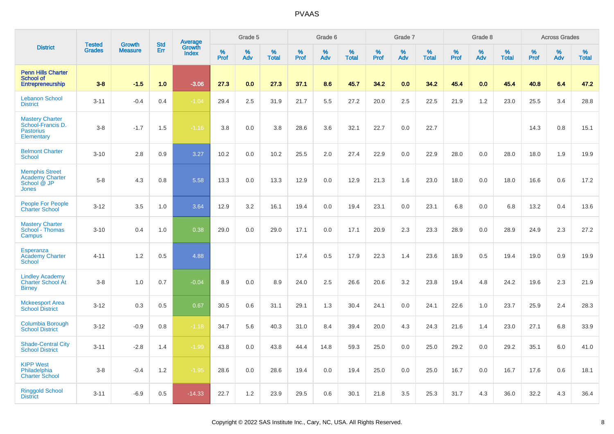|                                                                               |                                |                                 | <b>Std</b> |                                          |                     | Grade 5  |                   |              | Grade 6  |                   |              | Grade 7  |                   |              | Grade 8  |                   |              | <b>Across Grades</b> |                   |
|-------------------------------------------------------------------------------|--------------------------------|---------------------------------|------------|------------------------------------------|---------------------|----------|-------------------|--------------|----------|-------------------|--------------|----------|-------------------|--------------|----------|-------------------|--------------|----------------------|-------------------|
| <b>District</b>                                                               | <b>Tested</b><br><b>Grades</b> | <b>Growth</b><br><b>Measure</b> | Err        | <b>Average</b><br>Growth<br><b>Index</b> | $\%$<br><b>Prof</b> | %<br>Adv | %<br><b>Total</b> | $\%$<br>Prof | %<br>Adv | %<br><b>Total</b> | $\%$<br>Prof | %<br>Adv | %<br><b>Total</b> | $\%$<br>Prof | %<br>Adv | %<br><b>Total</b> | $\%$<br>Prof | $\%$<br>Adv          | %<br><b>Total</b> |
| <b>Penn Hills Charter</b><br><b>School of</b><br><b>Entrepreneurship</b>      | $3 - 8$                        | $-1.5$                          | 1.0        | $-3.06$                                  | 27.3                | 0.0      | 27.3              | 37.1         | 8.6      | 45.7              | 34.2         | 0.0      | 34.2              | 45.4         | 0.0      | 45.4              | 40.8         | 6.4                  | 47.2              |
| <b>Lebanon School</b><br><b>District</b>                                      | $3 - 11$                       | $-0.4$                          | 0.4        | $-1.04$                                  | 29.4                | 2.5      | 31.9              | 21.7         | 5.5      | 27.2              | 20.0         | 2.5      | 22.5              | 21.9         | 1.2      | 23.0              | 25.5         | 3.4                  | 28.8              |
| <b>Mastery Charter</b><br>School-Francis D.<br><b>Pastorius</b><br>Elementary | $3-8$                          | $-1.7$                          | 1.5        | $-1.16$                                  | 3.8                 | 0.0      | 3.8               | 28.6         | 3.6      | 32.1              | 22.7         | 0.0      | 22.7              |              |          |                   | 14.3         | 0.8                  | 15.1              |
| <b>Belmont Charter</b><br><b>School</b>                                       | $3 - 10$                       | 2.8                             | 0.9        | 3.27                                     | 10.2                | 0.0      | 10.2              | 25.5         | 2.0      | 27.4              | 22.9         | 0.0      | 22.9              | 28.0         | 0.0      | 28.0              | 18.0         | 1.9                  | 19.9              |
| <b>Memphis Street</b><br><b>Academy Charter</b><br>School @ JP<br>Jones       | $5-8$                          | 4.3                             | 0.8        | 5.58                                     | 13.3                | 0.0      | 13.3              | 12.9         | 0.0      | 12.9              | 21.3         | 1.6      | 23.0              | 18.0         | 0.0      | 18.0              | 16.6         | 0.6                  | 17.2              |
| <b>People For People</b><br><b>Charter School</b>                             | $3-12$                         | 3.5                             | 1.0        | 3.64                                     | 12.9                | 3.2      | 16.1              | 19.4         | 0.0      | 19.4              | 23.1         | 0.0      | 23.1              | 6.8          | 0.0      | 6.8               | 13.2         | 0.4                  | 13.6              |
| <b>Mastery Charter</b><br>School - Thomas<br>Campus                           | $3 - 10$                       | 0.4                             | 1.0        | 0.38                                     | 29.0                | 0.0      | 29.0              | 17.1         | 0.0      | 17.1              | 20.9         | 2.3      | 23.3              | 28.9         | 0.0      | 28.9              | 24.9         | 2.3                  | 27.2              |
| Esperanza<br><b>Academy Charter</b><br><b>School</b>                          | $4 - 11$                       | 1.2                             | 0.5        | 4.88                                     |                     |          |                   | 17.4         | 0.5      | 17.9              | 22.3         | 1.4      | 23.6              | 18.9         | 0.5      | 19.4              | 19.0         | 0.9                  | 19.9              |
| <b>Lindley Academy</b><br>Charter School At<br><b>Birney</b>                  | $3 - 8$                        | 1.0                             | 0.7        | $-0.04$                                  | 8.9                 | 0.0      | 8.9               | 24.0         | 2.5      | 26.6              | 20.6         | 3.2      | 23.8              | 19.4         | 4.8      | 24.2              | 19.6         | 2.3                  | 21.9              |
| <b>Mckeesport Area</b><br><b>School District</b>                              | $3 - 12$                       | 0.3                             | 0.5        | 0.67                                     | 30.5                | 0.6      | 31.1              | 29.1         | 1.3      | 30.4              | 24.1         | 0.0      | 24.1              | 22.6         | 1.0      | 23.7              | 25.9         | 2.4                  | 28.3              |
| <b>Columbia Borough</b><br><b>School District</b>                             | $3 - 12$                       | $-0.9$                          | 0.8        | $-1.18$                                  | 34.7                | 5.6      | 40.3              | 31.0         | 8.4      | 39.4              | 20.0         | 4.3      | 24.3              | 21.6         | 1.4      | 23.0              | 27.1         | 6.8                  | 33.9              |
| <b>Shade-Central City</b><br><b>School District</b>                           | $3 - 11$                       | $-2.8$                          | 1.4        | $-1.99$                                  | 43.8                | 0.0      | 43.8              | 44.4         | 14.8     | 59.3              | 25.0         | 0.0      | 25.0              | 29.2         | 0.0      | 29.2              | 35.1         | 6.0                  | 41.0              |
| <b>KIPP West</b><br>Philadelphia<br><b>Charter School</b>                     | $3 - 8$                        | $-0.4$                          | 1.2        | $-1.95$                                  | 28.6                | 0.0      | 28.6              | 19.4         | 0.0      | 19.4              | 25.0         | 0.0      | 25.0              | 16.7         | 0.0      | 16.7              | 17.6         | 0.6                  | 18.1              |
| <b>Ringgold School</b><br><b>District</b>                                     | $3 - 11$                       | $-6.9$                          | 0.5        | $-14.33$                                 | 22.7                | 1.2      | 23.9              | 29.5         | 0.6      | 30.1              | 21.8         | 3.5      | 25.3              | 31.7         | 4.3      | 36.0              | 32.2         | 4.3                  | 36.4              |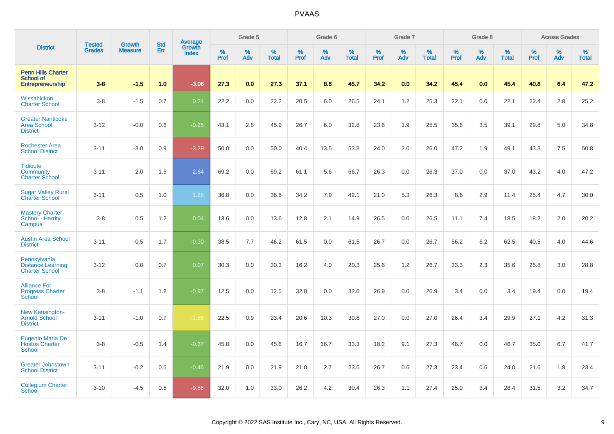|                                                                   | <b>Tested</b> | <b>Growth</b>  | <b>Std</b> | <b>Average</b><br>Growth |              | Grade 5  |                   |              | Grade 6  |                   |              | Grade 7  |                   |              | Grade 8  |                   |           | <b>Across Grades</b> |                   |
|-------------------------------------------------------------------|---------------|----------------|------------|--------------------------|--------------|----------|-------------------|--------------|----------|-------------------|--------------|----------|-------------------|--------------|----------|-------------------|-----------|----------------------|-------------------|
| <b>District</b>                                                   | <b>Grades</b> | <b>Measure</b> | Err        | <b>Index</b>             | $\%$<br>Prof | %<br>Adv | %<br><b>Total</b> | $\%$<br>Prof | %<br>Adv | %<br><b>Total</b> | $\%$<br>Prof | %<br>Adv | %<br><b>Total</b> | $\%$<br>Prof | %<br>Adv | %<br><b>Total</b> | %<br>Prof | %<br>Adv             | %<br><b>Total</b> |
| <b>Penn Hills Charter</b><br><b>School of</b><br>Entrepreneurship | $3 - 8$       | $-1.5$         | 1.0        | $-3.06$                  | 27.3         | 0.0      | 27.3              | 37.1         | 8.6      | 45.7              | 34.2         | 0.0      | 34.2              | 45.4         | 0.0      | 45.4              | 40.8      | 6.4                  | 47.2              |
| Wissahickon<br><b>Charter School</b>                              | $3-8$         | $-1.5$         | 0.7        | 0.24                     | 22.2         | 0.0      | 22.2              | 20.5         | 6.0      | 26.5              | 24.1         | 1.2      | 25.3              | 22.1         | 0.0      | 22.1              | 22.4      | 2.8                  | 25.2              |
| <b>Greater Nanticoke</b><br><b>Area School</b><br><b>District</b> | $3-12$        | $-0.0$         | 0.6        | $-0.25$                  | 43.1         | 2.8      | 45.9              | 26.7         | 6.0      | 32.8              | 23.6         | 1.9      | 25.5              | 35.6         | 3.5      | 39.1              | 29.8      | 5.0                  | 34.8              |
| <b>Rochester Area</b><br><b>School District</b>                   | $3 - 11$      | $-3.0$         | 0.9        | $-3.29$                  | 50.0         | 0.0      | 50.0              | 40.4         | 13.5     | 53.8              | 24.0         | 2.0      | 26.0              | 47.2         | 1.9      | 49.1              | 43.3      | 7.5                  | 50.8              |
| <b>Tidioute</b><br>Community<br><b>Charter School</b>             | $3 - 11$      | 2.0            | 1.5        | 2.84                     | 69.2         | 0.0      | 69.2              | 61.1         | 5.6      | 66.7              | 26.3         | 0.0      | 26.3              | 37.0         | 0.0      | 37.0              | 43.2      | 4.0                  | 47.2              |
| <b>Sugar Valley Rural</b><br><b>Charter School</b>                | $3 - 11$      | 0.5            | 1.0        | 1.28                     | 36.8         | 0.0      | 36.8              | 34.2         | 7.9      | 42.1              | 21.0         | 5.3      | 26.3              | 8.6          | 2.9      | 11.4              | 25.4      | 4.7                  | 30.0              |
| <b>Mastery Charter</b><br>School - Harrity<br>Campus              | $3-8$         | 0.5            | 1.2        | 0.04                     | 13.6         | 0.0      | 13.6              | 12.8         | 2.1      | 14.9              | 26.5         | 0.0      | 26.5              | 11.1         | 7.4      | 18.5              | 18.2      | 2.0                  | 20.2              |
| <b>Austin Area School</b><br><b>District</b>                      | $3 - 11$      | $-0.5$         | 1.7        | $-0.30$                  | 38.5         | 7.7      | 46.2              | 61.5         | 0.0      | 61.5              | 26.7         | 0.0      | 26.7              | 56.2         | 6.2      | 62.5              | 40.5      | 4.0                  | 44.6              |
| Pennsylvania<br><b>Distance Learning</b><br><b>Charter School</b> | $3 - 12$      | 0.0            | 0.7        | 0.07                     | 30.3         | 0.0      | 30.3              | 16.2         | 4.0      | 20.3              | 25.6         | 1.2      | 26.7              | 33.3         | 2.3      | 35.6              | 25.8      | 3.0                  | 28.8              |
| <b>Alliance For</b><br><b>Progress Charter</b><br><b>School</b>   | $3 - 8$       | $-1.1$         | 1.2        | $-0.97$                  | 12.5         | 0.0      | 12.5              | 32.0         | 0.0      | 32.0              | 26.9         | 0.0      | 26.9              | 3.4          | 0.0      | 3.4               | 19.4      | 0.0                  | 19.4              |
| <b>New Kensington-</b><br><b>Arnold School</b><br><b>District</b> | $3 - 11$      | $-1.0$         | 0.7        | $-1.55$                  | 22.5         | 0.9      | 23.4              | 20.6         | 10.3     | 30.8              | 27.0         | 0.0      | 27.0              | 26.4         | 3.4      | 29.9              | 27.1      | 4.2                  | 31.3              |
| <b>Eugenio Maria De</b><br><b>Hostos Charter</b><br>School        | $3-8$         | $-0.5$         | 1.4        | $-0.37$                  | 45.8         | 0.0      | 45.8              | 16.7         | 16.7     | 33.3              | 18.2         | 9.1      | 27.3              | 46.7         | 0.0      | 46.7              | 35.0      | 6.7                  | 41.7              |
| <b>Greater Johnstown</b><br><b>School District</b>                | $3 - 11$      | $-0.2$         | 0.5        | $-0.46$                  | 21.9         | 0.0      | 21.9              | 21.0         | 2.7      | 23.6              | 26.7         | 0.6      | 27.3              | 23.4         | 0.6      | 24.0              | 21.6      | 1.8                  | 23.4              |
| <b>Collegium Charter</b><br>School                                | $3 - 10$      | $-4.5$         | 0.5        | $-9.56$                  | 32.0         | 1.0      | 33.0              | 26.2         | 4.2      | 30.4              | 26.3         | 1.1      | 27.4              | 25.0         | 3.4      | 28.4              | 31.5      | 3.2                  | 34.7              |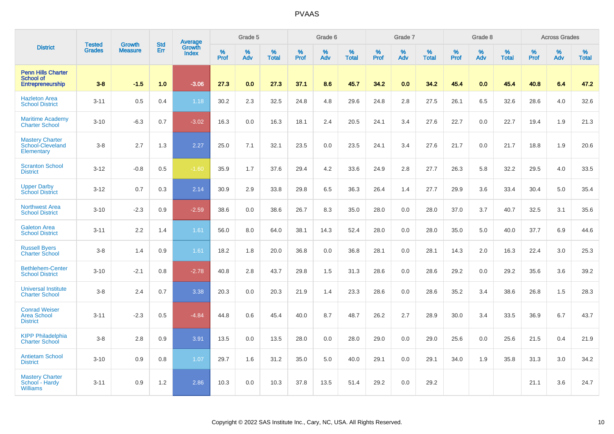|                                                                          |                                |                                 | <b>Std</b> | Average                |           | Grade 5  |                   |           | Grade 6  |                   |           | Grade 7  |                   |           | Grade 8  |                   |           | <b>Across Grades</b> |                   |
|--------------------------------------------------------------------------|--------------------------------|---------------------------------|------------|------------------------|-----------|----------|-------------------|-----------|----------|-------------------|-----------|----------|-------------------|-----------|----------|-------------------|-----------|----------------------|-------------------|
| <b>District</b>                                                          | <b>Tested</b><br><b>Grades</b> | <b>Growth</b><br><b>Measure</b> | Err        | Growth<br><b>Index</b> | %<br>Prof | %<br>Adv | %<br><b>Total</b> | %<br>Prof | %<br>Adv | %<br><b>Total</b> | %<br>Prof | %<br>Adv | %<br><b>Total</b> | %<br>Prof | %<br>Adv | %<br><b>Total</b> | %<br>Prof | %<br>Adv             | %<br><b>Total</b> |
| <b>Penn Hills Charter</b><br><b>School of</b><br><b>Entrepreneurship</b> | $3 - 8$                        | $-1.5$                          | 1.0        | $-3.06$                | 27.3      | 0.0      | 27.3              | 37.1      | 8.6      | 45.7              | 34.2      | 0.0      | 34.2              | 45.4      | 0.0      | 45.4              | 40.8      | 6.4                  | 47.2              |
| <b>Hazleton Area</b><br><b>School District</b>                           | $3 - 11$                       | 0.5                             | 0.4        | 1.18                   | 30.2      | 2.3      | 32.5              | 24.8      | 4.8      | 29.6              | 24.8      | 2.8      | 27.5              | 26.1      | 6.5      | 32.6              | 28.6      | 4.0                  | 32.6              |
| <b>Maritime Academy</b><br><b>Charter School</b>                         | $3 - 10$                       | $-6.3$                          | 0.7        | $-3.02$                | 16.3      | 0.0      | 16.3              | 18.1      | 2.4      | 20.5              | 24.1      | 3.4      | 27.6              | 22.7      | 0.0      | 22.7              | 19.4      | 1.9                  | 21.3              |
| <b>Mastery Charter</b><br>School-Cleveland<br>Elementary                 | $3-8$                          | 2.7                             | 1.3        | 2.27                   | 25.0      | 7.1      | 32.1              | 23.5      | 0.0      | 23.5              | 24.1      | 3.4      | 27.6              | 21.7      | 0.0      | 21.7              | 18.8      | 1.9                  | 20.6              |
| <b>Scranton School</b><br><b>District</b>                                | $3 - 12$                       | $-0.8$                          | 0.5        | $-1.60$                | 35.9      | 1.7      | 37.6              | 29.4      | 4.2      | 33.6              | 24.9      | 2.8      | 27.7              | 26.3      | 5.8      | 32.2              | 29.5      | 4.0                  | 33.5              |
| <b>Upper Darby</b><br><b>School District</b>                             | $3 - 12$                       | 0.7                             | 0.3        | 2.14                   | 30.9      | 2.9      | 33.8              | 29.8      | 6.5      | 36.3              | 26.4      | 1.4      | 27.7              | 29.9      | 3.6      | 33.4              | 30.4      | 5.0                  | 35.4              |
| <b>Northwest Area</b><br><b>School District</b>                          | $3 - 10$                       | $-2.3$                          | 0.9        | $-2.59$                | 38.6      | 0.0      | 38.6              | 26.7      | 8.3      | 35.0              | 28.0      | 0.0      | 28.0              | 37.0      | 3.7      | 40.7              | 32.5      | 3.1                  | 35.6              |
| <b>Galeton Area</b><br><b>School District</b>                            | $3 - 11$                       | 2.2                             | 1.4        | 1.61                   | 56.0      | 8.0      | 64.0              | 38.1      | 14.3     | 52.4              | 28.0      | 0.0      | 28.0              | 35.0      | 5.0      | 40.0              | 37.7      | 6.9                  | 44.6              |
| <b>Russell Byers</b><br><b>Charter School</b>                            | $3-8$                          | 1.4                             | 0.9        | 1.61                   | 18.2      | 1.8      | 20.0              | 36.8      | 0.0      | 36.8              | 28.1      | 0.0      | 28.1              | 14.3      | 2.0      | 16.3              | 22.4      | 3.0                  | 25.3              |
| <b>Bethlehem-Center</b><br><b>School District</b>                        | $3 - 10$                       | $-2.1$                          | 0.8        | $-2.78$                | 40.8      | 2.8      | 43.7              | 29.8      | 1.5      | 31.3              | 28.6      | 0.0      | 28.6              | 29.2      | 0.0      | 29.2              | 35.6      | 3.6                  | 39.2              |
| <b>Universal Institute</b><br><b>Charter School</b>                      | $3-8$                          | 2.4                             | 0.7        | 3.38                   | 20.3      | 0.0      | 20.3              | 21.9      | 1.4      | 23.3              | 28.6      | 0.0      | 28.6              | 35.2      | 3.4      | 38.6              | 26.8      | 1.5                  | 28.3              |
| <b>Conrad Weiser</b><br><b>Area School</b><br><b>District</b>            | $3 - 11$                       | $-2.3$                          | 0.5        | $-4.84$                | 44.8      | 0.6      | 45.4              | 40.0      | 8.7      | 48.7              | 26.2      | 2.7      | 28.9              | 30.0      | 3.4      | 33.5              | 36.9      | 6.7                  | 43.7              |
| <b>KIPP Philadelphia</b><br><b>Charter School</b>                        | $3-8$                          | 2.8                             | 0.9        | 3.91                   | 13.5      | 0.0      | 13.5              | 28.0      | 0.0      | 28.0              | 29.0      | 0.0      | 29.0              | 25.6      | 0.0      | 25.6              | 21.5      | 0.4                  | 21.9              |
| <b>Antietam School</b><br><b>District</b>                                | $3 - 10$                       | 0.9                             | 0.8        | 1.07                   | 29.7      | 1.6      | 31.2              | 35.0      | 5.0      | 40.0              | 29.1      | 0.0      | 29.1              | 34.0      | 1.9      | 35.8              | 31.3      | 3.0                  | 34.2              |
| <b>Mastery Charter</b><br>School - Hardy<br><b>Williams</b>              | $3 - 11$                       | 0.9                             | 1.2        | 2.86                   | 10.3      | 0.0      | 10.3              | 37.8      | 13.5     | 51.4              | 29.2      | 0.0      | 29.2              |           |          |                   | 21.1      | 3.6                  | 24.7              |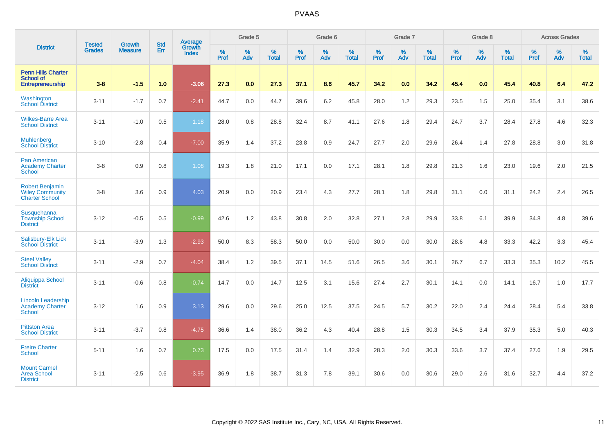|                                                                           |                                | <b>Growth</b>  |                   | Average                |                     | Grade 5  |                   |              | Grade 6  |                   |              | Grade 7  |                   |              | Grade 8  |                   |           | <b>Across Grades</b> |                   |
|---------------------------------------------------------------------------|--------------------------------|----------------|-------------------|------------------------|---------------------|----------|-------------------|--------------|----------|-------------------|--------------|----------|-------------------|--------------|----------|-------------------|-----------|----------------------|-------------------|
| <b>District</b>                                                           | <b>Tested</b><br><b>Grades</b> | <b>Measure</b> | <b>Std</b><br>Err | Growth<br><b>Index</b> | $\%$<br><b>Prof</b> | %<br>Adv | %<br><b>Total</b> | $\%$<br>Prof | %<br>Adv | %<br><b>Total</b> | $\%$<br>Prof | %<br>Adv | %<br><b>Total</b> | $\%$<br>Prof | %<br>Adv | %<br><b>Total</b> | %<br>Prof | %<br>Adv             | %<br><b>Total</b> |
| <b>Penn Hills Charter</b><br>School of<br>Entrepreneurship                | $3-8$                          | $-1.5$         | 1.0               | $-3.06$                | 27.3                | 0.0      | 27.3              | 37.1         | 8.6      | 45.7              | 34.2         | 0.0      | 34.2              | 45.4         | 0.0      | 45.4              | 40.8      | 6.4                  | 47.2              |
| Washington<br><b>School District</b>                                      | $3 - 11$                       | $-1.7$         | 0.7               | $-2.41$                | 44.7                | 0.0      | 44.7              | 39.6         | 6.2      | 45.8              | 28.0         | 1.2      | 29.3              | 23.5         | 1.5      | 25.0              | 35.4      | 3.1                  | 38.6              |
| <b>Wilkes-Barre Area</b><br><b>School District</b>                        | $3 - 11$                       | $-1.0$         | 0.5               | 1.18                   | 28.0                | 0.8      | 28.8              | 32.4         | 8.7      | 41.1              | 27.6         | 1.8      | 29.4              | 24.7         | 3.7      | 28.4              | 27.8      | 4.6                  | 32.3              |
| <b>Muhlenberg</b><br><b>School District</b>                               | $3 - 10$                       | $-2.8$         | 0.4               | $-7.00$                | 35.9                | 1.4      | 37.2              | 23.8         | 0.9      | 24.7              | 27.7         | 2.0      | 29.6              | 26.4         | 1.4      | 27.8              | 28.8      | 3.0                  | 31.8              |
| <b>Pan American</b><br><b>Academy Charter</b><br><b>School</b>            | $3-8$                          | 0.9            | 0.8               | 1.08                   | 19.3                | 1.8      | 21.0              | 17.1         | 0.0      | 17.1              | 28.1         | 1.8      | 29.8              | 21.3         | 1.6      | 23.0              | 19.6      | 2.0                  | 21.5              |
| <b>Robert Benjamin</b><br><b>Wiley Community</b><br><b>Charter School</b> | $3-8$                          | 3.6            | 0.9               | 4.03                   | 20.9                | 0.0      | 20.9              | 23.4         | 4.3      | 27.7              | 28.1         | 1.8      | 29.8              | 31.1         | 0.0      | 31.1              | 24.2      | 2.4                  | 26.5              |
| Susquehanna<br><b>Township School</b><br><b>District</b>                  | $3 - 12$                       | $-0.5$         | 0.5               | $-0.99$                | 42.6                | 1.2      | 43.8              | 30.8         | 2.0      | 32.8              | 27.1         | 2.8      | 29.9              | 33.8         | 6.1      | 39.9              | 34.8      | 4.8                  | 39.6              |
| Salisbury-Elk Lick<br><b>School District</b>                              | $3 - 11$                       | $-3.9$         | 1.3               | $-2.93$                | 50.0                | 8.3      | 58.3              | 50.0         | 0.0      | 50.0              | 30.0         | 0.0      | 30.0              | 28.6         | 4.8      | 33.3              | 42.2      | 3.3                  | 45.4              |
| <b>Steel Valley</b><br><b>School District</b>                             | $3 - 11$                       | $-2.9$         | 0.7               | $-4.04$                | 38.4                | 1.2      | 39.5              | 37.1         | 14.5     | 51.6              | 26.5         | 3.6      | 30.1              | 26.7         | 6.7      | 33.3              | 35.3      | 10.2                 | 45.5              |
| Aliquippa School<br><b>District</b>                                       | $3 - 11$                       | $-0.6$         | 0.8               | $-0.74$                | 14.7                | 0.0      | 14.7              | 12.5         | 3.1      | 15.6              | 27.4         | 2.7      | 30.1              | 14.1         | 0.0      | 14.1              | 16.7      | 1.0                  | 17.7              |
| <b>Lincoln Leadership</b><br><b>Academy Charter</b><br><b>School</b>      | $3 - 12$                       | 1.6            | 0.9               | 3.13                   | 29.6                | 0.0      | 29.6              | 25.0         | 12.5     | 37.5              | 24.5         | 5.7      | 30.2              | 22.0         | 2.4      | 24.4              | 28.4      | 5.4                  | 33.8              |
| <b>Pittston Area</b><br><b>School District</b>                            | $3 - 11$                       | $-3.7$         | 0.8               | $-4.75$                | 36.6                | 1.4      | 38.0              | 36.2         | 4.3      | 40.4              | 28.8         | 1.5      | 30.3              | 34.5         | 3.4      | 37.9              | 35.3      | 5.0                  | 40.3              |
| <b>Freire Charter</b><br>School                                           | $5 - 11$                       | 1.6            | 0.7               | 0.73                   | 17.5                | 0.0      | 17.5              | 31.4         | 1.4      | 32.9              | 28.3         | 2.0      | 30.3              | 33.6         | 3.7      | 37.4              | 27.6      | 1.9                  | 29.5              |
| <b>Mount Carmel</b><br><b>Area School</b><br><b>District</b>              | $3 - 11$                       | $-2.5$         | 0.6               | $-3.95$                | 36.9                | 1.8      | 38.7              | 31.3         | 7.8      | 39.1              | 30.6         | 0.0      | 30.6              | 29.0         | 2.6      | 31.6              | 32.7      | 4.4                  | 37.2              |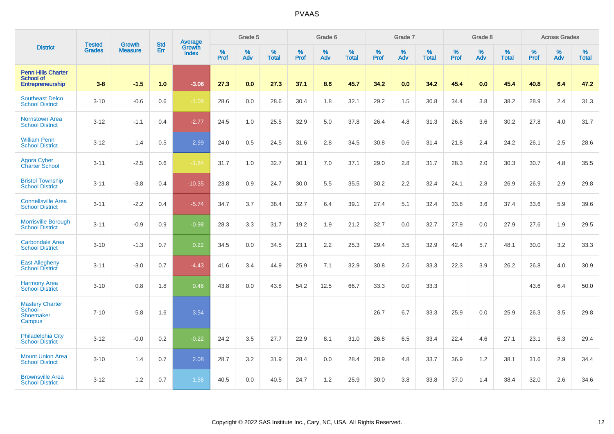|                                                                   |                                |                                 | <b>Std</b> | Average                |           | Grade 5  |                   |           | Grade 6  |                   |           | Grade 7  |                   |           | Grade 8  |                   |           | <b>Across Grades</b> |                   |
|-------------------------------------------------------------------|--------------------------------|---------------------------------|------------|------------------------|-----------|----------|-------------------|-----------|----------|-------------------|-----------|----------|-------------------|-----------|----------|-------------------|-----------|----------------------|-------------------|
| <b>District</b>                                                   | <b>Tested</b><br><b>Grades</b> | <b>Growth</b><br><b>Measure</b> | Err        | Growth<br><b>Index</b> | %<br>Prof | %<br>Adv | %<br><b>Total</b> | %<br>Prof | %<br>Adv | %<br><b>Total</b> | %<br>Prof | %<br>Adv | %<br><b>Total</b> | %<br>Prof | %<br>Adv | %<br><b>Total</b> | %<br>Prof | %<br>Adv             | %<br><b>Total</b> |
| <b>Penn Hills Charter</b><br><b>School of</b><br>Entrepreneurship | $3 - 8$                        | $-1.5$                          | 1.0        | $-3.06$                | 27.3      | 0.0      | 27.3              | 37.1      | 8.6      | 45.7              | 34.2      | 0.0      | 34.2              | 45.4      | 0.0      | 45.4              | 40.8      | 6.4                  | 47.2              |
| <b>Southeast Delco</b><br><b>School District</b>                  | $3 - 10$                       | $-0.6$                          | 0.6        | $-1.09$                | 28.6      | 0.0      | 28.6              | 30.4      | 1.8      | 32.1              | 29.2      | 1.5      | 30.8              | 34.4      | 3.8      | 38.2              | 28.9      | 2.4                  | 31.3              |
| <b>Norristown Area</b><br><b>School District</b>                  | $3 - 12$                       | $-1.1$                          | 0.4        | $-2.77$                | 24.5      | 1.0      | 25.5              | 32.9      | 5.0      | 37.8              | 26.4      | 4.8      | 31.3              | 26.6      | 3.6      | 30.2              | 27.8      | 4.0                  | 31.7              |
| <b>William Penn</b><br><b>School District</b>                     | $3 - 12$                       | 1.4                             | 0.5        | 2.99                   | 24.0      | 0.5      | 24.5              | 31.6      | 2.8      | 34.5              | 30.8      | 0.6      | 31.4              | 21.8      | 2.4      | 24.2              | 26.1      | 2.5                  | 28.6              |
| <b>Agora Cyber</b><br><b>Charter School</b>                       | $3 - 11$                       | $-2.5$                          | 0.6        | $-1.84$                | 31.7      | 1.0      | 32.7              | 30.1      | 7.0      | 37.1              | 29.0      | 2.8      | 31.7              | 28.3      | 2.0      | 30.3              | 30.7      | 4.8                  | 35.5              |
| <b>Bristol Township</b><br><b>School District</b>                 | $3 - 11$                       | $-3.8$                          | 0.4        | $-10.35$               | 23.8      | 0.9      | 24.7              | 30.0      | 5.5      | 35.5              | 30.2      | 2.2      | 32.4              | 24.1      | 2.8      | 26.9              | 26.9      | 2.9                  | 29.8              |
| <b>Connellsville Area</b><br><b>School District</b>               | $3 - 11$                       | $-2.2$                          | 0.4        | $-5.74$                | 34.7      | 3.7      | 38.4              | 32.7      | 6.4      | 39.1              | 27.4      | 5.1      | 32.4              | 33.8      | 3.6      | 37.4              | 33.6      | 5.9                  | 39.6              |
| <b>Morrisville Borough</b><br><b>School District</b>              | $3 - 11$                       | $-0.9$                          | 0.9        | $-0.98$                | 28.3      | 3.3      | 31.7              | 19.2      | 1.9      | 21.2              | 32.7      | 0.0      | 32.7              | 27.9      | 0.0      | 27.9              | 27.6      | 1.9                  | 29.5              |
| <b>Carbondale Area</b><br><b>School District</b>                  | $3 - 10$                       | $-1.3$                          | 0.7        | 0.22                   | 34.5      | 0.0      | 34.5              | 23.1      | 2.2      | 25.3              | 29.4      | 3.5      | 32.9              | 42.4      | 5.7      | 48.1              | 30.0      | 3.2                  | 33.3              |
| <b>East Allegheny</b><br>School District                          | $3 - 11$                       | $-3.0$                          | 0.7        | $-4.43$                | 41.6      | 3.4      | 44.9              | 25.9      | 7.1      | 32.9              | 30.8      | 2.6      | 33.3              | 22.3      | 3.9      | 26.2              | 26.8      | 4.0                  | 30.9              |
| <b>Harmony Area</b><br><b>School District</b>                     | $3 - 10$                       | 0.8                             | 1.8        | 0.46                   | 43.8      | 0.0      | 43.8              | 54.2      | 12.5     | 66.7              | 33.3      | 0.0      | 33.3              |           |          |                   | 43.6      | 6.4                  | 50.0              |
| <b>Mastery Charter</b><br>School -<br>Shoemaker<br>Campus         | $7 - 10$                       | 5.8                             | 1.6        | 3.54                   |           |          |                   |           |          |                   | 26.7      | 6.7      | 33.3              | 25.9      | 0.0      | 25.9              | 26.3      | 3.5                  | 29.8              |
| <b>Philadelphia City</b><br><b>School District</b>                | $3 - 12$                       | $-0.0$                          | 0.2        | $-0.22$                | 24.2      | 3.5      | 27.7              | 22.9      | 8.1      | 31.0              | 26.8      | 6.5      | 33.4              | 22.4      | 4.6      | 27.1              | 23.1      | 6.3                  | 29.4              |
| <b>Mount Union Area</b><br><b>School District</b>                 | $3 - 10$                       | 1.4                             | 0.7        | 2.08                   | 28.7      | 3.2      | 31.9              | 28.4      | 0.0      | 28.4              | 28.9      | 4.8      | 33.7              | 36.9      | 1.2      | 38.1              | 31.6      | 2.9                  | 34.4              |
| <b>Brownsville Area</b><br><b>School District</b>                 | $3 - 12$                       | 1.2                             | 0.7        | 1.56                   | 40.5      | 0.0      | 40.5              | 24.7      | 1.2      | 25.9              | 30.0      | 3.8      | 33.8              | 37.0      | 1.4      | 38.4              | 32.0      | 2.6                  | 34.6              |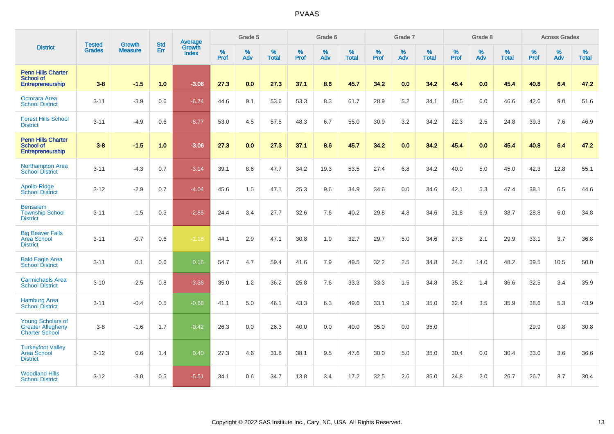|                                                                               | <b>Tested</b> | <b>Growth</b>  | <b>Std</b> | Average                |                     | Grade 5  |                   |              | Grade 6  |                   |              | Grade 7  |                   |              | Grade 8  |                   |           | <b>Across Grades</b> |                   |
|-------------------------------------------------------------------------------|---------------|----------------|------------|------------------------|---------------------|----------|-------------------|--------------|----------|-------------------|--------------|----------|-------------------|--------------|----------|-------------------|-----------|----------------------|-------------------|
| <b>District</b>                                                               | <b>Grades</b> | <b>Measure</b> | Err        | Growth<br><b>Index</b> | $\%$<br><b>Prof</b> | %<br>Adv | %<br><b>Total</b> | $\%$<br>Prof | %<br>Adv | %<br><b>Total</b> | $\%$<br>Prof | %<br>Adv | %<br><b>Total</b> | $\%$<br>Prof | %<br>Adv | %<br><b>Total</b> | %<br>Prof | %<br>Adv             | %<br><b>Total</b> |
| <b>Penn Hills Charter</b><br><b>School of</b><br>Entrepreneurship             | $3-8$         | $-1.5$         | 1.0        | $-3.06$                | 27.3                | 0.0      | 27.3              | 37.1         | 8.6      | 45.7              | 34.2         | 0.0      | 34.2              | 45.4         | 0.0      | 45.4              | 40.8      | 6.4                  | 47.2              |
| <b>Octorara Area</b><br><b>School District</b>                                | $3 - 11$      | $-3.9$         | 0.6        | $-6.74$                | 44.6                | 9.1      | 53.6              | 53.3         | 8.3      | 61.7              | 28.9         | 5.2      | 34.1              | 40.5         | 6.0      | 46.6              | 42.6      | 9.0                  | 51.6              |
| <b>Forest Hills School</b><br><b>District</b>                                 | $3 - 11$      | $-4.9$         | 0.6        | $-8.77$                | 53.0                | 4.5      | 57.5              | 48.3         | 6.7      | 55.0              | 30.9         | 3.2      | 34.2              | 22.3         | 2.5      | 24.8              | 39.3      | 7.6                  | 46.9              |
| <b>Penn Hills Charter</b><br>School of<br><b>Entrepreneurship</b>             | $3-8$         | $-1.5$         | 1.0        | $-3.06$                | 27.3                | 0.0      | 27.3              | 37.1         | 8.6      | 45.7              | 34.2         | 0.0      | 34.2              | 45.4         | 0.0      | 45.4              | 40.8      | 6.4                  | 47.2              |
| <b>Northampton Area</b><br><b>School District</b>                             | $3 - 11$      | $-4.3$         | 0.7        | $-3.14$                | 39.1                | 8.6      | 47.7              | 34.2         | 19.3     | 53.5              | 27.4         | 6.8      | 34.2              | 40.0         | 5.0      | 45.0              | 42.3      | 12.8                 | 55.1              |
| Apollo-Ridge<br><b>School District</b>                                        | $3 - 12$      | $-2.9$         | 0.7        | $-4.04$                | 45.6                | 1.5      | 47.1              | 25.3         | 9.6      | 34.9              | 34.6         | 0.0      | 34.6              | 42.1         | 5.3      | 47.4              | 38.1      | 6.5                  | 44.6              |
| <b>Bensalem</b><br><b>Township School</b><br><b>District</b>                  | $3 - 11$      | $-1.5$         | 0.3        | $-2.85$                | 24.4                | 3.4      | 27.7              | 32.6         | 7.6      | 40.2              | 29.8         | 4.8      | 34.6              | 31.8         | 6.9      | 38.7              | 28.8      | 6.0                  | 34.8              |
| <b>Big Beaver Falls</b><br><b>Area School</b><br><b>District</b>              | $3 - 11$      | $-0.7$         | 0.6        | $-1.18$                | 44.1                | 2.9      | 47.1              | 30.8         | 1.9      | 32.7              | 29.7         | 5.0      | 34.6              | 27.8         | 2.1      | 29.9              | 33.1      | 3.7                  | 36.8              |
| <b>Bald Eagle Area</b><br><b>School District</b>                              | $3 - 11$      | 0.1            | 0.6        | 0.16                   | 54.7                | 4.7      | 59.4              | 41.6         | 7.9      | 49.5              | 32.2         | 2.5      | 34.8              | 34.2         | 14.0     | 48.2              | 39.5      | 10.5                 | 50.0              |
| <b>Carmichaels Area</b><br><b>School District</b>                             | $3 - 10$      | $-2.5$         | 0.8        | $-3.36$                | 35.0                | 1.2      | 36.2              | 25.8         | 7.6      | 33.3              | 33.3         | 1.5      | 34.8              | 35.2         | 1.4      | 36.6              | 32.5      | 3.4                  | 35.9              |
| <b>Hamburg Area</b><br><b>School District</b>                                 | $3 - 11$      | $-0.4$         | 0.5        | $-0.68$                | 41.1                | 5.0      | 46.1              | 43.3         | 6.3      | 49.6              | 33.1         | 1.9      | 35.0              | 32.4         | 3.5      | 35.9              | 38.6      | 5.3                  | 43.9              |
| <b>Young Scholars of</b><br><b>Greater Allegheny</b><br><b>Charter School</b> | $3-8$         | $-1.6$         | 1.7        | $-0.42$                | 26.3                | 0.0      | 26.3              | 40.0         | 0.0      | 40.0              | 35.0         | 0.0      | 35.0              |              |          |                   | 29.9      | 0.8                  | 30.8              |
| <b>Turkeyfoot Valley</b><br>Area School<br><b>District</b>                    | $3 - 12$      | 0.6            | 1.4        | 0.40                   | 27.3                | 4.6      | 31.8              | 38.1         | 9.5      | 47.6              | 30.0         | 5.0      | 35.0              | 30.4         | 0.0      | 30.4              | 33.0      | 3.6                  | 36.6              |
| <b>Woodland Hills</b><br><b>School District</b>                               | $3 - 12$      | $-3.0$         | 0.5        | $-5.51$                | 34.1                | 0.6      | 34.7              | 13.8         | 3.4      | 17.2              | 32.5         | 2.6      | 35.0              | 24.8         | 2.0      | 26.7              | 26.7      | 3.7                  | 30.4              |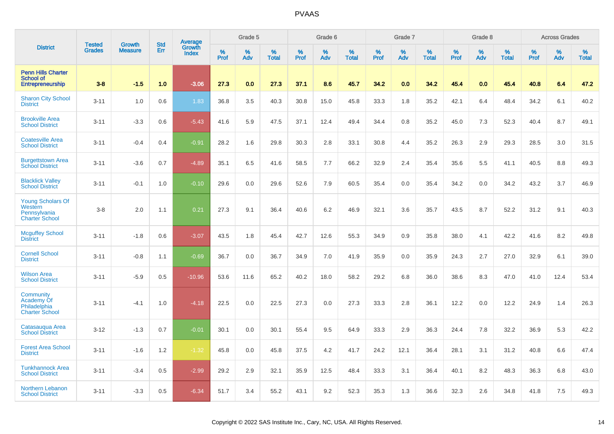|                                                                              |                                | <b>Growth</b>  | <b>Std</b> |                                          |              | Grade 5  |                   |           | Grade 6  |                   |           | Grade 7  |                   |           | Grade 8  |                   |           | <b>Across Grades</b> |                   |
|------------------------------------------------------------------------------|--------------------------------|----------------|------------|------------------------------------------|--------------|----------|-------------------|-----------|----------|-------------------|-----------|----------|-------------------|-----------|----------|-------------------|-----------|----------------------|-------------------|
| <b>District</b>                                                              | <b>Tested</b><br><b>Grades</b> | <b>Measure</b> | Err        | <b>Average</b><br>Growth<br><b>Index</b> | $\%$<br>Prof | %<br>Adv | %<br><b>Total</b> | %<br>Prof | %<br>Adv | %<br><b>Total</b> | %<br>Prof | %<br>Adv | %<br><b>Total</b> | %<br>Prof | %<br>Adv | %<br><b>Total</b> | %<br>Prof | %<br>Adv             | %<br><b>Total</b> |
| <b>Penn Hills Charter</b><br><b>School of</b><br><b>Entrepreneurship</b>     | $3 - 8$                        | $-1.5$         | 1.0        | $-3.06$                                  | 27.3         | 0.0      | 27.3              | 37.1      | 8.6      | 45.7              | 34.2      | 0.0      | 34.2              | 45.4      | 0.0      | 45.4              | 40.8      | 6.4                  | 47.2              |
| <b>Sharon City School</b><br><b>District</b>                                 | $3 - 11$                       | 1.0            | 0.6        | 1.83                                     | 36.8         | 3.5      | 40.3              | 30.8      | 15.0     | 45.8              | 33.3      | 1.8      | 35.2              | 42.1      | 6.4      | 48.4              | 34.2      | 6.1                  | 40.2              |
| <b>Brookville Area</b><br><b>School District</b>                             | $3 - 11$                       | $-3.3$         | 0.6        | $-5.43$                                  | 41.6         | 5.9      | 47.5              | 37.1      | 12.4     | 49.4              | 34.4      | 0.8      | 35.2              | 45.0      | 7.3      | 52.3              | 40.4      | 8.7                  | 49.1              |
| <b>Coatesville Area</b><br><b>School District</b>                            | $3 - 11$                       | $-0.4$         | 0.4        | $-0.91$                                  | 28.2         | 1.6      | 29.8              | 30.3      | 2.8      | 33.1              | 30.8      | 4.4      | 35.2              | 26.3      | 2.9      | 29.3              | 28.5      | 3.0                  | 31.5              |
| <b>Burgettstown Area</b><br><b>School District</b>                           | $3 - 11$                       | $-3.6$         | 0.7        | $-4.89$                                  | 35.1         | 6.5      | 41.6              | 58.5      | 7.7      | 66.2              | 32.9      | 2.4      | 35.4              | 35.6      | 5.5      | 41.1              | 40.5      | 8.8                  | 49.3              |
| <b>Blacklick Valley</b><br><b>School District</b>                            | $3 - 11$                       | $-0.1$         | 1.0        | $-0.10$                                  | 29.6         | 0.0      | 29.6              | 52.6      | 7.9      | 60.5              | 35.4      | 0.0      | 35.4              | 34.2      | 0.0      | 34.2              | 43.2      | 3.7                  | 46.9              |
| <b>Young Scholars Of</b><br>Western<br>Pennsylvania<br><b>Charter School</b> | $3-8$                          | 2.0            | 1.1        | 0.21                                     | 27.3         | 9.1      | 36.4              | 40.6      | 6.2      | 46.9              | 32.1      | 3.6      | 35.7              | 43.5      | 8.7      | 52.2              | 31.2      | 9.1                  | 40.3              |
| <b>Mcguffey School</b><br><b>District</b>                                    | $3 - 11$                       | $-1.8$         | 0.6        | $-3.07$                                  | 43.5         | 1.8      | 45.4              | 42.7      | 12.6     | 55.3              | 34.9      | 0.9      | 35.8              | 38.0      | 4.1      | 42.2              | 41.6      | 8.2                  | 49.8              |
| <b>Cornell School</b><br><b>District</b>                                     | $3 - 11$                       | $-0.8$         | 1.1        | $-0.69$                                  | 36.7         | 0.0      | 36.7              | 34.9      | 7.0      | 41.9              | 35.9      | 0.0      | 35.9              | 24.3      | 2.7      | 27.0              | 32.9      | 6.1                  | 39.0              |
| <b>Wilson Area</b><br><b>School District</b>                                 | $3 - 11$                       | $-5.9$         | 0.5        | $-10.96$                                 | 53.6         | 11.6     | 65.2              | 40.2      | 18.0     | 58.2              | 29.2      | 6.8      | 36.0              | 38.6      | 8.3      | 47.0              | 41.0      | 12.4                 | 53.4              |
| Community<br>Academy Of<br>Philadelphia<br><b>Charter School</b>             | $3 - 11$                       | $-4.1$         | 1.0        | $-4.18$                                  | 22.5         | 0.0      | 22.5              | 27.3      | 0.0      | 27.3              | 33.3      | 2.8      | 36.1              | 12.2      | 0.0      | 12.2              | 24.9      | 1.4                  | 26.3              |
| Catasaugua Area<br><b>School District</b>                                    | $3 - 12$                       | $-1.3$         | 0.7        | $-0.01$                                  | 30.1         | 0.0      | 30.1              | 55.4      | 9.5      | 64.9              | 33.3      | 2.9      | 36.3              | 24.4      | 7.8      | 32.2              | 36.9      | 5.3                  | 42.2              |
| <b>Forest Area School</b><br><b>District</b>                                 | $3 - 11$                       | $-1.6$         | 1.2        | $-1.32$                                  | 45.8         | 0.0      | 45.8              | 37.5      | 4.2      | 41.7              | 24.2      | 12.1     | 36.4              | 28.1      | 3.1      | 31.2              | 40.8      | 6.6                  | 47.4              |
| <b>Tunkhannock Area</b><br><b>School District</b>                            | $3 - 11$                       | $-3.4$         | 0.5        | $-2.99$                                  | 29.2         | 2.9      | 32.1              | 35.9      | 12.5     | 48.4              | 33.3      | 3.1      | 36.4              | 40.1      | 8.2      | 48.3              | 36.3      | 6.8                  | 43.0              |
| Northern Lebanon<br><b>School District</b>                                   | $3 - 11$                       | $-3.3$         | 0.5        | $-6.34$                                  | 51.7         | 3.4      | 55.2              | 43.1      | 9.2      | 52.3              | 35.3      | 1.3      | 36.6              | 32.3      | 2.6      | 34.8              | 41.8      | 7.5                  | 49.3              |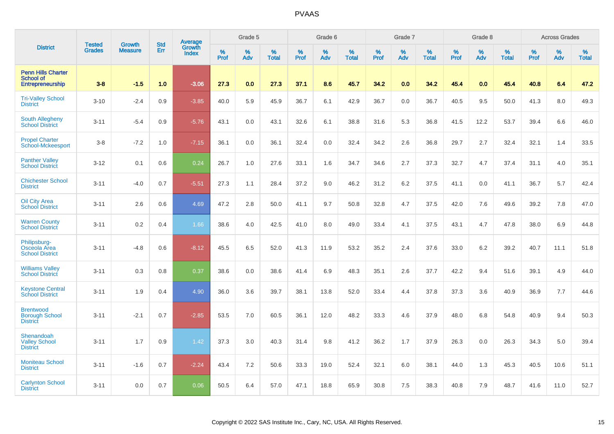|                                                                   |                                |                                 | <b>Std</b> | Average                |              | Grade 5  |                   |           | Grade 6  |                   |           | Grade 7  |                   |           | Grade 8  |                   |           | <b>Across Grades</b> |                   |
|-------------------------------------------------------------------|--------------------------------|---------------------------------|------------|------------------------|--------------|----------|-------------------|-----------|----------|-------------------|-----------|----------|-------------------|-----------|----------|-------------------|-----------|----------------------|-------------------|
| <b>District</b>                                                   | <b>Tested</b><br><b>Grades</b> | <b>Growth</b><br><b>Measure</b> | Err        | Growth<br><b>Index</b> | $\%$<br>Prof | %<br>Adv | %<br><b>Total</b> | %<br>Prof | %<br>Adv | %<br><b>Total</b> | %<br>Prof | %<br>Adv | %<br><b>Total</b> | %<br>Prof | %<br>Adv | %<br><b>Total</b> | %<br>Prof | %<br>Adv             | %<br><b>Total</b> |
| <b>Penn Hills Charter</b><br><b>School of</b><br>Entrepreneurship | $3 - 8$                        | $-1.5$                          | 1.0        | $-3.06$                | 27.3         | 0.0      | 27.3              | 37.1      | 8.6      | 45.7              | 34.2      | 0.0      | 34.2              | 45.4      | 0.0      | 45.4              | 40.8      | 6.4                  | 47.2              |
| <b>Tri-Valley School</b><br><b>District</b>                       | $3 - 10$                       | $-2.4$                          | 0.9        | $-3.85$                | 40.0         | 5.9      | 45.9              | 36.7      | 6.1      | 42.9              | 36.7      | 0.0      | 36.7              | 40.5      | 9.5      | 50.0              | 41.3      | 8.0                  | 49.3              |
| <b>South Allegheny</b><br><b>School District</b>                  | $3 - 11$                       | $-5.4$                          | 0.9        | $-5.76$                | 43.1         | 0.0      | 43.1              | 32.6      | 6.1      | 38.8              | 31.6      | 5.3      | 36.8              | 41.5      | 12.2     | 53.7              | 39.4      | 6.6                  | 46.0              |
| <b>Propel Charter</b><br>School-Mckeesport                        | $3-8$                          | $-7.2$                          | 1.0        | $-7.15$                | 36.1         | 0.0      | 36.1              | 32.4      | 0.0      | 32.4              | 34.2      | 2.6      | 36.8              | 29.7      | 2.7      | 32.4              | 32.1      | 1.4                  | 33.5              |
| <b>Panther Valley</b><br><b>School District</b>                   | $3 - 12$                       | 0.1                             | 0.6        | 0.24                   | 26.7         | 1.0      | 27.6              | 33.1      | 1.6      | 34.7              | 34.6      | 2.7      | 37.3              | 32.7      | 4.7      | 37.4              | 31.1      | 4.0                  | 35.1              |
| <b>Chichester School</b><br><b>District</b>                       | $3 - 11$                       | $-4.0$                          | 0.7        | $-5.51$                | 27.3         | 1.1      | 28.4              | 37.2      | 9.0      | 46.2              | 31.2      | 6.2      | 37.5              | 41.1      | 0.0      | 41.1              | 36.7      | 5.7                  | 42.4              |
| <b>Oil City Area</b><br><b>School District</b>                    | $3 - 11$                       | 2.6                             | 0.6        | 4.69                   | 47.2         | 2.8      | 50.0              | 41.1      | 9.7      | 50.8              | 32.8      | 4.7      | 37.5              | 42.0      | 7.6      | 49.6              | 39.2      | 7.8                  | 47.0              |
| <b>Warren County</b><br><b>School District</b>                    | $3 - 11$                       | 0.2                             | 0.4        | 1.66                   | 38.6         | 4.0      | 42.5              | 41.0      | 8.0      | 49.0              | 33.4      | 4.1      | 37.5              | 43.1      | 4.7      | 47.8              | 38.0      | 6.9                  | 44.8              |
| Philipsburg-<br>Osceola Area<br><b>School District</b>            | $3 - 11$                       | $-4.8$                          | 0.6        | $-8.12$                | 45.5         | 6.5      | 52.0              | 41.3      | 11.9     | 53.2              | 35.2      | 2.4      | 37.6              | 33.0      | 6.2      | 39.2              | 40.7      | 11.1                 | 51.8              |
| <b>Williams Valley</b><br><b>School District</b>                  | $3 - 11$                       | 0.3                             | 0.8        | 0.37                   | 38.6         | 0.0      | 38.6              | 41.4      | 6.9      | 48.3              | 35.1      | 2.6      | 37.7              | 42.2      | 9.4      | 51.6              | 39.1      | 4.9                  | 44.0              |
| <b>Keystone Central</b><br><b>School District</b>                 | $3 - 11$                       | 1.9                             | 0.4        | 4.90                   | 36.0         | 3.6      | 39.7              | 38.1      | 13.8     | 52.0              | 33.4      | 4.4      | 37.8              | 37.3      | 3.6      | 40.9              | 36.9      | 7.7                  | 44.6              |
| <b>Brentwood</b><br><b>Borough School</b><br><b>District</b>      | $3 - 11$                       | $-2.1$                          | 0.7        | $-2.85$                | 53.5         | 7.0      | 60.5              | 36.1      | 12.0     | 48.2              | 33.3      | 4.6      | 37.9              | 48.0      | 6.8      | 54.8              | 40.9      | 9.4                  | 50.3              |
| Shenandoah<br><b>Valley School</b><br><b>District</b>             | $3 - 11$                       | 1.7                             | 0.9        | 1.42                   | 37.3         | 3.0      | 40.3              | 31.4      | 9.8      | 41.2              | 36.2      | 1.7      | 37.9              | 26.3      | 0.0      | 26.3              | 34.3      | 5.0                  | 39.4              |
| <b>Moniteau School</b><br><b>District</b>                         | $3 - 11$                       | $-1.6$                          | 0.7        | $-2.24$                | 43.4         | 7.2      | 50.6              | 33.3      | 19.0     | 52.4              | 32.1      | 6.0      | 38.1              | 44.0      | 1.3      | 45.3              | 40.5      | 10.6                 | 51.1              |
| <b>Carlynton School</b><br><b>District</b>                        | $3 - 11$                       | 0.0                             | 0.7        | 0.06                   | 50.5         | 6.4      | 57.0              | 47.1      | 18.8     | 65.9              | 30.8      | 7.5      | 38.3              | 40.8      | 7.9      | 48.7              | 41.6      | 11.0                 | 52.7              |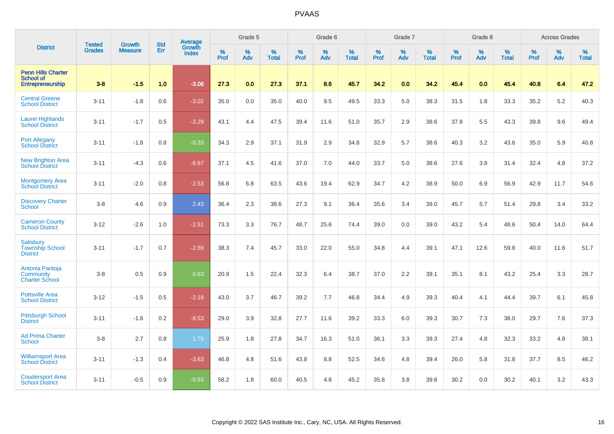|                                                                   | <b>Tested</b> | <b>Growth</b>  | <b>Std</b> | <b>Average</b>         |           | Grade 5  |                   |           | Grade 6  |                   |           | Grade 7  |                   |           | Grade 8  |                   |           | <b>Across Grades</b> |                   |
|-------------------------------------------------------------------|---------------|----------------|------------|------------------------|-----------|----------|-------------------|-----------|----------|-------------------|-----------|----------|-------------------|-----------|----------|-------------------|-----------|----------------------|-------------------|
| <b>District</b>                                                   | <b>Grades</b> | <b>Measure</b> | Err        | Growth<br><b>Index</b> | %<br>Prof | %<br>Adv | %<br><b>Total</b> | %<br>Prof | %<br>Adv | %<br><b>Total</b> | %<br>Prof | %<br>Adv | %<br><b>Total</b> | %<br>Prof | %<br>Adv | %<br><b>Total</b> | %<br>Prof | %<br>Adv             | %<br><b>Total</b> |
| <b>Penn Hills Charter</b><br><b>School of</b><br>Entrepreneurship | $3 - 8$       | $-1.5$         | 1.0        | $-3.06$                | 27.3      | 0.0      | 27.3              | 37.1      | 8.6      | 45.7              | 34.2      | 0.0      | 34.2              | 45.4      | 0.0      | 45.4              | 40.8      | 6.4                  | 47.2              |
| <b>Central Greene</b><br><b>School District</b>                   | $3 - 11$      | $-1.8$         | 0.6        | $-3.02$                | 35.0      | 0.0      | 35.0              | 40.0      | 9.5      | 49.5              | 33.3      | 5.0      | 38.3              | 31.5      | 1.8      | 33.3              | 35.2      | 5.2                  | 40.3              |
| <b>Laurel Highlands</b><br><b>School District</b>                 | $3 - 11$      | $-1.7$         | 0.5        | $-3.29$                | 43.1      | 4.4      | 47.5              | 39.4      | 11.6     | 51.0              | 35.7      | 2.9      | 38.6              | 37.8      | 5.5      | 43.3              | 39.8      | 9.6                  | 49.4              |
| <b>Port Allegany</b><br><b>School District</b>                    | $3 - 11$      | $-1.8$         | 0.8        | $-0.33$                | 34.3      | 2.9      | 37.1              | 31.9      | 2.9      | 34.8              | 32.9      | 5.7      | 38.6              | 40.3      | 3.2      | 43.6              | 35.0      | 5.9                  | 40.8              |
| <b>New Brighton Area</b><br>School District                       | $3 - 11$      | $-4.3$         | 0.6        | $-6.67$                | 37.1      | 4.5      | 41.6              | 37.0      | 7.0      | 44.0              | 33.7      | 5.0      | 38.6              | 27.6      | 3.8      | 31.4              | 32.4      | 4.8                  | 37.2              |
| Montgomery Area<br>School District                                | $3 - 11$      | $-2.0$         | 0.8        | $-2.53$                | 56.8      | 6.8      | 63.5              | 43.6      | 19.4     | 62.9              | 34.7      | 4.2      | 38.9              | 50.0      | 6.9      | 56.9              | 42.9      | 11.7                 | 54.6              |
| <b>Discovery Charter</b><br><b>School</b>                         | $3 - 8$       | 4.6            | 0.9        | 2.43                   | 36.4      | 2.3      | 38.6              | 27.3      | 9.1      | 36.4              | 35.6      | 3.4      | 39.0              | 45.7      | 5.7      | 51.4              | 29.8      | 3.4                  | 33.2              |
| <b>Cameron County</b><br><b>School District</b>                   | $3 - 12$      | $-2.6$         | 1.0        | $-2.51$                | 73.3      | 3.3      | 76.7              | 48.7      | 25.6     | 74.4              | 39.0      | 0.0      | 39.0              | 43.2      | 5.4      | 48.6              | 50.4      | 14.0                 | 64.4              |
| <b>Salisbury</b><br><b>Township School</b><br><b>District</b>     | $3 - 11$      | $-1.7$         | 0.7        | $-2.59$                | 38.3      | 7.4      | 45.7              | 33.0      | 22.0     | 55.0              | 34.8      | 4.4      | 39.1              | 47.1      | 12.6     | 59.8              | 40.0      | 11.6                 | 51.7              |
| Antonia Pantoja<br>Community<br><b>Charter School</b>             | $3 - 8$       | 0.5            | 0.9        | 0.63                   | 20.9      | 1.5      | 22.4              | 32.3      | 6.4      | 38.7              | 37.0      | 2.2      | 39.1              | 35.1      | 8.1      | 43.2              | 25.4      | 3.3                  | 28.7              |
| <b>Pottsville Area</b><br><b>School District</b>                  | $3 - 12$      | $-1.5$         | 0.5        | $-2.18$                | 43.0      | 3.7      | 46.7              | 39.2      | 7.7      | 46.8              | 34.4      | 4.9      | 39.3              | 40.4      | 4.1      | 44.4              | 39.7      | 6.1                  | 45.8              |
| <b>Pittsburgh School</b><br><b>District</b>                       | $3 - 11$      | $-1.6$         | 0.2        | $-8.53$                | 29.0      | 3.9      | 32.8              | 27.7      | 11.6     | 39.2              | 33.3      | 6.0      | 39.3              | 30.7      | 7.3      | 38.0              | 29.7      | 7.6                  | 37.3              |
| <b>Ad Prima Charter</b><br><b>School</b>                          | $3 - 8$       | 2.7            | 0.8        | 1.75                   | 25.9      | 1.8      | 27.8              | 34.7      | 16.3     | 51.0              | 36.1      | 3.3      | 39.3              | 27.4      | 4.8      | 32.3              | 33.2      | 4.8                  | 38.1              |
| <b>Williamsport Area</b><br><b>School District</b>                | $3 - 11$      | $-1.3$         | 0.4        | $-3.63$                | 46.8      | 4.8      | 51.6              | 43.8      | 8.8      | 52.5              | 34.6      | 4.8      | 39.4              | 26.0      | 5.8      | 31.8              | 37.7      | 8.5                  | 46.2              |
| <b>Coudersport Area</b><br><b>School District</b>                 | $3 - 11$      | $-0.5$         | 0.9        | $-0.53$                | 58.2      | 1.8      | 60.0              | 40.5      | 4.8      | 45.2              | 35.8      | 3.8      | 39.6              | 30.2      | 0.0      | 30.2              | 40.1      | 3.2                  | 43.3              |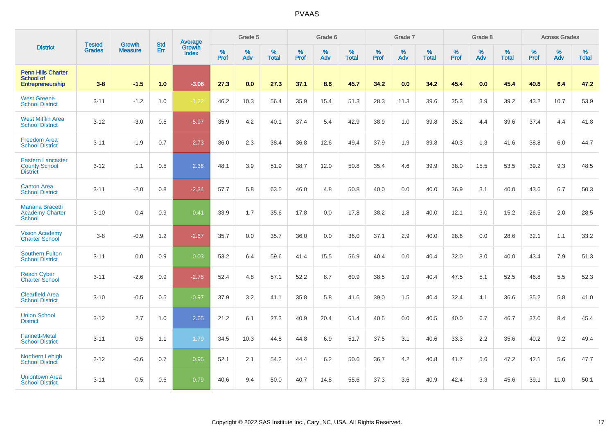|                                                                          | <b>Tested</b> | <b>Growth</b>  | <b>Std</b> | Average                       |           | Grade 5  |                   |           | Grade 6  |                   |           | Grade 7  |                   |           | Grade 8  |                   |           | <b>Across Grades</b> |                   |
|--------------------------------------------------------------------------|---------------|----------------|------------|-------------------------------|-----------|----------|-------------------|-----------|----------|-------------------|-----------|----------|-------------------|-----------|----------|-------------------|-----------|----------------------|-------------------|
| <b>District</b>                                                          | <b>Grades</b> | <b>Measure</b> | Err        | <b>Growth</b><br><b>Index</b> | %<br>Prof | %<br>Adv | %<br><b>Total</b> | %<br>Prof | %<br>Adv | %<br><b>Total</b> | %<br>Prof | %<br>Adv | %<br><b>Total</b> | %<br>Prof | %<br>Adv | %<br><b>Total</b> | %<br>Prof | %<br>Adv             | %<br><b>Total</b> |
| <b>Penn Hills Charter</b><br><b>School of</b><br><b>Entrepreneurship</b> | $3 - 8$       | $-1.5$         | 1.0        | $-3.06$                       | 27.3      | 0.0      | 27.3              | 37.1      | 8.6      | 45.7              | 34.2      | 0.0      | 34.2              | 45.4      | 0.0      | 45.4              | 40.8      | 6.4                  | 47.2              |
| <b>West Greene</b><br><b>School District</b>                             | $3 - 11$      | $-1.2$         | 1.0        | $-1.22$                       | 46.2      | 10.3     | 56.4              | 35.9      | 15.4     | 51.3              | 28.3      | 11.3     | 39.6              | 35.3      | 3.9      | 39.2              | 43.2      | 10.7                 | 53.9              |
| <b>West Mifflin Area</b><br><b>School District</b>                       | $3 - 12$      | $-3.0$         | 0.5        | $-5.97$                       | 35.9      | 4.2      | 40.1              | 37.4      | 5.4      | 42.9              | 38.9      | 1.0      | 39.8              | 35.2      | 4.4      | 39.6              | 37.4      | 4.4                  | 41.8              |
| <b>Freedom Area</b><br><b>School District</b>                            | $3 - 11$      | $-1.9$         | 0.7        | $-2.73$                       | 36.0      | 2.3      | 38.4              | 36.8      | 12.6     | 49.4              | 37.9      | 1.9      | 39.8              | 40.3      | 1.3      | 41.6              | 38.8      | 6.0                  | 44.7              |
| <b>Eastern Lancaster</b><br><b>County School</b><br><b>District</b>      | $3 - 12$      | 1.1            | 0.5        | 2.36                          | 48.1      | 3.9      | 51.9              | 38.7      | 12.0     | 50.8              | 35.4      | 4.6      | 39.9              | 38.0      | 15.5     | 53.5              | 39.2      | 9.3                  | 48.5              |
| <b>Canton Area</b><br><b>School District</b>                             | $3 - 11$      | $-2.0$         | 0.8        | $-2.34$                       | 57.7      | 5.8      | 63.5              | 46.0      | 4.8      | 50.8              | 40.0      | 0.0      | 40.0              | 36.9      | 3.1      | 40.0              | 43.6      | 6.7                  | 50.3              |
| <b>Mariana Bracetti</b><br><b>Academy Charter</b><br>School              | $3 - 10$      | 0.4            | 0.9        | 0.41                          | 33.9      | 1.7      | 35.6              | 17.8      | 0.0      | 17.8              | 38.2      | 1.8      | 40.0              | 12.1      | 3.0      | 15.2              | 26.5      | 2.0                  | 28.5              |
| <b>Vision Academy</b><br><b>Charter School</b>                           | $3 - 8$       | $-0.9$         | 1.2        | $-2.67$                       | 35.7      | 0.0      | 35.7              | 36.0      | 0.0      | 36.0              | 37.1      | 2.9      | 40.0              | 28.6      | 0.0      | 28.6              | 32.1      | 1.1                  | 33.2              |
| <b>Southern Fulton</b><br><b>School District</b>                         | $3 - 11$      | 0.0            | 0.9        | 0.03                          | 53.2      | 6.4      | 59.6              | 41.4      | 15.5     | 56.9              | 40.4      | 0.0      | 40.4              | 32.0      | 8.0      | 40.0              | 43.4      | 7.9                  | 51.3              |
| <b>Reach Cyber</b><br><b>Charter School</b>                              | $3 - 11$      | $-2.6$         | 0.9        | $-2.78$                       | 52.4      | 4.8      | 57.1              | 52.2      | 8.7      | 60.9              | 38.5      | 1.9      | 40.4              | 47.5      | 5.1      | 52.5              | 46.8      | 5.5                  | 52.3              |
| <b>Clearfield Area</b><br><b>School District</b>                         | $3 - 10$      | $-0.5$         | 0.5        | $-0.97$                       | 37.9      | 3.2      | 41.1              | 35.8      | 5.8      | 41.6              | 39.0      | 1.5      | 40.4              | 32.4      | 4.1      | 36.6              | 35.2      | 5.8                  | 41.0              |
| <b>Union School</b><br><b>District</b>                                   | $3 - 12$      | 2.7            | 1.0        | 2.65                          | 21.2      | 6.1      | 27.3              | 40.9      | 20.4     | 61.4              | 40.5      | 0.0      | 40.5              | 40.0      | 6.7      | 46.7              | 37.0      | 8.4                  | 45.4              |
| <b>Fannett-Metal</b><br><b>School District</b>                           | $3 - 11$      | 0.5            | 1.1        | 1.79                          | 34.5      | 10.3     | 44.8              | 44.8      | 6.9      | 51.7              | 37.5      | 3.1      | 40.6              | 33.3      | 2.2      | 35.6              | 40.2      | 9.2                  | 49.4              |
| Northern Lehigh<br><b>School District</b>                                | $3 - 12$      | $-0.6$         | 0.7        | 0.95                          | 52.1      | 2.1      | 54.2              | 44.4      | 6.2      | 50.6              | 36.7      | 4.2      | 40.8              | 41.7      | 5.6      | 47.2              | 42.1      | 5.6                  | 47.7              |
| <b>Uniontown Area</b><br><b>School District</b>                          | $3 - 11$      | 0.5            | 0.6        | 0.79                          | 40.6      | 9.4      | 50.0              | 40.7      | 14.8     | 55.6              | 37.3      | 3.6      | 40.9              | 42.4      | 3.3      | 45.6              | 39.1      | 11.0                 | 50.1              |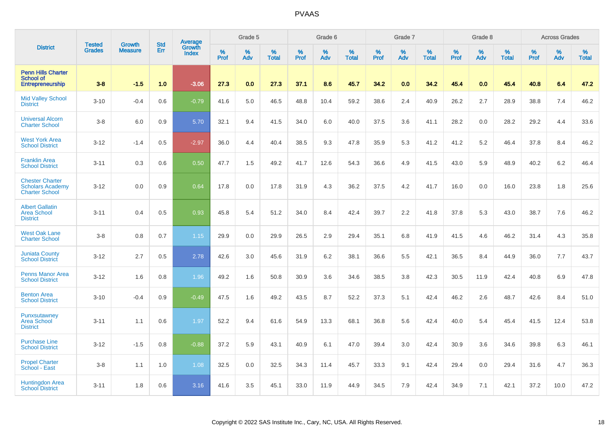|                                                                            |                                | <b>Growth</b>  | <b>Std</b> | Average                |              | Grade 5  |                   |           | Grade 6  |                   |           | Grade 7  |                   |           | Grade 8  |                   |           | <b>Across Grades</b> |                   |
|----------------------------------------------------------------------------|--------------------------------|----------------|------------|------------------------|--------------|----------|-------------------|-----------|----------|-------------------|-----------|----------|-------------------|-----------|----------|-------------------|-----------|----------------------|-------------------|
| <b>District</b>                                                            | <b>Tested</b><br><b>Grades</b> | <b>Measure</b> | Err        | Growth<br><b>Index</b> | $\%$<br>Prof | %<br>Adv | %<br><b>Total</b> | %<br>Prof | %<br>Adv | %<br><b>Total</b> | %<br>Prof | %<br>Adv | %<br><b>Total</b> | %<br>Prof | %<br>Adv | %<br><b>Total</b> | %<br>Prof | %<br>Adv             | %<br><b>Total</b> |
| <b>Penn Hills Charter</b><br><b>School of</b><br>Entrepreneurship          | $3 - 8$                        | $-1.5$         | 1.0        | $-3.06$                | 27.3         | 0.0      | 27.3              | 37.1      | 8.6      | 45.7              | 34.2      | 0.0      | 34.2              | 45.4      | 0.0      | 45.4              | 40.8      | 6.4                  | 47.2              |
| <b>Mid Valley School</b><br><b>District</b>                                | $3 - 10$                       | $-0.4$         | 0.6        | $-0.79$                | 41.6         | 5.0      | 46.5              | 48.8      | 10.4     | 59.2              | 38.6      | 2.4      | 40.9              | 26.2      | 2.7      | 28.9              | 38.8      | 7.4                  | 46.2              |
| <b>Universal Alcorn</b><br><b>Charter School</b>                           | $3-8$                          | 6.0            | 0.9        | 5.70                   | 32.1         | 9.4      | 41.5              | 34.0      | 6.0      | 40.0              | 37.5      | 3.6      | 41.1              | 28.2      | 0.0      | 28.2              | 29.2      | 4.4                  | 33.6              |
| <b>West York Area</b><br><b>School District</b>                            | $3 - 12$                       | $-1.4$         | 0.5        | $-2.97$                | 36.0         | 4.4      | 40.4              | 38.5      | 9.3      | 47.8              | 35.9      | 5.3      | 41.2              | 41.2      | 5.2      | 46.4              | 37.8      | 8.4                  | 46.2              |
| <b>Franklin Area</b><br><b>School District</b>                             | $3 - 11$                       | 0.3            | 0.6        | 0.50                   | 47.7         | 1.5      | 49.2              | 41.7      | 12.6     | 54.3              | 36.6      | 4.9      | 41.5              | 43.0      | 5.9      | 48.9              | 40.2      | 6.2                  | 46.4              |
| <b>Chester Charter</b><br><b>Scholars Academy</b><br><b>Charter School</b> | $3 - 12$                       | 0.0            | 0.9        | 0.64                   | 17.8         | 0.0      | 17.8              | 31.9      | 4.3      | 36.2              | 37.5      | 4.2      | 41.7              | 16.0      | 0.0      | 16.0              | 23.8      | 1.8                  | 25.6              |
| <b>Albert Gallatin</b><br><b>Area School</b><br><b>District</b>            | $3 - 11$                       | 0.4            | 0.5        | 0.93                   | 45.8         | 5.4      | 51.2              | 34.0      | 8.4      | 42.4              | 39.7      | 2.2      | 41.8              | 37.8      | 5.3      | 43.0              | 38.7      | 7.6                  | 46.2              |
| <b>West Oak Lane</b><br><b>Charter School</b>                              | $3-8$                          | 0.8            | 0.7        | 1.15                   | 29.9         | 0.0      | 29.9              | 26.5      | 2.9      | 29.4              | 35.1      | 6.8      | 41.9              | 41.5      | 4.6      | 46.2              | 31.4      | 4.3                  | 35.8              |
| <b>Juniata County</b><br><b>School District</b>                            | $3 - 12$                       | 2.7            | 0.5        | 2.78                   | 42.6         | 3.0      | 45.6              | 31.9      | 6.2      | 38.1              | 36.6      | 5.5      | 42.1              | 36.5      | 8.4      | 44.9              | 36.0      | 7.7                  | 43.7              |
| <b>Penns Manor Area</b><br><b>School District</b>                          | $3 - 12$                       | 1.6            | 0.8        | 1.96                   | 49.2         | 1.6      | 50.8              | 30.9      | 3.6      | 34.6              | 38.5      | 3.8      | 42.3              | 30.5      | 11.9     | 42.4              | 40.8      | 6.9                  | 47.8              |
| <b>Benton Area</b><br><b>School District</b>                               | $3 - 10$                       | $-0.4$         | 0.9        | $-0.49$                | 47.5         | 1.6      | 49.2              | 43.5      | 8.7      | 52.2              | 37.3      | 5.1      | 42.4              | 46.2      | 2.6      | 48.7              | 42.6      | 8.4                  | 51.0              |
| Punxsutawney<br><b>Area School</b><br><b>District</b>                      | $3 - 11$                       | 1.1            | 0.6        | 1.97                   | 52.2         | 9.4      | 61.6              | 54.9      | 13.3     | 68.1              | 36.8      | 5.6      | 42.4              | 40.0      | 5.4      | 45.4              | 41.5      | 12.4                 | 53.8              |
| <b>Purchase Line</b><br><b>School District</b>                             | $3 - 12$                       | $-1.5$         | 0.8        | $-0.88$                | 37.2         | 5.9      | 43.1              | 40.9      | 6.1      | 47.0              | 39.4      | 3.0      | 42.4              | 30.9      | 3.6      | 34.6              | 39.8      | 6.3                  | 46.1              |
| <b>Propel Charter</b><br>School - East                                     | $3-8$                          | 1.1            | 1.0        | 1.08                   | 32.5         | 0.0      | 32.5              | 34.3      | 11.4     | 45.7              | 33.3      | 9.1      | 42.4              | 29.4      | 0.0      | 29.4              | 31.6      | 4.7                  | 36.3              |
| <b>Huntingdon Area</b><br><b>School District</b>                           | $3 - 11$                       | 1.8            | 0.6        | 3.16                   | 41.6         | 3.5      | 45.1              | 33.0      | 11.9     | 44.9              | 34.5      | 7.9      | 42.4              | 34.9      | 7.1      | 42.1              | 37.2      | 10.0                 | 47.2              |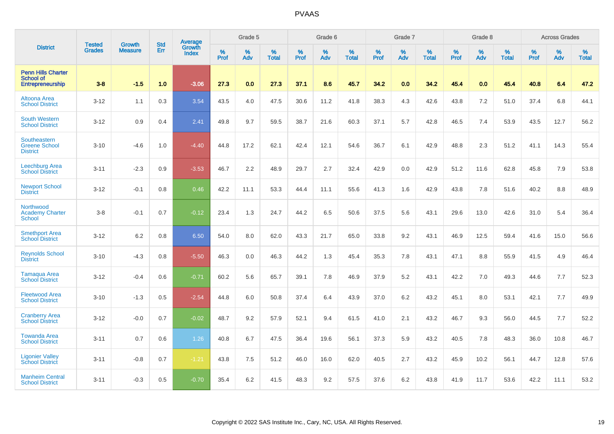|                                                                          | <b>Tested</b> | <b>Growth</b>  | <b>Std</b> | Average                       |           | Grade 5  |                   |           | Grade 6  |                   |           | Grade 7  |                   |           | Grade 8  |                   |           | <b>Across Grades</b> |                   |
|--------------------------------------------------------------------------|---------------|----------------|------------|-------------------------------|-----------|----------|-------------------|-----------|----------|-------------------|-----------|----------|-------------------|-----------|----------|-------------------|-----------|----------------------|-------------------|
| <b>District</b>                                                          | <b>Grades</b> | <b>Measure</b> | Err        | <b>Growth</b><br><b>Index</b> | %<br>Prof | %<br>Adv | %<br><b>Total</b> | %<br>Prof | %<br>Adv | %<br><b>Total</b> | %<br>Prof | %<br>Adv | %<br><b>Total</b> | %<br>Prof | %<br>Adv | %<br><b>Total</b> | %<br>Prof | %<br>Adv             | %<br><b>Total</b> |
| <b>Penn Hills Charter</b><br><b>School of</b><br><b>Entrepreneurship</b> | $3 - 8$       | $-1.5$         | 1.0        | $-3.06$                       | 27.3      | 0.0      | 27.3              | 37.1      | 8.6      | 45.7              | 34.2      | 0.0      | 34.2              | 45.4      | 0.0      | 45.4              | 40.8      | 6.4                  | 47.2              |
| Altoona Area<br><b>School District</b>                                   | $3 - 12$      | 1.1            | 0.3        | 3.54                          | 43.5      | 4.0      | 47.5              | 30.6      | 11.2     | 41.8              | 38.3      | 4.3      | 42.6              | 43.8      | 7.2      | 51.0              | 37.4      | 6.8                  | 44.1              |
| <b>South Western</b><br><b>School District</b>                           | $3 - 12$      | 0.9            | 0.4        | 2.41                          | 49.8      | 9.7      | 59.5              | 38.7      | 21.6     | 60.3              | 37.1      | 5.7      | 42.8              | 46.5      | 7.4      | 53.9              | 43.5      | 12.7                 | 56.2              |
| Southeastern<br><b>Greene School</b><br><b>District</b>                  | $3 - 10$      | $-4.6$         | 1.0        | $-4.40$                       | 44.8      | 17.2     | 62.1              | 42.4      | 12.1     | 54.6              | 36.7      | 6.1      | 42.9              | 48.8      | 2.3      | 51.2              | 41.1      | 14.3                 | 55.4              |
| Leechburg Area<br><b>School District</b>                                 | $3 - 11$      | $-2.3$         | 0.9        | $-3.53$                       | 46.7      | 2.2      | 48.9              | 29.7      | 2.7      | 32.4              | 42.9      | 0.0      | 42.9              | 51.2      | 11.6     | 62.8              | 45.8      | 7.9                  | 53.8              |
| <b>Newport School</b><br><b>District</b>                                 | $3 - 12$      | $-0.1$         | 0.8        | 0.46                          | 42.2      | 11.1     | 53.3              | 44.4      | 11.1     | 55.6              | 41.3      | 1.6      | 42.9              | 43.8      | 7.8      | 51.6              | 40.2      | 8.8                  | 48.9              |
| Northwood<br><b>Academy Charter</b><br>School                            | $3 - 8$       | $-0.1$         | 0.7        | $-0.12$                       | 23.4      | 1.3      | 24.7              | 44.2      | 6.5      | 50.6              | 37.5      | 5.6      | 43.1              | 29.6      | 13.0     | 42.6              | 31.0      | 5.4                  | 36.4              |
| <b>Smethport Area</b><br><b>School District</b>                          | $3 - 12$      | 6.2            | 0.8        | 6.50                          | 54.0      | 8.0      | 62.0              | 43.3      | 21.7     | 65.0              | 33.8      | 9.2      | 43.1              | 46.9      | 12.5     | 59.4              | 41.6      | 15.0                 | 56.6              |
| <b>Reynolds School</b><br><b>District</b>                                | $3 - 10$      | $-4.3$         | 0.8        | $-5.50$                       | 46.3      | 0.0      | 46.3              | 44.2      | 1.3      | 45.4              | 35.3      | 7.8      | 43.1              | 47.1      | 8.8      | 55.9              | 41.5      | 4.9                  | 46.4              |
| <b>Tamagua Area</b><br><b>School District</b>                            | $3 - 12$      | $-0.4$         | 0.6        | $-0.71$                       | 60.2      | 5.6      | 65.7              | 39.1      | 7.8      | 46.9              | 37.9      | 5.2      | 43.1              | 42.2      | 7.0      | 49.3              | 44.6      | 7.7                  | 52.3              |
| <b>Fleetwood Area</b><br><b>School District</b>                          | $3 - 10$      | $-1.3$         | 0.5        | $-2.54$                       | 44.8      | 6.0      | 50.8              | 37.4      | 6.4      | 43.9              | 37.0      | 6.2      | 43.2              | 45.1      | 8.0      | 53.1              | 42.1      | 7.7                  | 49.9              |
| <b>Cranberry Area</b><br><b>School District</b>                          | $3 - 12$      | $-0.0$         | 0.7        | $-0.02$                       | 48.7      | 9.2      | 57.9              | 52.1      | 9.4      | 61.5              | 41.0      | 2.1      | 43.2              | 46.7      | 9.3      | 56.0              | 44.5      | 7.7                  | 52.2              |
| <b>Towanda Area</b><br><b>School District</b>                            | $3 - 11$      | 0.7            | 0.6        | 1.26                          | 40.8      | 6.7      | 47.5              | 36.4      | 19.6     | 56.1              | 37.3      | 5.9      | 43.2              | 40.5      | 7.8      | 48.3              | 36.0      | 10.8                 | 46.7              |
| <b>Ligonier Valley</b><br><b>School District</b>                         | $3 - 11$      | $-0.8$         | 0.7        | $-1.21$                       | 43.8      | 7.5      | 51.2              | 46.0      | 16.0     | 62.0              | 40.5      | 2.7      | 43.2              | 45.9      | 10.2     | 56.1              | 44.7      | 12.8                 | 57.6              |
| <b>Manheim Central</b><br><b>School District</b>                         | $3 - 11$      | $-0.3$         | 0.5        | $-0.70$                       | 35.4      | 6.2      | 41.5              | 48.3      | 9.2      | 57.5              | 37.6      | 6.2      | 43.8              | 41.9      | 11.7     | 53.6              | 42.2      | 11.1                 | 53.2              |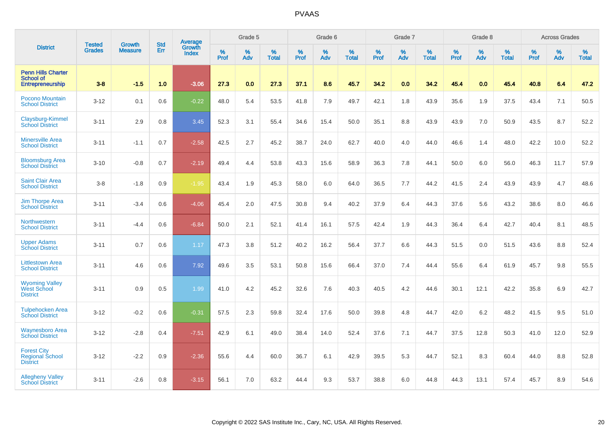|                                                                   |                                |                                 | <b>Std</b> | Average                       |           | Grade 5  |                   |           | Grade 6  |                   |           | Grade 7  |                   |           | Grade 8  |                   |           | <b>Across Grades</b> |                   |
|-------------------------------------------------------------------|--------------------------------|---------------------------------|------------|-------------------------------|-----------|----------|-------------------|-----------|----------|-------------------|-----------|----------|-------------------|-----------|----------|-------------------|-----------|----------------------|-------------------|
| <b>District</b>                                                   | <b>Tested</b><br><b>Grades</b> | <b>Growth</b><br><b>Measure</b> | Err        | <b>Growth</b><br><b>Index</b> | %<br>Prof | %<br>Adv | %<br><b>Total</b> | %<br>Prof | %<br>Adv | %<br><b>Total</b> | %<br>Prof | %<br>Adv | %<br><b>Total</b> | %<br>Prof | %<br>Adv | %<br><b>Total</b> | %<br>Prof | %<br>Adv             | %<br><b>Total</b> |
| <b>Penn Hills Charter</b><br><b>School of</b><br>Entrepreneurship | $3 - 8$                        | $-1.5$                          | 1.0        | $-3.06$                       | 27.3      | 0.0      | 27.3              | 37.1      | 8.6      | 45.7              | 34.2      | 0.0      | 34.2              | 45.4      | 0.0      | 45.4              | 40.8      | 6.4                  | 47.2              |
| Pocono Mountain<br><b>School District</b>                         | $3 - 12$                       | 0.1                             | 0.6        | $-0.22$                       | 48.0      | 5.4      | 53.5              | 41.8      | 7.9      | 49.7              | 42.1      | 1.8      | 43.9              | 35.6      | 1.9      | 37.5              | 43.4      | 7.1                  | 50.5              |
| Claysburg-Kimmel<br><b>School District</b>                        | $3 - 11$                       | 2.9                             | 0.8        | 3.45                          | 52.3      | 3.1      | 55.4              | 34.6      | 15.4     | 50.0              | 35.1      | 8.8      | 43.9              | 43.9      | 7.0      | 50.9              | 43.5      | 8.7                  | 52.2              |
| <b>Minersville Area</b><br><b>School District</b>                 | $3 - 11$                       | $-1.1$                          | 0.7        | $-2.58$                       | 42.5      | 2.7      | 45.2              | 38.7      | 24.0     | 62.7              | 40.0      | 4.0      | 44.0              | 46.6      | 1.4      | 48.0              | 42.2      | 10.0                 | 52.2              |
| <b>Bloomsburg Area</b><br><b>School District</b>                  | $3 - 10$                       | $-0.8$                          | 0.7        | $-2.19$                       | 49.4      | 4.4      | 53.8              | 43.3      | 15.6     | 58.9              | 36.3      | 7.8      | 44.1              | 50.0      | 6.0      | 56.0              | 46.3      | 11.7                 | 57.9              |
| <b>Saint Clair Area</b><br><b>School District</b>                 | $3 - 8$                        | $-1.8$                          | 0.9        | $-1.95$                       | 43.4      | 1.9      | 45.3              | 58.0      | 6.0      | 64.0              | 36.5      | 7.7      | 44.2              | 41.5      | 2.4      | 43.9              | 43.9      | 4.7                  | 48.6              |
| <b>Jim Thorpe Area</b><br><b>School District</b>                  | $3 - 11$                       | $-3.4$                          | 0.6        | $-4.06$                       | 45.4      | 2.0      | 47.5              | 30.8      | 9.4      | 40.2              | 37.9      | 6.4      | 44.3              | 37.6      | 5.6      | 43.2              | 38.6      | 8.0                  | 46.6              |
| <b>Northwestern</b><br><b>School District</b>                     | $3 - 11$                       | $-4.4$                          | 0.6        | $-6.84$                       | 50.0      | 2.1      | 52.1              | 41.4      | 16.1     | 57.5              | 42.4      | 1.9      | 44.3              | 36.4      | 6.4      | 42.7              | 40.4      | 8.1                  | 48.5              |
| <b>Upper Adams</b><br><b>School District</b>                      | $3 - 11$                       | 0.7                             | 0.6        | 1.17                          | 47.3      | 3.8      | 51.2              | 40.2      | 16.2     | 56.4              | 37.7      | 6.6      | 44.3              | 51.5      | 0.0      | 51.5              | 43.6      | 8.8                  | 52.4              |
| <b>Littlestown Area</b><br><b>School District</b>                 | $3 - 11$                       | 4.6                             | 0.6        | 7.92                          | 49.6      | 3.5      | 53.1              | 50.8      | 15.6     | 66.4              | 37.0      | 7.4      | 44.4              | 55.6      | 6.4      | 61.9              | 45.7      | 9.8                  | 55.5              |
| <b>Wyoming Valley</b><br><b>West School</b><br><b>District</b>    | $3 - 11$                       | 0.9                             | 0.5        | 1.99                          | 41.0      | 4.2      | 45.2              | 32.6      | 7.6      | 40.3              | 40.5      | 4.2      | 44.6              | 30.1      | 12.1     | 42.2              | 35.8      | 6.9                  | 42.7              |
| <b>Tulpehocken Area</b><br><b>School District</b>                 | $3 - 12$                       | $-0.2$                          | 0.6        | $-0.31$                       | 57.5      | 2.3      | 59.8              | 32.4      | 17.6     | 50.0              | 39.8      | 4.8      | 44.7              | 42.0      | 6.2      | 48.2              | 41.5      | 9.5                  | 51.0              |
| <b>Waynesboro Area</b><br><b>School District</b>                  | $3 - 12$                       | $-2.8$                          | 0.4        | $-7.51$                       | 42.9      | 6.1      | 49.0              | 38.4      | 14.0     | 52.4              | 37.6      | 7.1      | 44.7              | 37.5      | 12.8     | 50.3              | 41.0      | 12.0                 | 52.9              |
| <b>Forest City</b><br><b>Regional School</b><br><b>District</b>   | $3 - 12$                       | $-2.2$                          | 0.9        | $-2.36$                       | 55.6      | 4.4      | 60.0              | 36.7      | 6.1      | 42.9              | 39.5      | 5.3      | 44.7              | 52.1      | 8.3      | 60.4              | 44.0      | 8.8                  | 52.8              |
| <b>Allegheny Valley</b><br><b>School District</b>                 | $3 - 11$                       | $-2.6$                          | 0.8        | $-3.15$                       | 56.1      | 7.0      | 63.2              | 44.4      | 9.3      | 53.7              | 38.8      | 6.0      | 44.8              | 44.3      | 13.1     | 57.4              | 45.7      | 8.9                  | 54.6              |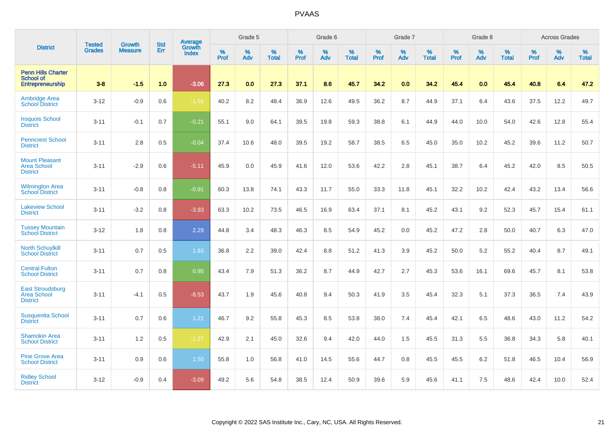|                                                                   | <b>Tested</b> | <b>Growth</b>  | <b>Std</b> | Average                       |           | Grade 5  |                   |           | Grade 6  |                   |           | Grade 7  |                   |           | Grade 8  |                   |           | <b>Across Grades</b> |                   |
|-------------------------------------------------------------------|---------------|----------------|------------|-------------------------------|-----------|----------|-------------------|-----------|----------|-------------------|-----------|----------|-------------------|-----------|----------|-------------------|-----------|----------------------|-------------------|
| <b>District</b>                                                   | <b>Grades</b> | <b>Measure</b> | Err        | <b>Growth</b><br><b>Index</b> | %<br>Prof | %<br>Adv | %<br><b>Total</b> | %<br>Prof | %<br>Adv | %<br><b>Total</b> | %<br>Prof | %<br>Adv | %<br><b>Total</b> | %<br>Prof | %<br>Adv | %<br><b>Total</b> | %<br>Prof | %<br>Adv             | %<br><b>Total</b> |
| <b>Penn Hills Charter</b><br><b>School of</b><br>Entrepreneurship | $3 - 8$       | $-1.5$         | 1.0        | $-3.06$                       | 27.3      | 0.0      | 27.3              | 37.1      | 8.6      | 45.7              | 34.2      | 0.0      | 34.2              | 45.4      | 0.0      | 45.4              | 40.8      | 6.4                  | 47.2              |
| <b>Ambridge Area</b><br><b>School District</b>                    | $3 - 12$      | $-0.9$         | 0.6        | $-1.55$                       | 40.2      | 8.2      | 48.4              | 36.9      | 12.6     | 49.5              | 36.2      | 8.7      | 44.9              | 37.1      | 6.4      | 43.6              | 37.5      | 12.2                 | 49.7              |
| <b>Iroquois School</b><br><b>District</b>                         | $3 - 11$      | $-0.1$         | 0.7        | $-0.21$                       | 55.1      | 9.0      | 64.1              | 39.5      | 19.8     | 59.3              | 38.8      | 6.1      | 44.9              | 44.0      | 10.0     | 54.0              | 42.6      | 12.8                 | 55.4              |
| <b>Penncrest School</b><br><b>District</b>                        | $3 - 11$      | 2.8            | 0.5        | $-0.04$                       | 37.4      | 10.6     | 48.0              | 39.5      | 19.2     | 58.7              | 38.5      | 6.5      | 45.0              | 35.0      | 10.2     | 45.2              | 39.6      | 11.2                 | 50.7              |
| <b>Mount Pleasant</b><br><b>Area School</b><br><b>District</b>    | $3 - 11$      | $-2.9$         | 0.6        | $-5.11$                       | 45.9      | 0.0      | 45.9              | 41.6      | 12.0     | 53.6              | 42.2      | 2.8      | 45.1              | 38.7      | 6.4      | 45.2              | 42.0      | 8.5                  | 50.5              |
| <b>Wilmington Area</b><br><b>School District</b>                  | $3 - 11$      | $-0.8$         | 0.8        | $-0.91$                       | 60.3      | 13.8     | 74.1              | 43.3      | 11.7     | 55.0              | 33.3      | 11.8     | 45.1              | 32.2      | 10.2     | 42.4              | 43.2      | 13.4                 | 56.6              |
| <b>Lakeview School</b><br><b>District</b>                         | $3 - 11$      | $-3.2$         | 0.8        | $-3.93$                       | 63.3      | 10.2     | 73.5              | 46.5      | 16.9     | 63.4              | 37.1      | 8.1      | 45.2              | 43.1      | 9.2      | 52.3              | 45.7      | 15.4                 | 61.1              |
| <b>Tussey Mountain</b><br><b>School District</b>                  | $3 - 12$      | 1.8            | 0.8        | 2.29                          | 44.8      | 3.4      | 48.3              | 46.3      | 8.5      | 54.9              | 45.2      | 0.0      | 45.2              | 47.2      | 2.8      | 50.0              | 40.7      | 6.3                  | 47.0              |
| <b>North Schuylkill</b><br><b>School District</b>                 | $3 - 11$      | 0.7            | 0.5        | 1.83                          | 36.8      | 2.2      | 39.0              | 42.4      | 8.8      | 51.2              | 41.3      | 3.9      | 45.2              | 50.0      | 5.2      | 55.2              | 40.4      | 8.7                  | 49.1              |
| <b>Central Fulton</b><br><b>School District</b>                   | $3 - 11$      | 0.7            | 0.8        | 0.95                          | 43.4      | 7.9      | 51.3              | 36.2      | 8.7      | 44.9              | 42.7      | 2.7      | 45.3              | 53.6      | 16.1     | 69.6              | 45.7      | 8.1                  | 53.8              |
| <b>East Stroudsburg</b><br><b>Area School</b><br><b>District</b>  | $3 - 11$      | $-4.1$         | 0.5        | $-8.53$                       | 43.7      | 1.9      | 45.6              | 40.8      | 9.4      | 50.3              | 41.9      | 3.5      | 45.4              | 32.3      | 5.1      | 37.3              | 36.5      | 7.4                  | 43.9              |
| <b>Susquenita School</b><br><b>District</b>                       | $3 - 11$      | 0.7            | 0.6        | 1.21                          | 46.7      | 9.2      | 55.8              | 45.3      | 8.5      | 53.8              | 38.0      | 7.4      | 45.4              | 42.1      | 6.5      | 48.6              | 43.0      | 11.2                 | 54.2              |
| <b>Shamokin Area</b><br><b>School District</b>                    | $3 - 11$      | 1.2            | 0.5        | $-1.27$                       | 42.9      | 2.1      | 45.0              | 32.6      | 9.4      | 42.0              | 44.0      | 1.5      | 45.5              | 31.3      | 5.5      | 36.8              | 34.3      | 5.8                  | 40.1              |
| <b>Pine Grove Area</b><br><b>School District</b>                  | $3 - 11$      | 0.9            | 0.6        | 1.50                          | 55.8      | 1.0      | 56.8              | 41.0      | 14.5     | 55.6              | 44.7      | 0.8      | 45.5              | 45.5      | 6.2      | 51.8              | 46.5      | 10.4                 | 56.9              |
| <b>Ridley School</b><br><b>District</b>                           | $3 - 12$      | $-0.9$         | 0.4        | $-3.09$                       | 49.2      | 5.6      | 54.8              | 38.5      | 12.4     | 50.9              | 39.6      | 5.9      | 45.6              | 41.1      | 7.5      | 48.6              | 42.4      | 10.0                 | 52.4              |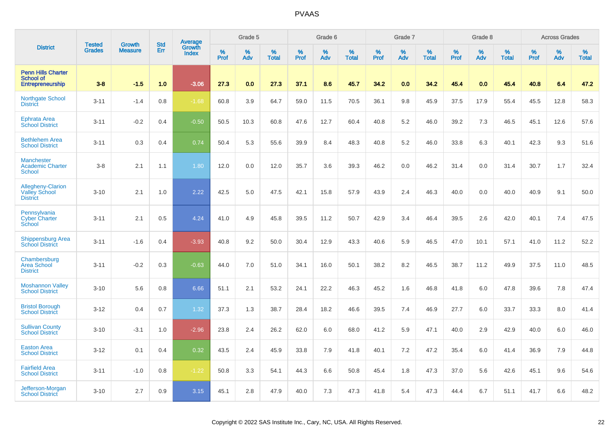|                                                                   | <b>Tested</b> | <b>Growth</b>  | <b>Std</b> | <b>Average</b><br>Growth |           | Grade 5  |                   |           | Grade 6  |                   |           | Grade 7  |                   |           | Grade 8  |                   |           | <b>Across Grades</b> |                   |
|-------------------------------------------------------------------|---------------|----------------|------------|--------------------------|-----------|----------|-------------------|-----------|----------|-------------------|-----------|----------|-------------------|-----------|----------|-------------------|-----------|----------------------|-------------------|
| <b>District</b>                                                   | <b>Grades</b> | <b>Measure</b> | Err        | <b>Index</b>             | %<br>Prof | %<br>Adv | %<br><b>Total</b> | %<br>Prof | %<br>Adv | %<br><b>Total</b> | %<br>Prof | %<br>Adv | %<br><b>Total</b> | %<br>Prof | %<br>Adv | %<br><b>Total</b> | %<br>Prof | %<br>Adv             | %<br><b>Total</b> |
| <b>Penn Hills Charter</b><br><b>School of</b><br>Entrepreneurship | $3 - 8$       | $-1.5$         | 1.0        | $-3.06$                  | 27.3      | 0.0      | 27.3              | 37.1      | 8.6      | 45.7              | 34.2      | 0.0      | 34.2              | 45.4      | 0.0      | 45.4              | 40.8      | 6.4                  | 47.2              |
| <b>Northgate School</b><br><b>District</b>                        | $3 - 11$      | $-1.4$         | 0.8        | $-1.68$                  | 60.8      | 3.9      | 64.7              | 59.0      | 11.5     | 70.5              | 36.1      | 9.8      | 45.9              | 37.5      | 17.9     | 55.4              | 45.5      | 12.8                 | 58.3              |
| <b>Ephrata Area</b><br><b>School District</b>                     | $3 - 11$      | $-0.2$         | 0.4        | $-0.50$                  | 50.5      | 10.3     | 60.8              | 47.6      | 12.7     | 60.4              | 40.8      | 5.2      | 46.0              | 39.2      | 7.3      | 46.5              | 45.1      | 12.6                 | 57.6              |
| <b>Bethlehem Area</b><br><b>School District</b>                   | $3 - 11$      | 0.3            | 0.4        | 0.74                     | 50.4      | 5.3      | 55.6              | 39.9      | 8.4      | 48.3              | 40.8      | 5.2      | 46.0              | 33.8      | 6.3      | 40.1              | 42.3      | 9.3                  | 51.6              |
| <b>Manchester</b><br><b>Academic Charter</b><br><b>School</b>     | $3 - 8$       | 2.1            | 1.1        | 1.80                     | 12.0      | 0.0      | 12.0              | 35.7      | 3.6      | 39.3              | 46.2      | 0.0      | 46.2              | 31.4      | 0.0      | 31.4              | 30.7      | 1.7                  | 32.4              |
| Allegheny-Clarion<br><b>Valley School</b><br><b>District</b>      | $3 - 10$      | 2.1            | 1.0        | 2.22                     | 42.5      | 5.0      | 47.5              | 42.1      | 15.8     | 57.9              | 43.9      | 2.4      | 46.3              | 40.0      | 0.0      | 40.0              | 40.9      | 9.1                  | 50.0              |
| Pennsylvania<br><b>Cyber Charter</b><br>School                    | $3 - 11$      | 2.1            | 0.5        | 4.24                     | 41.0      | 4.9      | 45.8              | 39.5      | 11.2     | 50.7              | 42.9      | 3.4      | 46.4              | 39.5      | 2.6      | 42.0              | 40.1      | 7.4                  | 47.5              |
| <b>Shippensburg Area</b><br><b>School District</b>                | $3 - 11$      | $-1.6$         | 0.4        | $-3.93$                  | 40.8      | 9.2      | 50.0              | 30.4      | 12.9     | 43.3              | 40.6      | 5.9      | 46.5              | 47.0      | 10.1     | 57.1              | 41.0      | 11.2                 | 52.2              |
| Chambersburg<br><b>Area School</b><br><b>District</b>             | $3 - 11$      | $-0.2$         | 0.3        | $-0.63$                  | 44.0      | 7.0      | 51.0              | 34.1      | 16.0     | 50.1              | 38.2      | 8.2      | 46.5              | 38.7      | 11.2     | 49.9              | 37.5      | 11.0                 | 48.5              |
| <b>Moshannon Valley</b><br><b>School District</b>                 | $3 - 10$      | 5.6            | 0.8        | 6.66                     | 51.1      | 2.1      | 53.2              | 24.1      | 22.2     | 46.3              | 45.2      | 1.6      | 46.8              | 41.8      | 6.0      | 47.8              | 39.6      | 7.8                  | 47.4              |
| <b>Bristol Borough</b><br><b>School District</b>                  | $3 - 12$      | 0.4            | 0.7        | 1.32                     | 37.3      | 1.3      | 38.7              | 28.4      | 18.2     | 46.6              | 39.5      | 7.4      | 46.9              | 27.7      | 6.0      | 33.7              | 33.3      | 8.0                  | 41.4              |
| <b>Sullivan County</b><br><b>School District</b>                  | $3 - 10$      | $-3.1$         | 1.0        | $-2.96$                  | 23.8      | 2.4      | 26.2              | 62.0      | 6.0      | 68.0              | 41.2      | 5.9      | 47.1              | 40.0      | 2.9      | 42.9              | 40.0      | 6.0                  | 46.0              |
| <b>Easton Area</b><br><b>School District</b>                      | $3 - 12$      | 0.1            | 0.4        | 0.32                     | 43.5      | 2.4      | 45.9              | 33.8      | 7.9      | 41.8              | 40.1      | 7.2      | 47.2              | 35.4      | 6.0      | 41.4              | 36.9      | 7.9                  | 44.8              |
| <b>Fairfield Area</b><br><b>School District</b>                   | $3 - 11$      | $-1.0$         | 0.8        | $-1.22$                  | 50.8      | 3.3      | 54.1              | 44.3      | 6.6      | 50.8              | 45.4      | 1.8      | 47.3              | 37.0      | 5.6      | 42.6              | 45.1      | 9.6                  | 54.6              |
| Jefferson-Morgan<br><b>School District</b>                        | $3 - 10$      | 2.7            | 0.9        | 3.15                     | 45.1      | 2.8      | 47.9              | 40.0      | 7.3      | 47.3              | 41.8      | 5.4      | 47.3              | 44.4      | 6.7      | 51.1              | 41.7      | 6.6                  | 48.2              |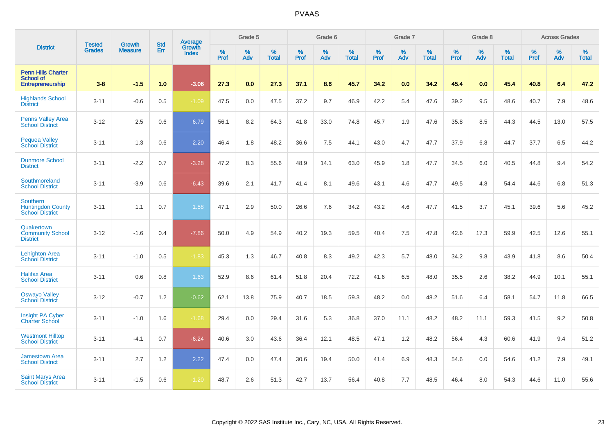|                                                                   | <b>Tested</b> | <b>Growth</b>  | <b>Std</b> | Average                       |                     | Grade 5  |                   |           | Grade 6  |                   |           | Grade 7  |                   |           | Grade 8  |                   |           | <b>Across Grades</b> |                   |
|-------------------------------------------------------------------|---------------|----------------|------------|-------------------------------|---------------------|----------|-------------------|-----------|----------|-------------------|-----------|----------|-------------------|-----------|----------|-------------------|-----------|----------------------|-------------------|
| <b>District</b>                                                   | <b>Grades</b> | <b>Measure</b> | Err        | <b>Growth</b><br><b>Index</b> | $\%$<br><b>Prof</b> | %<br>Adv | %<br><b>Total</b> | %<br>Prof | %<br>Adv | %<br><b>Total</b> | %<br>Prof | %<br>Adv | %<br><b>Total</b> | %<br>Prof | %<br>Adv | %<br><b>Total</b> | %<br>Prof | %<br>Adv             | %<br><b>Total</b> |
| <b>Penn Hills Charter</b><br><b>School of</b><br>Entrepreneurship | $3 - 8$       | $-1.5$         | 1.0        | $-3.06$                       | 27.3                | 0.0      | 27.3              | 37.1      | 8.6      | 45.7              | 34.2      | 0.0      | 34.2              | 45.4      | 0.0      | 45.4              | 40.8      | 6.4                  | 47.2              |
| <b>Highlands School</b><br><b>District</b>                        | $3 - 11$      | $-0.6$         | 0.5        | $-1.09$                       | 47.5                | 0.0      | 47.5              | 37.2      | 9.7      | 46.9              | 42.2      | 5.4      | 47.6              | 39.2      | 9.5      | 48.6              | 40.7      | 7.9                  | 48.6              |
| <b>Penns Valley Area</b><br><b>School District</b>                | $3 - 12$      | 2.5            | 0.6        | 6.79                          | 56.1                | 8.2      | 64.3              | 41.8      | 33.0     | 74.8              | 45.7      | 1.9      | 47.6              | 35.8      | 8.5      | 44.3              | 44.5      | 13.0                 | 57.5              |
| <b>Pequea Valley</b><br><b>School District</b>                    | $3 - 11$      | 1.3            | 0.6        | 2.20                          | 46.4                | 1.8      | 48.2              | 36.6      | 7.5      | 44.1              | 43.0      | 4.7      | 47.7              | 37.9      | 6.8      | 44.7              | 37.7      | 6.5                  | 44.2              |
| <b>Dunmore School</b><br><b>District</b>                          | $3 - 11$      | $-2.2$         | 0.7        | $-3.28$                       | 47.2                | 8.3      | 55.6              | 48.9      | 14.1     | 63.0              | 45.9      | 1.8      | 47.7              | 34.5      | 6.0      | 40.5              | 44.8      | 9.4                  | 54.2              |
| Southmoreland<br><b>School District</b>                           | $3 - 11$      | $-3.9$         | 0.6        | $-6.43$                       | 39.6                | 2.1      | 41.7              | 41.4      | 8.1      | 49.6              | 43.1      | 4.6      | 47.7              | 49.5      | 4.8      | 54.4              | 44.6      | 6.8                  | 51.3              |
| Southern<br><b>Huntingdon County</b><br><b>School District</b>    | $3 - 11$      | 1.1            | 0.7        | 1.58                          | 47.1                | 2.9      | 50.0              | 26.6      | 7.6      | 34.2              | 43.2      | 4.6      | 47.7              | 41.5      | 3.7      | 45.1              | 39.6      | 5.6                  | 45.2              |
| Quakertown<br><b>Community School</b><br><b>District</b>          | $3 - 12$      | $-1.6$         | 0.4        | $-7.86$                       | 50.0                | 4.9      | 54.9              | 40.2      | 19.3     | 59.5              | 40.4      | 7.5      | 47.8              | 42.6      | 17.3     | 59.9              | 42.5      | 12.6                 | 55.1              |
| <b>Lehighton Area</b><br><b>School District</b>                   | $3 - 11$      | $-1.0$         | 0.5        | $-1.83$                       | 45.3                | 1.3      | 46.7              | 40.8      | 8.3      | 49.2              | 42.3      | 5.7      | 48.0              | 34.2      | 9.8      | 43.9              | 41.8      | 8.6                  | 50.4              |
| <b>Halifax Area</b><br><b>School District</b>                     | $3 - 11$      | 0.6            | 0.8        | 1.63                          | 52.9                | 8.6      | 61.4              | 51.8      | 20.4     | 72.2              | 41.6      | 6.5      | 48.0              | 35.5      | 2.6      | 38.2              | 44.9      | 10.1                 | 55.1              |
| <b>Oswayo Valley</b><br><b>School District</b>                    | $3 - 12$      | $-0.7$         | 1.2        | $-0.62$                       | 62.1                | 13.8     | 75.9              | 40.7      | 18.5     | 59.3              | 48.2      | 0.0      | 48.2              | 51.6      | 6.4      | 58.1              | 54.7      | 11.8                 | 66.5              |
| <b>Insight PA Cyber</b><br><b>Charter School</b>                  | $3 - 11$      | $-1.0$         | 1.6        | $-1.68$                       | 29.4                | 0.0      | 29.4              | 31.6      | 5.3      | 36.8              | 37.0      | 11.1     | 48.2              | 48.2      | 11.1     | 59.3              | 41.5      | 9.2                  | 50.8              |
| <b>Westmont Hilltop</b><br><b>School District</b>                 | $3 - 11$      | $-4.1$         | 0.7        | $-6.24$                       | 40.6                | 3.0      | 43.6              | 36.4      | 12.1     | 48.5              | 47.1      | 1.2      | 48.2              | 56.4      | 4.3      | 60.6              | 41.9      | 9.4                  | 51.2              |
| <b>Jamestown Area</b><br><b>School District</b>                   | $3 - 11$      | 2.7            | 1.2        | 2.22                          | 47.4                | 0.0      | 47.4              | 30.6      | 19.4     | 50.0              | 41.4      | 6.9      | 48.3              | 54.6      | 0.0      | 54.6              | 41.2      | 7.9                  | 49.1              |
| <b>Saint Marys Area</b><br><b>School District</b>                 | $3 - 11$      | $-1.5$         | 0.6        | $-1.20$                       | 48.7                | 2.6      | 51.3              | 42.7      | 13.7     | 56.4              | 40.8      | 7.7      | 48.5              | 46.4      | 8.0      | 54.3              | 44.6      | 11.0                 | 55.6              |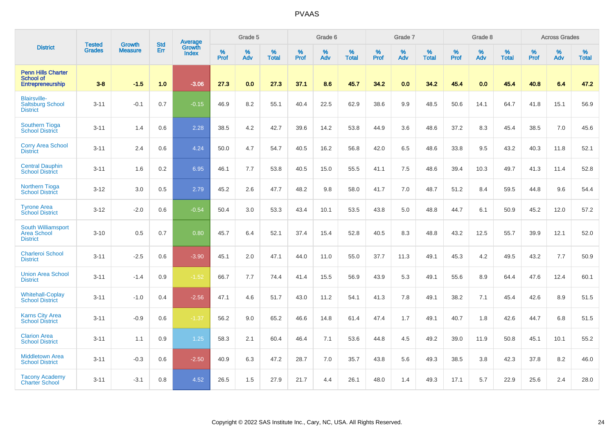|                                                                   |                                |                                 | <b>Std</b> | Average                       |           | Grade 5  |                   |           | Grade 6  |                   |           | Grade 7  |                   |           | Grade 8  |                   |           | <b>Across Grades</b> |                   |
|-------------------------------------------------------------------|--------------------------------|---------------------------------|------------|-------------------------------|-----------|----------|-------------------|-----------|----------|-------------------|-----------|----------|-------------------|-----------|----------|-------------------|-----------|----------------------|-------------------|
| <b>District</b>                                                   | <b>Tested</b><br><b>Grades</b> | <b>Growth</b><br><b>Measure</b> | Err        | <b>Growth</b><br><b>Index</b> | %<br>Prof | %<br>Adv | %<br><b>Total</b> | %<br>Prof | %<br>Adv | %<br><b>Total</b> | %<br>Prof | %<br>Adv | %<br><b>Total</b> | %<br>Prof | %<br>Adv | %<br><b>Total</b> | %<br>Prof | %<br>Adv             | %<br><b>Total</b> |
| <b>Penn Hills Charter</b><br><b>School of</b><br>Entrepreneurship | $3 - 8$                        | $-1.5$                          | 1.0        | $-3.06$                       | 27.3      | 0.0      | 27.3              | 37.1      | 8.6      | 45.7              | 34.2      | 0.0      | 34.2              | 45.4      | 0.0      | 45.4              | 40.8      | 6.4                  | 47.2              |
| <b>Blairsville-</b><br><b>Saltsburg School</b><br><b>District</b> | $3 - 11$                       | $-0.1$                          | 0.7        | $-0.15$                       | 46.9      | 8.2      | 55.1              | 40.4      | 22.5     | 62.9              | 38.6      | 9.9      | 48.5              | 50.6      | 14.1     | 64.7              | 41.8      | 15.1                 | 56.9              |
| <b>Southern Tioga</b><br><b>School District</b>                   | $3 - 11$                       | 1.4                             | 0.6        | 2.28                          | 38.5      | 4.2      | 42.7              | 39.6      | 14.2     | 53.8              | 44.9      | 3.6      | 48.6              | 37.2      | 8.3      | 45.4              | 38.5      | 7.0                  | 45.6              |
| <b>Corry Area School</b><br><b>District</b>                       | $3 - 11$                       | 2.4                             | 0.6        | 4.24                          | 50.0      | 4.7      | 54.7              | 40.5      | 16.2     | 56.8              | 42.0      | 6.5      | 48.6              | 33.8      | 9.5      | 43.2              | 40.3      | 11.8                 | 52.1              |
| <b>Central Dauphin</b><br><b>School District</b>                  | $3 - 11$                       | 1.6                             | 0.2        | 6.95                          | 46.1      | 7.7      | 53.8              | 40.5      | 15.0     | 55.5              | 41.1      | 7.5      | 48.6              | 39.4      | 10.3     | 49.7              | 41.3      | 11.4                 | 52.8              |
| Northern Tioga<br><b>School District</b>                          | $3 - 12$                       | 3.0                             | 0.5        | 2.79                          | 45.2      | 2.6      | 47.7              | 48.2      | 9.8      | 58.0              | 41.7      | 7.0      | 48.7              | 51.2      | 8.4      | 59.5              | 44.8      | 9.6                  | 54.4              |
| <b>Tyrone Area</b><br><b>School District</b>                      | $3 - 12$                       | $-2.0$                          | 0.6        | $-0.54$                       | 50.4      | 3.0      | 53.3              | 43.4      | 10.1     | 53.5              | 43.8      | 5.0      | 48.8              | 44.7      | 6.1      | 50.9              | 45.2      | 12.0                 | 57.2              |
| South Williamsport<br><b>Area School</b><br><b>District</b>       | $3 - 10$                       | 0.5                             | 0.7        | 0.80                          | 45.7      | 6.4      | 52.1              | 37.4      | 15.4     | 52.8              | 40.5      | 8.3      | 48.8              | 43.2      | 12.5     | 55.7              | 39.9      | 12.1                 | 52.0              |
| <b>Charleroi School</b><br><b>District</b>                        | $3 - 11$                       | $-2.5$                          | 0.6        | $-3.90$                       | 45.1      | 2.0      | 47.1              | 44.0      | 11.0     | 55.0              | 37.7      | 11.3     | 49.1              | 45.3      | 4.2      | 49.5              | 43.2      | 7.7                  | 50.9              |
| <b>Union Area School</b><br><b>District</b>                       | $3 - 11$                       | $-1.4$                          | 0.9        | $-1.52$                       | 66.7      | 7.7      | 74.4              | 41.4      | 15.5     | 56.9              | 43.9      | 5.3      | 49.1              | 55.6      | 8.9      | 64.4              | 47.6      | 12.4                 | 60.1              |
| <b>Whitehall-Coplay</b><br><b>School District</b>                 | $3 - 11$                       | $-1.0$                          | 0.4        | $-2.56$                       | 47.1      | 4.6      | 51.7              | 43.0      | 11.2     | 54.1              | 41.3      | 7.8      | 49.1              | 38.2      | 7.1      | 45.4              | 42.6      | 8.9                  | 51.5              |
| <b>Karns City Area</b><br><b>School District</b>                  | $3 - 11$                       | $-0.9$                          | 0.6        | $-1.37$                       | 56.2      | 9.0      | 65.2              | 46.6      | 14.8     | 61.4              | 47.4      | 1.7      | 49.1              | 40.7      | 1.8      | 42.6              | 44.7      | 6.8                  | 51.5              |
| <b>Clarion Area</b><br><b>School District</b>                     | $3 - 11$                       | 1.1                             | 0.9        | $1.25$                        | 58.3      | 2.1      | 60.4              | 46.4      | 7.1      | 53.6              | 44.8      | 4.5      | 49.2              | 39.0      | 11.9     | 50.8              | 45.1      | 10.1                 | 55.2              |
| <b>Middletown Area</b><br><b>School District</b>                  | $3 - 11$                       | $-0.3$                          | 0.6        | $-2.50$                       | 40.9      | 6.3      | 47.2              | 28.7      | 7.0      | 35.7              | 43.8      | 5.6      | 49.3              | 38.5      | 3.8      | 42.3              | 37.8      | 8.2                  | 46.0              |
| <b>Tacony Academy</b><br><b>Charter School</b>                    | $3 - 11$                       | $-3.1$                          | 0.8        | 4.52                          | 26.5      | 1.5      | 27.9              | 21.7      | 4.4      | 26.1              | 48.0      | 1.4      | 49.3              | 17.1      | 5.7      | 22.9              | 25.6      | 2.4                  | 28.0              |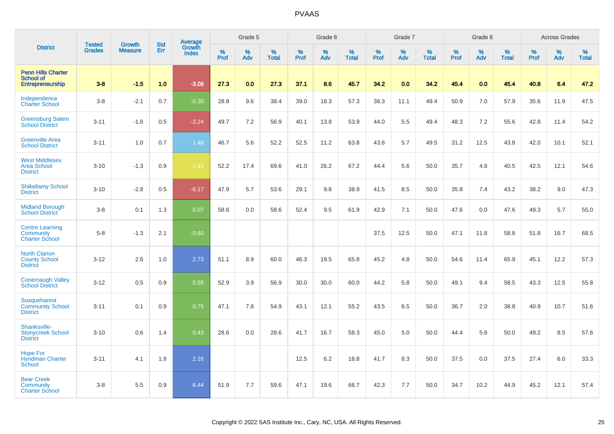|                                                                          |                         |                                 |                   | Average                |              | Grade 5  |                      |              | Grade 6  |                   |              | Grade 7  |                   |              | Grade 8     |                      |              | <b>Across Grades</b> |                   |
|--------------------------------------------------------------------------|-------------------------|---------------------------------|-------------------|------------------------|--------------|----------|----------------------|--------------|----------|-------------------|--------------|----------|-------------------|--------------|-------------|----------------------|--------------|----------------------|-------------------|
| <b>District</b>                                                          | <b>Tested</b><br>Grades | <b>Growth</b><br><b>Measure</b> | <b>Std</b><br>Err | Growth<br><b>Index</b> | $\%$<br>Prof | %<br>Adv | $\%$<br><b>Total</b> | $\%$<br>Prof | %<br>Adv | %<br><b>Total</b> | $\%$<br>Prof | %<br>Adv | %<br><b>Total</b> | $\%$<br>Prof | $\%$<br>Adv | $\%$<br><b>Total</b> | $\%$<br>Prof | %<br>Adv             | %<br><b>Total</b> |
| <b>Penn Hills Charter</b><br><b>School of</b><br><b>Entrepreneurship</b> | $3-8$                   | $-1.5$                          | 1.0               | $-3.06$                | 27.3         | 0.0      | 27.3                 | 37.1         | 8.6      | 45.7              | 34.2         | 0.0      | 34.2              | 45.4         | 0.0         | 45.4                 | 40.8         | 6.4                  | 47.2              |
| Independence<br><b>Charter School</b>                                    | $3-8$                   | $-2.1$                          | 0.7               | $-0.30$                | 28.8         | 9.6      | 38.4                 | 39.0         | 18.3     | 57.3              | 38.3         | 11.1     | 49.4              | 50.9         | 7.0         | 57.9                 | 35.6         | 11.9                 | 47.5              |
| <b>Greensburg Salem</b><br><b>School District</b>                        | $3 - 11$                | $-1.6$                          | 0.5               | $-3.24$                | 49.7         | 7.2      | 56.9                 | 40.1         | 13.8     | 53.9              | 44.0         | 5.5      | 49.4              | 48.3         | 7.2         | 55.6                 | 42.8         | 11.4                 | 54.2              |
| <b>Greenville Area</b><br><b>School District</b>                         | $3 - 11$                | 1.0                             | 0.7               | 1.48                   | 46.7         | 5.6      | 52.2                 | 52.5         | 11.2     | 63.8              | 43.8         | 5.7      | 49.5              | 31.2         | 12.5        | 43.8                 | 42.0         | 10.1                 | 52.1              |
| <b>West Middlesex</b><br><b>Area School</b><br><b>District</b>           | $3 - 10$                | $-1.3$                          | 0.9               | $-1.43$                | 52.2         | 17.4     | 69.6                 | 41.0         | 26.2     | 67.2              | 44.4         | 5.6      | 50.0              | 35.7         | 4.8         | 40.5                 | 42.5         | 12.1                 | 54.6              |
| <b>Shikellamy School</b><br><b>District</b>                              | $3 - 10$                | $-2.8$                          | 0.5               | $-6.17$                | 47.9         | 5.7      | 53.6                 | 29.1         | 9.8      | 38.9              | 41.5         | 8.5      | 50.0              | 35.8         | 7.4         | 43.2                 | 38.2         | 9.0                  | 47.3              |
| <b>Midland Borough</b><br><b>School District</b>                         | $3-8$                   | 0.1                             | 1.3               | 0.07                   | 58.6         | 0.0      | 58.6                 | 52.4         | 9.5      | 61.9              | 42.9         | 7.1      | 50.0              | 47.6         | 0.0         | 47.6                 | 49.3         | 5.7                  | 55.0              |
| <b>Centre Learning</b><br>Community<br><b>Charter School</b>             | $5 - 8$                 | $-1.3$                          | 2.1               | $-0.60$                |              |          |                      |              |          |                   | 37.5         | 12.5     | 50.0              | 47.1         | 11.8        | 58.8                 | 51.8         | 16.7                 | 68.5              |
| <b>North Clarion</b><br><b>County School</b><br><b>District</b>          | $3 - 12$                | 2.6                             | 1.0               | 2.73                   | 51.1         | 8.9      | 60.0                 | 46.3         | 19.5     | 65.8              | 45.2         | 4.8      | 50.0              | 54.6         | 11.4        | 65.9                 | 45.1         | 12.2                 | 57.3              |
| <b>Conemaugh Valley</b><br><b>School District</b>                        | $3 - 12$                | 0.5                             | 0.9               | 0.55                   | 52.9         | 3.9      | 56.9                 | 30.0         | 30.0     | 60.0              | 44.2         | 5.8      | 50.0              | 49.1         | 9.4         | 58.5                 | 43.3         | 12.5                 | 55.8              |
| Susquehanna<br><b>Community School</b><br><b>District</b>                | $3 - 11$                | 0.1                             | 0.9               | 0.75                   | 47.1         | 7.8      | 54.9                 | 43.1         | 12.1     | 55.2              | 43.5         | 6.5      | 50.0              | 36.7         | 2.0         | 38.8                 | 40.9         | 10.7                 | 51.6              |
| Shanksville-<br><b>Stonycreek School</b><br><b>District</b>              | $3 - 10$                | 0.6                             | 1.4               | 0.43                   | 28.6         | 0.0      | 28.6                 | 41.7         | 16.7     | 58.3              | 45.0         | 5.0      | 50.0              | 44.4         | 5.6         | 50.0                 | 49.2         | 8.5                  | 57.6              |
| <b>Hope For</b><br><b>Hyndman Charter</b><br>School                      | $3 - 11$                | 4.1                             | 1.9               | 2.16                   |              |          |                      | 12.5         | 6.2      | 18.8              | 41.7         | 8.3      | 50.0              | 37.5         | 0.0         | 37.5                 | 27.4         | 6.0                  | 33.3              |
| <b>Bear Creek</b><br>Community<br><b>Charter School</b>                  | $3-8$                   | 5.5                             | 0.9               | 6.44                   | 51.9         | 7.7      | 59.6                 | 47.1         | 19.6     | 66.7              | 42.3         | 7.7      | 50.0              | 34.7         | 10.2        | 44.9                 | 45.2         | 12.1                 | 57.4              |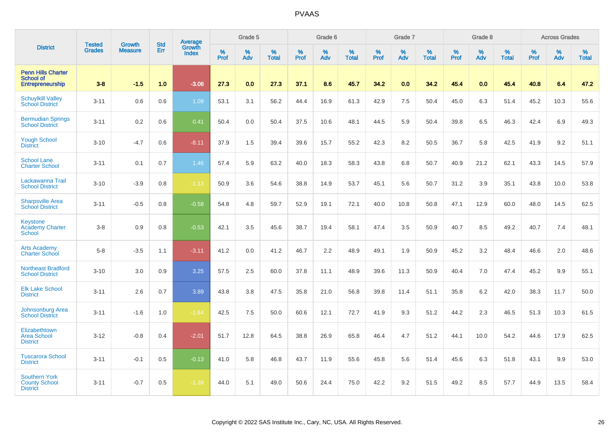|                                                                   |                                |                                 | <b>Std</b> | Average                       |           | Grade 5  |                   |           | Grade 6  |                   |           | Grade 7  |                   |           | Grade 8  |                   |           | <b>Across Grades</b> |                   |
|-------------------------------------------------------------------|--------------------------------|---------------------------------|------------|-------------------------------|-----------|----------|-------------------|-----------|----------|-------------------|-----------|----------|-------------------|-----------|----------|-------------------|-----------|----------------------|-------------------|
| <b>District</b>                                                   | <b>Tested</b><br><b>Grades</b> | <b>Growth</b><br><b>Measure</b> | Err        | <b>Growth</b><br><b>Index</b> | %<br>Prof | %<br>Adv | %<br><b>Total</b> | %<br>Prof | %<br>Adv | %<br><b>Total</b> | %<br>Prof | %<br>Adv | %<br><b>Total</b> | %<br>Prof | %<br>Adv | %<br><b>Total</b> | %<br>Prof | %<br>Adv             | %<br><b>Total</b> |
| <b>Penn Hills Charter</b><br><b>School of</b><br>Entrepreneurship | $3 - 8$                        | $-1.5$                          | 1.0        | $-3.06$                       | 27.3      | 0.0      | 27.3              | 37.1      | 8.6      | 45.7              | 34.2      | 0.0      | 34.2              | 45.4      | 0.0      | 45.4              | 40.8      | 6.4                  | 47.2              |
| <b>Schuylkill Valley</b><br><b>School District</b>                | $3 - 11$                       | 0.6                             | 0.6        | 1.09                          | 53.1      | 3.1      | 56.2              | 44.4      | 16.9     | 61.3              | 42.9      | 7.5      | 50.4              | 45.0      | 6.3      | 51.4              | 45.2      | 10.3                 | 55.6              |
| <b>Bermudian Springs</b><br><b>School District</b>                | $3 - 11$                       | 0.2                             | 0.6        | 0.41                          | 50.4      | 0.0      | 50.4              | 37.5      | 10.6     | 48.1              | 44.5      | 5.9      | 50.4              | 39.8      | 6.5      | 46.3              | 42.4      | 6.9                  | 49.3              |
| <b>Yough School</b><br><b>District</b>                            | $3 - 10$                       | $-4.7$                          | 0.6        | $-8.11$                       | 37.9      | 1.5      | 39.4              | 39.6      | 15.7     | 55.2              | 42.3      | 8.2      | 50.5              | 36.7      | 5.8      | 42.5              | 41.9      | 9.2                  | 51.1              |
| <b>School Lane</b><br><b>Charter School</b>                       | $3 - 11$                       | 0.1                             | 0.7        | 1.46                          | 57.4      | 5.9      | 63.2              | 40.0      | 18.3     | 58.3              | 43.8      | 6.8      | 50.7              | 40.9      | 21.2     | 62.1              | 43.3      | 14.5                 | 57.9              |
| Lackawanna Trail<br><b>School District</b>                        | $3 - 10$                       | $-3.9$                          | 0.8        | $-1.13$                       | 50.9      | 3.6      | 54.6              | 38.8      | 14.9     | 53.7              | 45.1      | 5.6      | 50.7              | 31.2      | 3.9      | 35.1              | 43.8      | 10.0                 | 53.8              |
| <b>Sharpsville Area</b><br><b>School District</b>                 | $3 - 11$                       | $-0.5$                          | 0.8        | $-0.58$                       | 54.8      | 4.8      | 59.7              | 52.9      | 19.1     | 72.1              | 40.0      | 10.8     | 50.8              | 47.1      | 12.9     | 60.0              | 48.0      | 14.5                 | 62.5              |
| <b>Keystone</b><br><b>Academy Charter</b><br><b>School</b>        | $3-8$                          | 0.9                             | 0.8        | $-0.53$                       | 42.1      | 3.5      | 45.6              | 38.7      | 19.4     | 58.1              | 47.4      | 3.5      | 50.9              | 40.7      | 8.5      | 49.2              | 40.7      | 7.4                  | 48.1              |
| <b>Arts Academy</b><br><b>Charter School</b>                      | $5-8$                          | $-3.5$                          | 1.1        | $-3.11$                       | 41.2      | 0.0      | 41.2              | 46.7      | 2.2      | 48.9              | 49.1      | 1.9      | 50.9              | 45.2      | 3.2      | 48.4              | 46.6      | 2.0                  | 48.6              |
| <b>Northeast Bradford</b><br><b>School District</b>               | $3 - 10$                       | 3.0                             | 0.9        | 3.25                          | 57.5      | 2.5      | 60.0              | 37.8      | 11.1     | 48.9              | 39.6      | 11.3     | 50.9              | 40.4      | 7.0      | 47.4              | 45.2      | 9.9                  | 55.1              |
| <b>Elk Lake School</b><br><b>District</b>                         | $3 - 11$                       | 2.6                             | 0.7        | 3.89                          | 43.8      | 3.8      | 47.5              | 35.8      | 21.0     | 56.8              | 39.8      | 11.4     | 51.1              | 35.8      | 6.2      | 42.0              | 38.3      | 11.7                 | 50.0              |
| Johnsonburg Area<br><b>School District</b>                        | $3 - 11$                       | $-1.6$                          | 1.0        | $-1.64$                       | 42.5      | 7.5      | 50.0              | 60.6      | 12.1     | 72.7              | 41.9      | 9.3      | 51.2              | 44.2      | 2.3      | 46.5              | 51.3      | 10.3                 | 61.5              |
| Elizabethtown<br><b>Area School</b><br><b>District</b>            | $3 - 12$                       | $-0.8$                          | 0.4        | $-2.01$                       | 51.7      | 12.8     | 64.5              | 38.8      | 26.9     | 65.8              | 46.4      | 4.7      | 51.2              | 44.1      | 10.0     | 54.2              | 44.6      | 17.9                 | 62.5              |
| <b>Tuscarora School</b><br><b>District</b>                        | $3 - 11$                       | $-0.1$                          | 0.5        | $-0.13$                       | 41.0      | 5.8      | 46.8              | 43.7      | 11.9     | 55.6              | 45.8      | 5.6      | 51.4              | 45.6      | 6.3      | 51.8              | 43.1      | 9.9                  | 53.0              |
| <b>Southern York</b><br><b>County School</b><br><b>District</b>   | $3 - 11$                       | $-0.7$                          | 0.5        | $-1.39$                       | 44.0      | 5.1      | 49.0              | 50.6      | 24.4     | 75.0              | 42.2      | 9.2      | 51.5              | 49.2      | 8.5      | 57.7              | 44.9      | 13.5                 | 58.4              |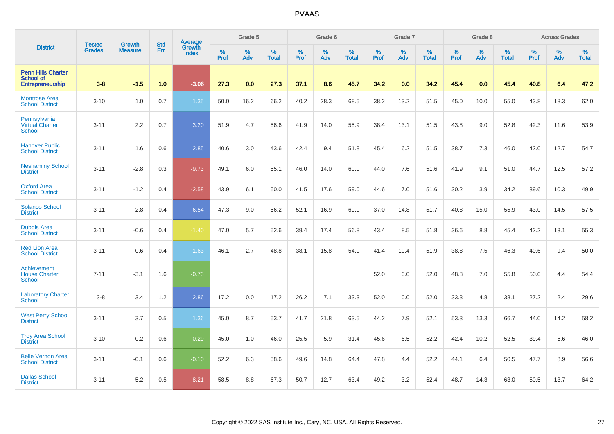|                                                                   | <b>Tested</b> | <b>Growth</b>  | <b>Std</b> | Average                       |              | Grade 5  |                   |           | Grade 6  |                   |           | Grade 7  |                   |           | Grade 8  |                   |           | <b>Across Grades</b> |                   |
|-------------------------------------------------------------------|---------------|----------------|------------|-------------------------------|--------------|----------|-------------------|-----------|----------|-------------------|-----------|----------|-------------------|-----------|----------|-------------------|-----------|----------------------|-------------------|
| <b>District</b>                                                   | <b>Grades</b> | <b>Measure</b> | Err        | <b>Growth</b><br><b>Index</b> | $\%$<br>Prof | %<br>Adv | %<br><b>Total</b> | %<br>Prof | %<br>Adv | %<br><b>Total</b> | %<br>Prof | %<br>Adv | %<br><b>Total</b> | %<br>Prof | %<br>Adv | %<br><b>Total</b> | %<br>Prof | %<br>Adv             | %<br><b>Total</b> |
| <b>Penn Hills Charter</b><br><b>School of</b><br>Entrepreneurship | $3 - 8$       | $-1.5$         | 1.0        | $-3.06$                       | 27.3         | 0.0      | 27.3              | 37.1      | 8.6      | 45.7              | 34.2      | 0.0      | 34.2              | 45.4      | 0.0      | 45.4              | 40.8      | 6.4                  | 47.2              |
| <b>Montrose Area</b><br><b>School District</b>                    | $3 - 10$      | 1.0            | 0.7        | 1.35                          | 50.0         | 16.2     | 66.2              | 40.2      | 28.3     | 68.5              | 38.2      | 13.2     | 51.5              | 45.0      | 10.0     | 55.0              | 43.8      | 18.3                 | 62.0              |
| Pennsylvania<br><b>Virtual Charter</b><br><b>School</b>           | $3 - 11$      | 2.2            | 0.7        | 3.20                          | 51.9         | 4.7      | 56.6              | 41.9      | 14.0     | 55.9              | 38.4      | 13.1     | 51.5              | 43.8      | 9.0      | 52.8              | 42.3      | 11.6                 | 53.9              |
| <b>Hanover Public</b><br><b>School District</b>                   | $3 - 11$      | 1.6            | 0.6        | 2.85                          | 40.6         | 3.0      | 43.6              | 42.4      | 9.4      | 51.8              | 45.4      | 6.2      | 51.5              | 38.7      | 7.3      | 46.0              | 42.0      | 12.7                 | 54.7              |
| <b>Neshaminy School</b><br><b>District</b>                        | $3 - 11$      | $-2.8$         | 0.3        | $-9.73$                       | 49.1         | 6.0      | 55.1              | 46.0      | 14.0     | 60.0              | 44.0      | 7.6      | 51.6              | 41.9      | 9.1      | 51.0              | 44.7      | 12.5                 | 57.2              |
| <b>Oxford Area</b><br><b>School District</b>                      | $3 - 11$      | $-1.2$         | 0.4        | $-2.58$                       | 43.9         | 6.1      | 50.0              | 41.5      | 17.6     | 59.0              | 44.6      | 7.0      | 51.6              | 30.2      | 3.9      | 34.2              | 39.6      | 10.3                 | 49.9              |
| <b>Solanco School</b><br><b>District</b>                          | $3 - 11$      | 2.8            | 0.4        | 6.54                          | 47.3         | 9.0      | 56.2              | 52.1      | 16.9     | 69.0              | 37.0      | 14.8     | 51.7              | 40.8      | 15.0     | 55.9              | 43.0      | 14.5                 | 57.5              |
| <b>Dubois Area</b><br><b>School District</b>                      | $3 - 11$      | $-0.6$         | 0.4        | $-1.40$                       | 47.0         | 5.7      | 52.6              | 39.4      | 17.4     | 56.8              | 43.4      | 8.5      | 51.8              | 36.6      | 8.8      | 45.4              | 42.2      | 13.1                 | 55.3              |
| <b>Red Lion Area</b><br><b>School District</b>                    | $3 - 11$      | 0.6            | 0.4        | 1.63                          | 46.1         | 2.7      | 48.8              | 38.1      | 15.8     | 54.0              | 41.4      | 10.4     | 51.9              | 38.8      | 7.5      | 46.3              | 40.6      | 9.4                  | 50.0              |
| Achievement<br><b>House Charter</b><br>School                     | $7 - 11$      | $-3.1$         | 1.6        | $-0.73$                       |              |          |                   |           |          |                   | 52.0      | 0.0      | 52.0              | 48.8      | 7.0      | 55.8              | 50.0      | 4.4                  | 54.4              |
| <b>Laboratory Charter</b><br><b>School</b>                        | $3-8$         | 3.4            | 1.2        | 2.86                          | 17.2         | 0.0      | 17.2              | 26.2      | 7.1      | 33.3              | 52.0      | 0.0      | 52.0              | 33.3      | 4.8      | 38.1              | 27.2      | 2.4                  | 29.6              |
| <b>West Perry School</b><br><b>District</b>                       | $3 - 11$      | 3.7            | 0.5        | 1.36                          | 45.0         | 8.7      | 53.7              | 41.7      | 21.8     | 63.5              | 44.2      | 7.9      | 52.1              | 53.3      | 13.3     | 66.7              | 44.0      | 14.2                 | 58.2              |
| <b>Troy Area School</b><br><b>District</b>                        | $3 - 10$      | 0.2            | 0.6        | 0.29                          | 45.0         | 1.0      | 46.0              | 25.5      | 5.9      | 31.4              | 45.6      | 6.5      | 52.2              | 42.4      | 10.2     | 52.5              | 39.4      | 6.6                  | 46.0              |
| <b>Belle Vernon Area</b><br><b>School District</b>                | $3 - 11$      | $-0.1$         | 0.6        | $-0.10$                       | 52.2         | 6.3      | 58.6              | 49.6      | 14.8     | 64.4              | 47.8      | 4.4      | 52.2              | 44.1      | 6.4      | 50.5              | 47.7      | 8.9                  | 56.6              |
| <b>Dallas School</b><br><b>District</b>                           | $3 - 11$      | $-5.2$         | 0.5        | $-8.21$                       | 58.5         | 8.8      | 67.3              | 50.7      | 12.7     | 63.4              | 49.2      | 3.2      | 52.4              | 48.7      | 14.3     | 63.0              | 50.5      | 13.7                 | 64.2              |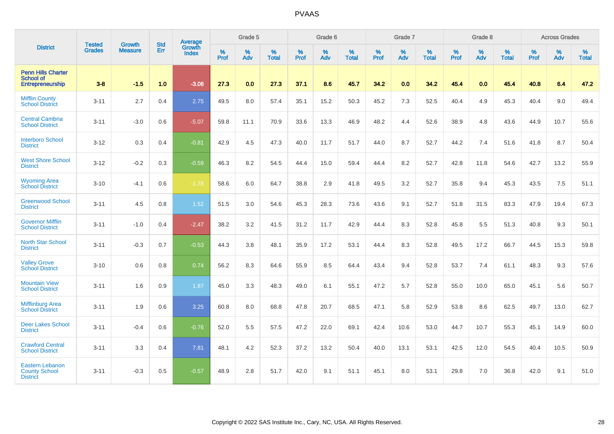|                                                                   | <b>Tested</b> | <b>Growth</b>  | <b>Std</b> | Average                |                  | Grade 5  |                   |           | Grade 6  |                   |           | Grade 7  |                   |           | Grade 8  |                   |           | <b>Across Grades</b> |                   |
|-------------------------------------------------------------------|---------------|----------------|------------|------------------------|------------------|----------|-------------------|-----------|----------|-------------------|-----------|----------|-------------------|-----------|----------|-------------------|-----------|----------------------|-------------------|
| <b>District</b>                                                   | <b>Grades</b> | <b>Measure</b> | Err        | Growth<br><b>Index</b> | %<br><b>Prof</b> | %<br>Adv | %<br><b>Total</b> | %<br>Prof | %<br>Adv | %<br><b>Total</b> | %<br>Prof | %<br>Adv | %<br><b>Total</b> | %<br>Prof | %<br>Adv | %<br><b>Total</b> | %<br>Prof | %<br>Adv             | %<br><b>Total</b> |
| <b>Penn Hills Charter</b><br>School of<br>Entrepreneurship        | $3 - 8$       | $-1.5$         | 1.0        | $-3.06$                | 27.3             | 0.0      | 27.3              | 37.1      | 8.6      | 45.7              | 34.2      | 0.0      | 34.2              | 45.4      | 0.0      | 45.4              | 40.8      | 6.4                  | 47.2              |
| <b>Mifflin County</b><br><b>School District</b>                   | $3 - 11$      | 2.7            | 0.4        | 2.75                   | 49.5             | 8.0      | 57.4              | 35.1      | 15.2     | 50.3              | 45.2      | 7.3      | 52.5              | 40.4      | 4.9      | 45.3              | 40.4      | 9.0                  | 49.4              |
| <b>Central Cambria</b><br><b>School District</b>                  | $3 - 11$      | $-3.0$         | 0.6        | $-5.07$                | 59.8             | 11.1     | 70.9              | 33.6      | 13.3     | 46.9              | 48.2      | 4.4      | 52.6              | 38.9      | 4.8      | 43.6              | 44.9      | 10.7                 | 55.6              |
| <b>Interboro School</b><br><b>District</b>                        | $3 - 12$      | 0.3            | 0.4        | $-0.81$                | 42.9             | 4.5      | 47.3              | 40.0      | 11.7     | 51.7              | 44.0      | 8.7      | 52.7              | 44.2      | 7.4      | 51.6              | 41.8      | 8.7                  | 50.4              |
| <b>West Shore School</b><br><b>District</b>                       | $3 - 12$      | $-0.2$         | 0.3        | $-0.59$                | 46.3             | 8.2      | 54.5              | 44.4      | 15.0     | 59.4              | 44.4      | 8.2      | 52.7              | 42.8      | 11.8     | 54.6              | 42.7      | 13.2                 | 55.9              |
| <b>Wyoming Area</b><br><b>School District</b>                     | $3 - 10$      | $-4.1$         | 0.6        | $-1.78$                | 58.6             | 6.0      | 64.7              | 38.8      | 2.9      | 41.8              | 49.5      | 3.2      | 52.7              | 35.8      | 9.4      | 45.3              | 43.5      | 7.5                  | 51.1              |
| <b>Greenwood School</b><br><b>District</b>                        | $3 - 11$      | 4.5            | 0.8        | 1.52                   | 51.5             | 3.0      | 54.6              | 45.3      | 28.3     | 73.6              | 43.6      | 9.1      | 52.7              | 51.8      | 31.5     | 83.3              | 47.9      | 19.4                 | 67.3              |
| <b>Governor Mifflin</b><br><b>School District</b>                 | $3 - 11$      | $-1.0$         | 0.4        | $-2.47$                | 38.2             | 3.2      | 41.5              | 31.2      | 11.7     | 42.9              | 44.4      | 8.3      | 52.8              | 45.8      | 5.5      | 51.3              | 40.8      | 9.3                  | 50.1              |
| <b>North Star School</b><br><b>District</b>                       | $3 - 11$      | $-0.3$         | 0.7        | $-0.53$                | 44.3             | 3.8      | 48.1              | 35.9      | 17.2     | 53.1              | 44.4      | 8.3      | 52.8              | 49.5      | 17.2     | 66.7              | 44.5      | 15.3                 | 59.8              |
| <b>Valley Grove</b><br><b>School District</b>                     | $3 - 10$      | 0.6            | 0.8        | 0.74                   | 56.2             | 8.3      | 64.6              | 55.9      | 8.5      | 64.4              | 43.4      | 9.4      | 52.8              | 53.7      | 7.4      | 61.1              | 48.3      | 9.3                  | 57.6              |
| <b>Mountain View</b><br><b>School District</b>                    | $3 - 11$      | 1.6            | 0.9        | 1.87                   | 45.0             | 3.3      | 48.3              | 49.0      | 6.1      | 55.1              | 47.2      | 5.7      | 52.8              | 55.0      | 10.0     | 65.0              | 45.1      | 5.6                  | 50.7              |
| <b>Mifflinburg Area</b><br><b>School District</b>                 | $3 - 11$      | 1.9            | 0.6        | 3.25                   | 60.8             | 8.0      | 68.8              | 47.8      | 20.7     | 68.5              | 47.1      | 5.8      | 52.9              | 53.8      | 8.6      | 62.5              | 49.7      | 13.0                 | 62.7              |
| <b>Deer Lakes School</b><br><b>District</b>                       | $3 - 11$      | $-0.4$         | 0.6        | $-0.76$                | 52.0             | 5.5      | 57.5              | 47.2      | 22.0     | 69.1              | 42.4      | 10.6     | 53.0              | 44.7      | 10.7     | 55.3              | 45.1      | 14.9                 | 60.0              |
| <b>Crawford Central</b><br><b>School District</b>                 | $3 - 11$      | 3.3            | 0.4        | 7.81                   | 48.1             | 4.2      | 52.3              | 37.2      | 13.2     | 50.4              | 40.0      | 13.1     | 53.1              | 42.5      | 12.0     | 54.5              | 40.4      | 10.5                 | 50.9              |
| <b>Eastern Lebanon</b><br><b>County School</b><br><b>District</b> | $3 - 11$      | $-0.3$         | 0.5        | $-0.57$                | 48.9             | 2.8      | 51.7              | 42.0      | 9.1      | 51.1              | 45.1      | 8.0      | 53.1              | 29.8      | 7.0      | 36.8              | 42.0      | 9.1                  | 51.0              |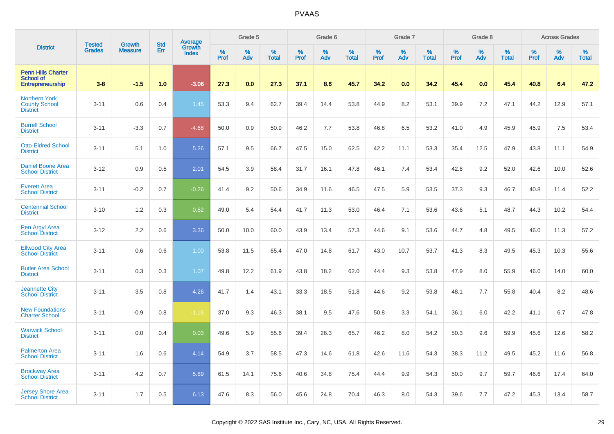|                                                                          | <b>Tested</b> | <b>Growth</b>  | <b>Std</b> |                                          |                     | Grade 5  |                   |              | Grade 6  |                   |              | Grade 7  |                   |              | Grade 8  |                   |                  | <b>Across Grades</b> |                   |
|--------------------------------------------------------------------------|---------------|----------------|------------|------------------------------------------|---------------------|----------|-------------------|--------------|----------|-------------------|--------------|----------|-------------------|--------------|----------|-------------------|------------------|----------------------|-------------------|
| <b>District</b>                                                          | <b>Grades</b> | <b>Measure</b> | Err        | <b>Average</b><br>Growth<br><b>Index</b> | $\%$<br><b>Prof</b> | %<br>Adv | %<br><b>Total</b> | $\%$<br>Prof | %<br>Adv | %<br><b>Total</b> | $\%$<br>Prof | %<br>Adv | %<br><b>Total</b> | $\%$<br>Prof | %<br>Adv | %<br><b>Total</b> | %<br><b>Prof</b> | %<br>Adv             | %<br><b>Total</b> |
| <b>Penn Hills Charter</b><br><b>School of</b><br><b>Entrepreneurship</b> | $3-8$         | $-1.5$         | 1.0        | $-3.06$                                  | 27.3                | 0.0      | 27.3              | 37.1         | 8.6      | 45.7              | 34.2         | 0.0      | 34.2              | 45.4         | 0.0      | 45.4              | 40.8             | 6.4                  | 47.2              |
| <b>Northern York</b><br><b>County School</b><br><b>District</b>          | $3 - 11$      | 0.6            | 0.4        | 1.45                                     | 53.3                | 9.4      | 62.7              | 39.4         | 14.4     | 53.8              | 44.9         | 8.2      | 53.1              | 39.9         | 7.2      | 47.1              | 44.2             | 12.9                 | 57.1              |
| <b>Burrell School</b><br><b>District</b>                                 | $3 - 11$      | $-3.3$         | 0.7        | $-4.68$                                  | 50.0                | 0.9      | 50.9              | 46.2         | 7.7      | 53.8              | 46.8         | 6.5      | 53.2              | 41.0         | 4.9      | 45.9              | 45.9             | 7.5                  | 53.4              |
| <b>Otto-Eldred School</b><br><b>District</b>                             | $3 - 11$      | 5.1            | 1.0        | 5.26                                     | 57.1                | 9.5      | 66.7              | 47.5         | 15.0     | 62.5              | 42.2         | 11.1     | 53.3              | 35.4         | 12.5     | 47.9              | 43.8             | 11.1                 | 54.9              |
| Daniel Boone Area<br><b>School District</b>                              | $3 - 12$      | 0.9            | 0.5        | 2.01                                     | 54.5                | 3.9      | 58.4              | 31.7         | 16.1     | 47.8              | 46.1         | 7.4      | 53.4              | 42.8         | 9.2      | 52.0              | 42.6             | 10.0                 | 52.6              |
| <b>Everett Area</b><br><b>School District</b>                            | $3 - 11$      | $-0.2$         | 0.7        | $-0.26$                                  | 41.4                | 9.2      | 50.6              | 34.9         | 11.6     | 46.5              | 47.5         | 5.9      | 53.5              | 37.3         | 9.3      | 46.7              | 40.8             | 11.4                 | 52.2              |
| <b>Centennial School</b><br><b>District</b>                              | $3 - 10$      | 1.2            | 0.3        | 0.52                                     | 49.0                | 5.4      | 54.4              | 41.7         | 11.3     | 53.0              | 46.4         | 7.1      | 53.6              | 43.6         | 5.1      | 48.7              | 44.3             | 10.2                 | 54.4              |
| Pen Argyl Area<br><b>School District</b>                                 | $3 - 12$      | 2.2            | 0.6        | 3.36                                     | 50.0                | 10.0     | 60.0              | 43.9         | 13.4     | 57.3              | 44.6         | 9.1      | 53.6              | 44.7         | 4.8      | 49.5              | 46.0             | 11.3                 | 57.2              |
| <b>Ellwood City Area</b><br><b>School District</b>                       | $3 - 11$      | 0.6            | 0.6        | 1.00                                     | 53.8                | 11.5     | 65.4              | 47.0         | 14.8     | 61.7              | 43.0         | 10.7     | 53.7              | 41.3         | 8.3      | 49.5              | 45.3             | 10.3                 | 55.6              |
| <b>Butler Area School</b><br><b>District</b>                             | $3 - 11$      | 0.3            | 0.3        | 1.07                                     | 49.8                | 12.2     | 61.9              | 43.8         | 18.2     | 62.0              | 44.4         | 9.3      | 53.8              | 47.9         | 8.0      | 55.9              | 46.0             | 14.0                 | 60.0              |
| <b>Jeannette City</b><br><b>School District</b>                          | $3 - 11$      | 3.5            | 0.8        | 4.26                                     | 41.7                | 1.4      | 43.1              | 33.3         | 18.5     | 51.8              | 44.6         | 9.2      | 53.8              | 48.1         | 7.7      | 55.8              | 40.4             | 8.2                  | 48.6              |
| <b>New Foundations</b><br><b>Charter School</b>                          | $3 - 11$      | $-0.9$         | 0.8        | $-1.16$                                  | 37.0                | 9.3      | 46.3              | 38.1         | 9.5      | 47.6              | 50.8         | 3.3      | 54.1              | 36.1         | 6.0      | 42.2              | 41.1             | 6.7                  | 47.8              |
| <b>Warwick School</b><br><b>District</b>                                 | $3 - 11$      | 0.0            | 0.4        | 0.03                                     | 49.6                | 5.9      | 55.6              | 39.4         | 26.3     | 65.7              | 46.2         | 8.0      | 54.2              | 50.3         | 9.6      | 59.9              | 45.6             | 12.6                 | 58.2              |
| <b>Palmerton Area</b><br><b>School District</b>                          | $3 - 11$      | 1.6            | 0.6        | 4.14                                     | 54.9                | 3.7      | 58.5              | 47.3         | 14.6     | 61.8              | 42.6         | 11.6     | 54.3              | 38.3         | 11.2     | 49.5              | 45.2             | 11.6                 | 56.8              |
| <b>Brockway Area</b><br><b>School District</b>                           | $3 - 11$      | 4.2            | 0.7        | 5.89                                     | 61.5                | 14.1     | 75.6              | 40.6         | 34.8     | 75.4              | 44.4         | 9.9      | 54.3              | 50.0         | 9.7      | 59.7              | 46.6             | 17.4                 | 64.0              |
| <b>Jersey Shore Area</b><br><b>School District</b>                       | $3 - 11$      | 1.7            | 0.5        | 6.13                                     | 47.6                | 8.3      | 56.0              | 45.6         | 24.8     | 70.4              | 46.3         | 8.0      | 54.3              | 39.6         | 7.7      | 47.2              | 45.3             | 13.4                 | 58.7              |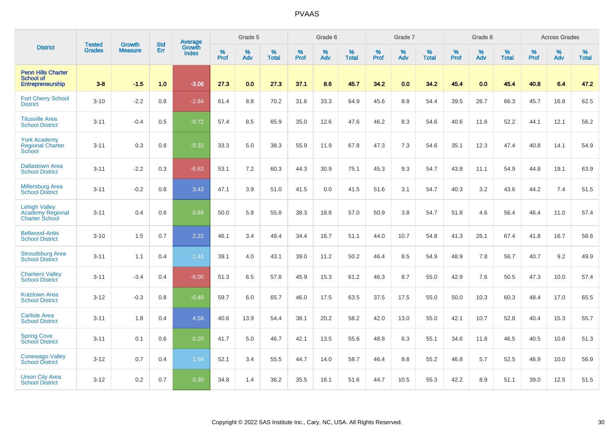|                                                                          | <b>Tested</b> | <b>Growth</b>  | <b>Std</b> | Average                       |           | Grade 5  |                   |           | Grade 6  |                   |           | Grade 7  |                   |           | Grade 8  |                   |           | <b>Across Grades</b> |                   |
|--------------------------------------------------------------------------|---------------|----------------|------------|-------------------------------|-----------|----------|-------------------|-----------|----------|-------------------|-----------|----------|-------------------|-----------|----------|-------------------|-----------|----------------------|-------------------|
| <b>District</b>                                                          | <b>Grades</b> | <b>Measure</b> | Err        | <b>Growth</b><br><b>Index</b> | %<br>Prof | %<br>Adv | %<br><b>Total</b> | %<br>Prof | %<br>Adv | %<br><b>Total</b> | %<br>Prof | %<br>Adv | %<br><b>Total</b> | %<br>Prof | %<br>Adv | %<br><b>Total</b> | %<br>Prof | %<br>Adv             | %<br><b>Total</b> |
| <b>Penn Hills Charter</b><br><b>School of</b><br><b>Entrepreneurship</b> | $3 - 8$       | $-1.5$         | 1.0        | $-3.06$                       | 27.3      | 0.0      | 27.3              | 37.1      | 8.6      | 45.7              | 34.2      | 0.0      | 34.2              | 45.4      | 0.0      | 45.4              | 40.8      | 6.4                  | 47.2              |
| <b>Fort Cherry School</b><br><b>District</b>                             | $3 - 10$      | $-2.2$         | 0.8        | $-2.84$                       | 61.4      | 8.8      | 70.2              | 31.6      | 33.3     | 64.9              | 45.6      | 8.8      | 54.4              | 39.5      | 26.7     | 66.3              | 45.7      | 16.8                 | 62.5              |
| <b>Titusville Area</b><br><b>School District</b>                         | $3 - 11$      | $-0.4$         | 0.5        | $-0.72$                       | 57.4      | 8.5      | 65.9              | 35.0      | 12.6     | 47.6              | 46.2      | 8.3      | 54.6              | 40.6      | 11.6     | 52.2              | 44.1      | 12.1                 | 56.2              |
| <b>York Academy</b><br><b>Regional Charter</b><br>School                 | $3 - 11$      | 0.3            | 0.8        | $-0.33$                       | 33.3      | 5.0      | 38.3              | 55.9      | 11.9     | 67.8              | 47.3      | 7.3      | 54.6              | 35.1      | 12.3     | 47.4              | 40.8      | 14.1                 | 54.9              |
| <b>Dallastown Area</b><br><b>School District</b>                         | $3 - 11$      | $-2.2$         | 0.3        | $-6.63$                       | 53.1      | 7.2      | 60.3              | 44.3      | 30.9     | 75.1              | 45.3      | 9.3      | 54.7              | 43.8      | 11.1     | 54.9              | 44.8      | 19.1                 | 63.9              |
| <b>Millersburg Area</b><br><b>School District</b>                        | $3 - 11$      | $-0.2$         | 0.8        | 3.43                          | 47.1      | 3.9      | 51.0              | 41.5      | 0.0      | 41.5              | 51.6      | 3.1      | 54.7              | 40.3      | 3.2      | 43.6              | 44.2      | 7.4                  | 51.5              |
| <b>Lehigh Valley</b><br><b>Academy Regional</b><br><b>Charter School</b> | $3 - 11$      | 0.4            | 0.6        | 0.69                          | 50.0      | 5.8      | 55.8              | 38.3      | 18.8     | 57.0              | 50.9      | 3.8      | 54.7              | 51.8      | 4.6      | 56.4              | 46.4      | 11.0                 | 57.4              |
| <b>Bellwood-Antis</b><br><b>School District</b>                          | $3 - 10$      | 1.5            | 0.7        | 2.22                          | 46.1      | 3.4      | 49.4              | 34.4      | 16.7     | 51.1              | 44.0      | 10.7     | 54.8              | 41.3      | 26.1     | 67.4              | 41.8      | 16.7                 | 58.6              |
| <b>Stroudsburg Area</b><br><b>School District</b>                        | $3 - 11$      | 1.1            | 0.4        | 1.41                          | 39.1      | 4.0      | 43.1              | 39.0      | 11.2     | 50.2              | 46.4      | 8.5      | 54.9              | 48.9      | 7.8      | 56.7              | 40.7      | 9.2                  | 49.9              |
| <b>Chartiers Valley</b><br><b>School District</b>                        | $3 - 11$      | $-3.4$         | 0.4        | $-8.00$                       | 51.3      | 6.5      | 57.8              | 45.9      | 15.3     | 61.2              | 46.3      | 8.7      | 55.0              | 42.9      | 7.6      | 50.5              | 47.3      | 10.0                 | 57.4              |
| <b>Kutztown Area</b><br><b>School District</b>                           | $3 - 12$      | $-0.3$         | 0.8        | $-0.40$                       | 59.7      | 6.0      | 65.7              | 46.0      | 17.5     | 63.5              | 37.5      | 17.5     | 55.0              | 50.0      | 10.3     | 60.3              | 48.4      | 17.0                 | 65.5              |
| <b>Carlisle Area</b><br><b>School District</b>                           | $3 - 11$      | 1.8            | 0.4        | 4.58                          | 40.6      | 13.9     | 54.4              | 38.1      | 20.2     | 58.2              | 42.0      | 13.0     | 55.0              | 42.1      | 10.7     | 52.8              | 40.4      | 15.3                 | 55.7              |
| <b>Spring Cove</b><br><b>School District</b>                             | $3 - 11$      | 0.1            | 0.6        | 0.20                          | 41.7      | 5.0      | 46.7              | 42.1      | 13.5     | 55.6              | 48.8      | 6.3      | 55.1              | 34.6      | 11.8     | 46.5              | 40.5      | 10.8                 | 51.3              |
| <b>Conewago Valley</b><br><b>School District</b>                         | $3 - 12$      | 0.7            | 0.4        | 1.94                          | 52.1      | 3.4      | 55.5              | 44.7      | 14.0     | 58.7              | 46.4      | 8.8      | 55.2              | 46.8      | 5.7      | 52.5              | 46.9      | 10.0                 | 56.9              |
| <b>Union City Area</b><br><b>School District</b>                         | $3 - 12$      | 0.2            | 0.7        | 0.30                          | 34.8      | 1.4      | 36.2              | 35.5      | 16.1     | 51.6              | 44.7      | 10.5     | 55.3              | 42.2      | 8.9      | 51.1              | 39.0      | 12.5                 | 51.5              |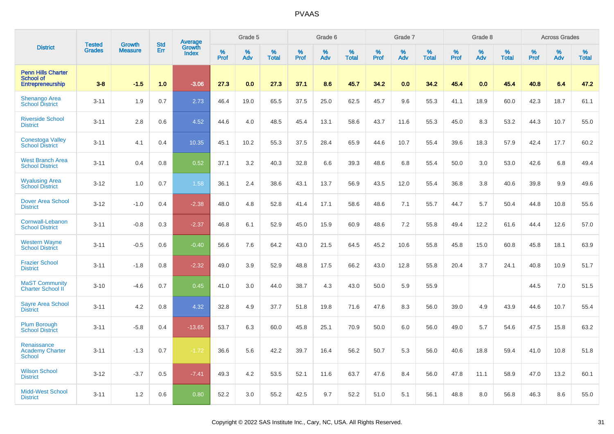|                                                                   |                         | <b>Growth</b>  | <b>Std</b> | Average                |                     | Grade 5  |                      |           | Grade 6  |                   |                     | Grade 7  |                   |                     | Grade 8     |                      |                     | <b>Across Grades</b> |                   |
|-------------------------------------------------------------------|-------------------------|----------------|------------|------------------------|---------------------|----------|----------------------|-----------|----------|-------------------|---------------------|----------|-------------------|---------------------|-------------|----------------------|---------------------|----------------------|-------------------|
| <b>District</b>                                                   | <b>Tested</b><br>Grades | <b>Measure</b> | Err        | Growth<br><b>Index</b> | $\%$<br><b>Prof</b> | ℅<br>Adv | $\%$<br><b>Total</b> | %<br>Prof | %<br>Adv | %<br><b>Total</b> | $\%$<br><b>Prof</b> | %<br>Adv | %<br><b>Total</b> | $\%$<br><b>Prof</b> | $\%$<br>Adv | $\%$<br><b>Total</b> | $\%$<br><b>Prof</b> | %<br>Adv             | %<br><b>Total</b> |
| <b>Penn Hills Charter</b><br><b>School of</b><br>Entrepreneurship | $3 - 8$                 | $-1.5$         | 1.0        | $-3.06$                | 27.3                | 0.0      | 27.3                 | 37.1      | 8.6      | 45.7              | 34.2                | 0.0      | 34.2              | 45.4                | 0.0         | 45.4                 | 40.8                | 6.4                  | 47.2              |
| <b>Shenango Area</b><br><b>School District</b>                    | $3 - 11$                | 1.9            | 0.7        | 2.73                   | 46.4                | 19.0     | 65.5                 | 37.5      | 25.0     | 62.5              | 45.7                | 9.6      | 55.3              | 41.1                | 18.9        | 60.0                 | 42.3                | 18.7                 | 61.1              |
| <b>Riverside School</b><br><b>District</b>                        | $3 - 11$                | 2.8            | 0.6        | 4.52                   | 44.6                | 4.0      | 48.5                 | 45.4      | 13.1     | 58.6              | 43.7                | 11.6     | 55.3              | 45.0                | 8.3         | 53.2                 | 44.3                | 10.7                 | 55.0              |
| <b>Conestoga Valley</b><br><b>School District</b>                 | $3 - 11$                | 4.1            | 0.4        | 10.35                  | 45.1                | 10.2     | 55.3                 | 37.5      | 28.4     | 65.9              | 44.6                | 10.7     | 55.4              | 39.6                | 18.3        | 57.9                 | 42.4                | 17.7                 | 60.2              |
| <b>West Branch Area</b><br><b>School District</b>                 | $3 - 11$                | 0.4            | 0.8        | 0.52                   | 37.1                | 3.2      | 40.3                 | 32.8      | 6.6      | 39.3              | 48.6                | 6.8      | 55.4              | 50.0                | 3.0         | 53.0                 | 42.6                | 6.8                  | 49.4              |
| <b>Wyalusing Area</b><br><b>School District</b>                   | $3 - 12$                | 1.0            | 0.7        | 1.58                   | 36.1                | 2.4      | 38.6                 | 43.1      | 13.7     | 56.9              | 43.5                | 12.0     | 55.4              | 36.8                | 3.8         | 40.6                 | 39.8                | 9.9                  | 49.6              |
| <b>Dover Area School</b><br><b>District</b>                       | $3 - 12$                | $-1.0$         | 0.4        | $-2.38$                | 48.0                | 4.8      | 52.8                 | 41.4      | 17.1     | 58.6              | 48.6                | 7.1      | 55.7              | 44.7                | 5.7         | 50.4                 | 44.8                | 10.8                 | 55.6              |
| Cornwall-Lebanon<br><b>School District</b>                        | $3 - 11$                | $-0.8$         | 0.3        | $-2.37$                | 46.8                | 6.1      | 52.9                 | 45.0      | 15.9     | 60.9              | 48.6                | 7.2      | 55.8              | 49.4                | 12.2        | 61.6                 | 44.4                | 12.6                 | 57.0              |
| <b>Western Wayne</b><br><b>School District</b>                    | $3 - 11$                | $-0.5$         | 0.6        | $-0.40$                | 56.6                | 7.6      | 64.2                 | 43.0      | 21.5     | 64.5              | 45.2                | 10.6     | 55.8              | 45.8                | 15.0        | 60.8                 | 45.8                | 18.1                 | 63.9              |
| <b>Frazier School</b><br><b>District</b>                          | $3 - 11$                | $-1.8$         | 0.8        | $-2.32$                | 49.0                | 3.9      | 52.9                 | 48.8      | 17.5     | 66.2              | 43.0                | 12.8     | 55.8              | 20.4                | 3.7         | 24.1                 | 40.8                | 10.9                 | 51.7              |
| <b>MaST Community</b><br><b>Charter School II</b>                 | $3 - 10$                | $-4.6$         | 0.7        | 0.45                   | 41.0                | 3.0      | 44.0                 | 38.7      | 4.3      | 43.0              | 50.0                | 5.9      | 55.9              |                     |             |                      | 44.5                | 7.0                  | 51.5              |
| <b>Sayre Area School</b><br><b>District</b>                       | $3 - 11$                | 4.2            | 0.8        | 4.32                   | 32.8                | 4.9      | 37.7                 | 51.8      | 19.8     | 71.6              | 47.6                | 8.3      | 56.0              | 39.0                | 4.9         | 43.9                 | 44.6                | 10.7                 | 55.4              |
| <b>Plum Borough</b><br><b>School District</b>                     | $3 - 11$                | $-5.8$         | 0.4        | $-13.65$               | 53.7                | 6.3      | 60.0                 | 45.8      | 25.1     | 70.9              | 50.0                | 6.0      | 56.0              | 49.0                | 5.7         | 54.6                 | 47.5                | 15.8                 | 63.2              |
| Renaissance<br><b>Academy Charter</b><br><b>School</b>            | $3 - 11$                | $-1.3$         | 0.7        | $-1.72$                | 36.6                | 5.6      | 42.2                 | 39.7      | 16.4     | 56.2              | 50.7                | 5.3      | 56.0              | 40.6                | 18.8        | 59.4                 | 41.0                | 10.8                 | 51.8              |
| <b>Wilson School</b><br><b>District</b>                           | $3 - 12$                | $-3.7$         | 0.5        | $-7.41$                | 49.3                | 4.2      | 53.5                 | 52.1      | 11.6     | 63.7              | 47.6                | 8.4      | 56.0              | 47.8                | 11.1        | 58.9                 | 47.0                | 13.2                 | 60.1              |
| <b>Midd-West School</b><br><b>District</b>                        | $3 - 11$                | 1.2            | 0.6        | 0.80                   | 52.2                | 3.0      | 55.2                 | 42.5      | 9.7      | 52.2              | 51.0                | 5.1      | 56.1              | 48.8                | 8.0         | 56.8                 | 46.3                | 8.6                  | 55.0              |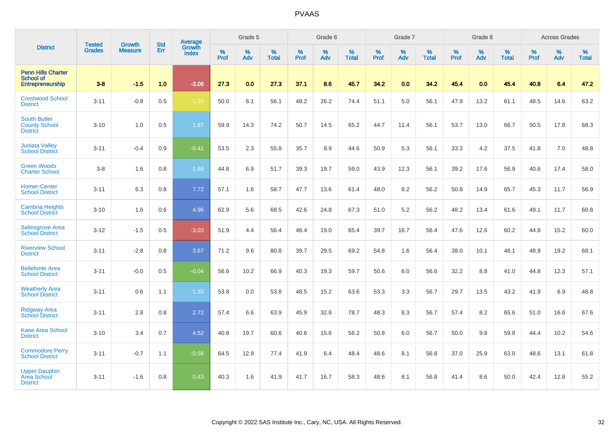|                                                                          | <b>Tested</b> | <b>Growth</b>  | <b>Std</b> | Average                |           | Grade 5  |                   |           | Grade 6  |                   |           | Grade 7  |                   |           | Grade 8  |                   |           | <b>Across Grades</b> |                   |
|--------------------------------------------------------------------------|---------------|----------------|------------|------------------------|-----------|----------|-------------------|-----------|----------|-------------------|-----------|----------|-------------------|-----------|----------|-------------------|-----------|----------------------|-------------------|
| <b>District</b>                                                          | <b>Grades</b> | <b>Measure</b> | Err        | <b>Growth</b><br>Index | %<br>Prof | %<br>Adv | %<br><b>Total</b> | %<br>Prof | %<br>Adv | %<br><b>Total</b> | %<br>Prof | %<br>Adv | %<br><b>Total</b> | %<br>Prof | %<br>Adv | %<br><b>Total</b> | %<br>Prof | %<br>Adv             | %<br><b>Total</b> |
| <b>Penn Hills Charter</b><br><b>School of</b><br><b>Entrepreneurship</b> | $3 - 8$       | $-1.5$         | 1.0        | $-3.06$                | 27.3      | 0.0      | 27.3              | 37.1      | 8.6      | 45.7              | 34.2      | 0.0      | 34.2              | 45.4      | 0.0      | 45.4              | 40.8      | 6.4                  | 47.2              |
| <b>Crestwood School</b><br><b>District</b>                               | $3 - 11$      | $-0.8$         | 0.5        | $-1.10$                | 50.0      | 6.1      | 56.1              | 48.2      | 26.2     | 74.4              | 51.1      | 5.0      | 56.1              | 47.9      | 13.2     | 61.1              | 48.5      | 14.6                 | 63.2              |
| <b>South Butler</b><br><b>County School</b><br><b>District</b>           | $3 - 10$      | 1.0            | 0.5        | 1.87                   | 59.9      | 14.3     | 74.2              | 50.7      | 14.5     | 65.2              | 44.7      | 11.4     | 56.1              | 53.7      | 13.0     | 66.7              | 50.5      | 17.8                 | 68.3              |
| <b>Juniata Valley</b><br><b>School District</b>                          | $3 - 11$      | $-0.4$         | 0.9        | $-0.41$                | 53.5      | 2.3      | 55.8              | 35.7      | 8.9      | 44.6              | 50.9      | 5.3      | 56.1              | 33.3      | 4.2      | 37.5              | 41.8      | 7.0                  | 48.8              |
| <b>Green Woods</b><br><b>Charter School</b>                              | $3-8$         | 1.6            | 0.8        | 1.88                   | 44.8      | 6.9      | 51.7              | 39.3      | 19.7     | 59.0              | 43.9      | 12.3     | 56.1              | 39.2      | 17.6     | 56.9              | 40.6      | 17.4                 | 58.0              |
| <b>Homer-Center</b><br><b>School District</b>                            | $3 - 11$      | 6.3            | 0.8        | 7.72                   | 57.1      | 1.6      | 58.7              | 47.7      | 13.6     | 61.4              | 48.0      | 8.2      | 56.2              | 50.8      | 14.9     | 65.7              | 45.3      | 11.7                 | 56.9              |
| <b>Cambria Heights</b><br><b>School District</b>                         | $3 - 10$      | 1.6            | 0.6        | 4.96                   | 62.9      | 5.6      | 68.5              | 42.6      | 24.8     | 67.3              | 51.0      | 5.2      | 56.2              | 48.2      | 13.4     | 61.6              | 49.1      | 11.7                 | 60.8              |
| <b>Selinsgrove Area</b><br><b>School District</b>                        | $3 - 12$      | $-1.5$         | 0.5        | $-3.03$                | 51.9      | 4.4      | 56.4              | 46.4      | 19.0     | 65.4              | 39.7      | 16.7     | 56.4              | 47.6      | 12.6     | 60.2              | 44.8      | 15.2                 | 60.0              |
| <b>Riverview School</b><br><b>District</b>                               | $3 - 11$      | $-2.8$         | 0.8        | 3.67                   | 71.2      | 9.6      | 80.8              | 39.7      | 29.5     | 69.2              | 54.8      | 1.6      | 56.4              | 38.0      | 10.1     | 48.1              | 48.9      | 19.2                 | 68.1              |
| <b>Bellefonte Area</b><br><b>School District</b>                         | $3 - 11$      | $-0.0$         | 0.5        | $-0.04$                | 56.6      | 10.2     | 66.9              | 40.3      | 19.3     | 59.7              | 50.6      | 6.0      | 56.6              | 32.2      | 8.8      | 41.0              | 44.8      | 12.3                 | 57.1              |
| <b>Weatherly Area</b><br><b>School District</b>                          | $3 - 11$      | 0.6            | 1.1        | 1.33                   | 53.8      | 0.0      | 53.8              | 48.5      | 15.2     | 63.6              | 53.3      | 3.3      | 56.7              | 29.7      | 13.5     | 43.2              | 41.9      | 6.9                  | 48.8              |
| <b>Ridgway Area</b><br><b>School District</b>                            | $3 - 11$      | 2.8            | 0.8        | 2.72                   | 57.4      | 6.6      | 63.9              | 45.9      | 32.8     | 78.7              | 48.3      | 8.3      | 56.7              | 57.4      | 8.2      | 65.6              | 51.0      | 16.6                 | 67.6              |
| <b>Kane Area School</b><br><b>District</b>                               | $3 - 10$      | 3.4            | 0.7        | 4.52                   | 40.8      | 19.7     | 60.6              | 40.6      | 15.6     | 56.2              | 50.8      | 6.0      | 56.7              | 50.0      | 9.8      | 59.8              | 44.4      | 10.2                 | 54.6              |
| <b>Commodore Perry</b><br><b>School District</b>                         | $3 - 11$      | $-0.7$         | 1.1        | $-0.58$                | 64.5      | 12.9     | 77.4              | 41.9      | 6.4      | 48.4              | 48.6      | 8.1      | 56.8              | 37.0      | 25.9     | 63.0              | 48.6      | 13.1                 | 61.8              |
| <b>Upper Dauphin</b><br><b>Area School</b><br><b>District</b>            | $3 - 11$      | $-1.6$         | 0.8        | 0.43                   | 40.3      | 1.6      | 41.9              | 41.7      | 16.7     | 58.3              | 48.6      | 8.1      | 56.8              | 41.4      | 8.6      | 50.0              | 42.4      | 12.8                 | 55.2              |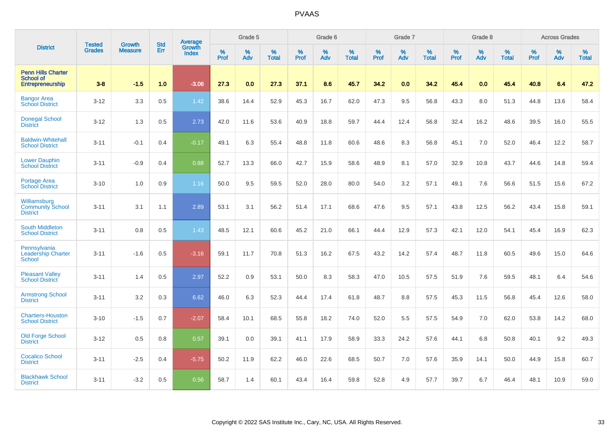|                                                                   | <b>Tested</b> | <b>Growth</b>  | <b>Std</b> | Average                |           | Grade 5  |                   |           | Grade 6  |                   |           | Grade 7  |                   |           | Grade 8  |                   |           | <b>Across Grades</b> |                   |
|-------------------------------------------------------------------|---------------|----------------|------------|------------------------|-----------|----------|-------------------|-----------|----------|-------------------|-----------|----------|-------------------|-----------|----------|-------------------|-----------|----------------------|-------------------|
| <b>District</b>                                                   | <b>Grades</b> | <b>Measure</b> | Err        | <b>Growth</b><br>Index | %<br>Prof | %<br>Adv | %<br><b>Total</b> | %<br>Prof | %<br>Adv | %<br><b>Total</b> | %<br>Prof | %<br>Adv | %<br><b>Total</b> | %<br>Prof | %<br>Adv | %<br><b>Total</b> | %<br>Prof | %<br>Adv             | %<br><b>Total</b> |
| <b>Penn Hills Charter</b><br><b>School of</b><br>Entrepreneurship | $3 - 8$       | $-1.5$         | 1.0        | $-3.06$                | 27.3      | 0.0      | 27.3              | 37.1      | 8.6      | 45.7              | 34.2      | 0.0      | 34.2              | 45.4      | 0.0      | 45.4              | 40.8      | 6.4                  | 47.2              |
| <b>Bangor Area</b><br><b>School District</b>                      | $3 - 12$      | 3.3            | 0.5        | 1.42                   | 38.6      | 14.4     | 52.9              | 45.3      | 16.7     | 62.0              | 47.3      | 9.5      | 56.8              | 43.3      | 8.0      | 51.3              | 44.8      | 13.6                 | 58.4              |
| <b>Donegal School</b><br><b>District</b>                          | $3 - 12$      | 1.3            | 0.5        | 2.73                   | 42.0      | 11.6     | 53.6              | 40.9      | 18.8     | 59.7              | 44.4      | 12.4     | 56.8              | 32.4      | 16.2     | 48.6              | 39.5      | 16.0                 | 55.5              |
| <b>Baldwin-Whitehall</b><br><b>School District</b>                | $3 - 11$      | $-0.1$         | 0.4        | $-0.17$                | 49.1      | 6.3      | 55.4              | 48.8      | 11.8     | 60.6              | 48.6      | 8.3      | 56.8              | 45.1      | 7.0      | 52.0              | 46.4      | 12.2                 | 58.7              |
| <b>Lower Dauphin</b><br><b>School District</b>                    | $3 - 11$      | $-0.9$         | 0.4        | 0.88                   | 52.7      | 13.3     | 66.0              | 42.7      | 15.9     | 58.6              | 48.9      | 8.1      | 57.0              | 32.9      | 10.8     | 43.7              | 44.6      | 14.8                 | 59.4              |
| <b>Portage Area</b><br><b>School District</b>                     | $3 - 10$      | 1.0            | 0.9        | 1.16                   | 50.0      | 9.5      | 59.5              | 52.0      | 28.0     | 80.0              | 54.0      | 3.2      | 57.1              | 49.1      | 7.6      | 56.6              | 51.5      | 15.6                 | 67.2              |
| Williamsburg<br><b>Community School</b><br><b>District</b>        | $3 - 11$      | 3.1            | 1.1        | 2.89                   | 53.1      | 3.1      | 56.2              | 51.4      | 17.1     | 68.6              | 47.6      | 9.5      | 57.1              | 43.8      | 12.5     | 56.2              | 43.4      | 15.8                 | 59.1              |
| <b>South Middleton</b><br><b>School District</b>                  | $3 - 11$      | 0.8            | 0.5        | 1.43                   | 48.5      | 12.1     | 60.6              | 45.2      | 21.0     | 66.1              | 44.4      | 12.9     | 57.3              | 42.1      | 12.0     | 54.1              | 45.4      | 16.9                 | 62.3              |
| Pennsylvania<br>Leadership Charter<br><b>School</b>               | $3 - 11$      | $-1.6$         | 0.5        | $-3.16$                | 59.1      | 11.7     | 70.8              | 51.3      | 16.2     | 67.5              | 43.2      | 14.2     | 57.4              | 48.7      | 11.8     | 60.5              | 49.6      | 15.0                 | 64.6              |
| <b>Pleasant Valley</b><br><b>School District</b>                  | $3 - 11$      | 1.4            | 0.5        | 2.97                   | 52.2      | 0.9      | 53.1              | 50.0      | 8.3      | 58.3              | 47.0      | 10.5     | 57.5              | 51.9      | 7.6      | 59.5              | 48.1      | 6.4                  | 54.6              |
| <b>Armstrong School</b><br><b>District</b>                        | $3 - 11$      | 3.2            | 0.3        | 6.62                   | 46.0      | 6.3      | 52.3              | 44.4      | 17.4     | 61.8              | 48.7      | 8.8      | 57.5              | 45.3      | 11.5     | 56.8              | 45.4      | 12.6                 | 58.0              |
| <b>Chartiers-Houston</b><br><b>School District</b>                | $3 - 10$      | $-1.5$         | 0.7        | $-2.07$                | 58.4      | 10.1     | 68.5              | 55.8      | 18.2     | 74.0              | 52.0      | 5.5      | 57.5              | 54.9      | 7.0      | 62.0              | 53.8      | 14.2                 | 68.0              |
| <b>Old Forge School</b><br><b>District</b>                        | $3 - 12$      | 0.5            | 0.8        | 0.57                   | 39.1      | 0.0      | 39.1              | 41.1      | 17.9     | 58.9              | 33.3      | 24.2     | 57.6              | 44.1      | 6.8      | 50.8              | 40.1      | 9.2                  | 49.3              |
| <b>Cocalico School</b><br><b>District</b>                         | $3 - 11$      | $-2.5$         | 0.4        | $-5.75$                | 50.2      | 11.9     | 62.2              | 46.0      | 22.6     | 68.5              | 50.7      | 7.0      | 57.6              | 35.9      | 14.1     | 50.0              | 44.9      | 15.8                 | 60.7              |
| <b>Blackhawk School</b><br><b>District</b>                        | $3 - 11$      | $-3.2$         | 0.5        | 0.56                   | 58.7      | 1.4      | 60.1              | 43.4      | 16.4     | 59.8              | 52.8      | 4.9      | 57.7              | 39.7      | 6.7      | 46.4              | 48.1      | 10.9                 | 59.0              |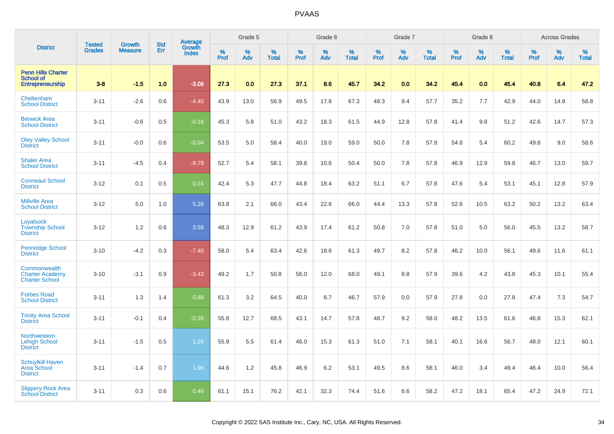|                                                                          |                                | <b>Growth</b>  | <b>Std</b> | <b>Average</b><br>Growth |              | Grade 5  |                   |           | Grade 6  |                   |           | Grade 7  |                   |           | Grade 8  |                   |           | <b>Across Grades</b> |                   |
|--------------------------------------------------------------------------|--------------------------------|----------------|------------|--------------------------|--------------|----------|-------------------|-----------|----------|-------------------|-----------|----------|-------------------|-----------|----------|-------------------|-----------|----------------------|-------------------|
| <b>District</b>                                                          | <b>Tested</b><br><b>Grades</b> | <b>Measure</b> | Err        | <b>Index</b>             | $\%$<br>Prof | %<br>Adv | %<br><b>Total</b> | %<br>Prof | %<br>Adv | %<br><b>Total</b> | %<br>Prof | %<br>Adv | %<br><b>Total</b> | %<br>Prof | %<br>Adv | %<br><b>Total</b> | %<br>Prof | %<br>Adv             | %<br><b>Total</b> |
| <b>Penn Hills Charter</b><br><b>School of</b><br><b>Entrepreneurship</b> | $3 - 8$                        | $-1.5$         | 1.0        | $-3.06$                  | 27.3         | 0.0      | 27.3              | 37.1      | 8.6      | 45.7              | 34.2      | 0.0      | 34.2              | 45.4      | 0.0      | 45.4              | 40.8      | 6.4                  | 47.2              |
| Cheltenham<br><b>School District</b>                                     | $3 - 11$                       | $-2.6$         | 0.6        | $-4.40$                  | 43.9         | 13.0     | 56.9              | 49.5      | 17.8     | 67.3              | 48.3      | 9.4      | 57.7              | 35.2      | 7.7      | 42.9              | 44.0      | 14.8                 | 58.8              |
| <b>Berwick Area</b><br><b>School District</b>                            | $3 - 11$                       | $-0.6$         | 0.5        | $-0.18$                  | 45.3         | 5.8      | 51.0              | 43.2      | 18.3     | 61.5              | 44.9      | 12.8     | 57.8              | 41.4      | 9.8      | 51.2              | 42.6      | 14.7                 | 57.3              |
| <b>Oley Valley School</b><br><b>District</b>                             | $3 - 11$                       | $-0.0$         | 0.6        | $-0.04$                  | 53.5         | 5.0      | 58.4              | 40.0      | 19.0     | 59.0              | 50.0      | 7.8      | 57.8              | 54.8      | 5.4      | 60.2              | 49.6      | 9.0                  | 58.6              |
| <b>Shaler Area</b><br><b>School District</b>                             | $3 - 11$                       | $-4.5$         | 0.4        | $-9.79$                  | 52.7         | 5.4      | 58.1              | 39.8      | 10.6     | 50.4              | 50.0      | 7.8      | 57.8              | 46.9      | 12.9     | 59.8              | 46.7      | 13.0                 | 59.7              |
| <b>Conneaut School</b><br><b>District</b>                                | $3 - 12$                       | 0.1            | 0.5        | 0.24                     | 42.4         | 5.3      | 47.7              | 44.8      | 18.4     | 63.2              | 51.1      | 6.7      | 57.8              | 47.6      | 5.4      | 53.1              | 45.1      | 12.8                 | 57.9              |
| <b>Millville Area</b><br><b>School District</b>                          | $3 - 12$                       | 5.0            | 1.0        | 5.28                     | 63.8         | 2.1      | 66.0              | 43.4      | 22.6     | 66.0              | 44.4      | 13.3     | 57.8              | 52.6      | 10.5     | 63.2              | 50.2      | 13.2                 | 63.4              |
| Loyalsock<br><b>Township School</b><br><b>District</b>                   | $3 - 12$                       | 1.2            | 0.6        | 3.56                     | 48.3         | 12.9     | 61.2              | 43.9      | 17.4     | 61.2              | 50.8      | 7.0      | 57.8              | 51.0      | 5.0      | 56.0              | 45.5      | 13.2                 | 58.7              |
| Pennridge School<br><b>District</b>                                      | $3 - 10$                       | $-4.2$         | 0.3        | $-7.40$                  | 58.0         | 5.4      | 63.4              | 42.6      | 18.6     | 61.3              | 49.7      | 8.2      | 57.8              | 46.2      | 10.0     | 56.1              | 49.6      | 11.6                 | 61.1              |
| Commonwealth<br><b>Charter Academy</b><br><b>Charter School</b>          | $3 - 10$                       | $-3.1$         | 0.9        | $-3.43$                  | 49.2         | 1.7      | 50.8              | 56.0      | 12.0     | 68.0              | 49.1      | 8.8      | 57.9              | 39.6      | 4.2      | 43.8              | 45.3      | 10.1                 | 55.4              |
| <b>Forbes Road</b><br><b>School District</b>                             | $3 - 11$                       | 1.3            | 1.4        | 0.89                     | 61.3         | 3.2      | 64.5              | 40.0      | 6.7      | 46.7              | 57.9      | 0.0      | 57.9              | 27.8      | 0.0      | 27.8              | 47.4      | 7.3                  | 54.7              |
| <b>Trinity Area School</b><br><b>District</b>                            | $3 - 11$                       | $-0.1$         | 0.4        | $-0.26$                  | 55.8         | 12.7     | 68.5              | 43.1      | 14.7     | 57.8              | 48.7      | 9.2      | 58.0              | 48.2      | 13.5     | 61.6              | 46.8      | 15.3                 | 62.1              |
| Northwestern<br><b>Lehigh School</b><br><b>District</b>                  | $3 - 11$                       | $-1.5$         | 0.5        | 1.29                     | 55.9         | 5.5      | 61.4              | 46.0      | 15.3     | 61.3              | 51.0      | 7.1      | 58.1              | 40.1      | 16.6     | 56.7              | 48.0      | 12.1                 | 60.1              |
| <b>Schuylkill Haven</b><br>Area School<br><b>District</b>                | $3 - 11$                       | $-1.4$         | 0.7        | 1.96                     | 44.6         | 1.2      | 45.8              | 46.9      | 6.2      | 53.1              | 49.5      | 8.6      | 58.1              | 46.0      | 3.4      | 49.4              | 46.4      | 10.0                 | 56.4              |
| <b>Slippery Rock Area</b><br><b>School District</b>                      | $3 - 11$                       | 0.3            | 0.6        | 0.49                     | 61.1         | 15.1     | 76.2              | 42.1      | 32.3     | 74.4              | 51.6      | 6.6      | 58.2              | 47.2      | 18.1     | 65.4              | 47.2      | 24.9                 | 72.1              |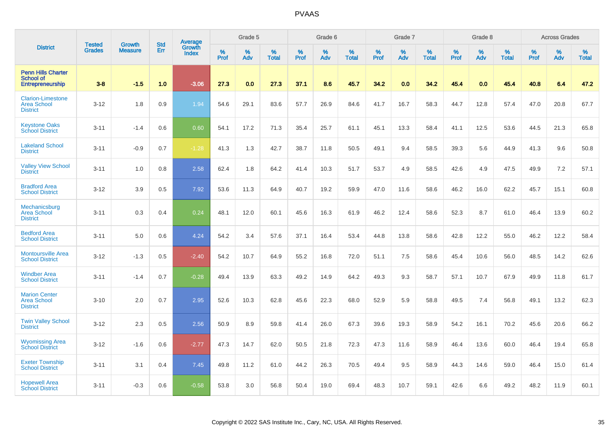|                                                                          | <b>Tested</b> | <b>Growth</b>  | <b>Std</b> |                                          |                     | Grade 5  |                   |           | Grade 6  |                   |           | Grade 7  |                   |           | Grade 8     |                   |                  | <b>Across Grades</b> |                   |
|--------------------------------------------------------------------------|---------------|----------------|------------|------------------------------------------|---------------------|----------|-------------------|-----------|----------|-------------------|-----------|----------|-------------------|-----------|-------------|-------------------|------------------|----------------------|-------------------|
| <b>District</b>                                                          | <b>Grades</b> | <b>Measure</b> | Err        | <b>Average</b><br>Growth<br><b>Index</b> | $\%$<br><b>Prof</b> | %<br>Adv | %<br><b>Total</b> | %<br>Prof | %<br>Adv | %<br><b>Total</b> | %<br>Prof | %<br>Adv | %<br><b>Total</b> | %<br>Prof | $\%$<br>Adv | %<br><b>Total</b> | %<br><b>Prof</b> | %<br>Adv             | %<br><b>Total</b> |
| <b>Penn Hills Charter</b><br><b>School of</b><br><b>Entrepreneurship</b> | $3 - 8$       | $-1.5$         | 1.0        | $-3.06$                                  | 27.3                | 0.0      | 27.3              | 37.1      | 8.6      | 45.7              | 34.2      | 0.0      | 34.2              | 45.4      | 0.0         | 45.4              | 40.8             | 6.4                  | 47.2              |
| <b>Clarion-Limestone</b><br><b>Area School</b><br><b>District</b>        | $3 - 12$      | 1.8            | 0.9        | 1.94                                     | 54.6                | 29.1     | 83.6              | 57.7      | 26.9     | 84.6              | 41.7      | 16.7     | 58.3              | 44.7      | 12.8        | 57.4              | 47.0             | 20.8                 | 67.7              |
| <b>Keystone Oaks</b><br><b>School District</b>                           | $3 - 11$      | $-1.4$         | 0.6        | 0.60                                     | 54.1                | 17.2     | 71.3              | 35.4      | 25.7     | 61.1              | 45.1      | 13.3     | 58.4              | 41.1      | 12.5        | 53.6              | 44.5             | 21.3                 | 65.8              |
| <b>Lakeland School</b><br><b>District</b>                                | $3 - 11$      | $-0.9$         | 0.7        | $-1.28$                                  | 41.3                | 1.3      | 42.7              | 38.7      | 11.8     | 50.5              | 49.1      | 9.4      | 58.5              | 39.3      | 5.6         | 44.9              | 41.3             | 9.6                  | 50.8              |
| <b>Valley View School</b><br><b>District</b>                             | $3 - 11$      | 1.0            | 0.8        | 2.58                                     | 62.4                | 1.8      | 64.2              | 41.4      | 10.3     | 51.7              | 53.7      | 4.9      | 58.5              | 42.6      | 4.9         | 47.5              | 49.9             | 7.2                  | 57.1              |
| <b>Bradford Area</b><br><b>School District</b>                           | $3 - 12$      | 3.9            | 0.5        | 7.92                                     | 53.6                | 11.3     | 64.9              | 40.7      | 19.2     | 59.9              | 47.0      | 11.6     | 58.6              | 46.2      | 16.0        | 62.2              | 45.7             | 15.1                 | 60.8              |
| Mechanicsburg<br><b>Area School</b><br><b>District</b>                   | $3 - 11$      | 0.3            | 0.4        | 0.24                                     | 48.1                | 12.0     | 60.1              | 45.6      | 16.3     | 61.9              | 46.2      | 12.4     | 58.6              | 52.3      | 8.7         | 61.0              | 46.4             | 13.9                 | 60.2              |
| <b>Bedford Area</b><br><b>School District</b>                            | $3 - 11$      | 5.0            | 0.6        | 4.24                                     | 54.2                | 3.4      | 57.6              | 37.1      | 16.4     | 53.4              | 44.8      | 13.8     | 58.6              | 42.8      | 12.2        | 55.0              | 46.2             | 12.2                 | 58.4              |
| <b>Montoursville Area</b><br><b>School District</b>                      | $3 - 12$      | $-1.3$         | 0.5        | $-2.40$                                  | 54.2                | 10.7     | 64.9              | 55.2      | 16.8     | 72.0              | 51.1      | 7.5      | 58.6              | 45.4      | 10.6        | 56.0              | 48.5             | 14.2                 | 62.6              |
| <b>Windber Area</b><br><b>School District</b>                            | $3 - 11$      | $-1.4$         | 0.7        | $-0.28$                                  | 49.4                | 13.9     | 63.3              | 49.2      | 14.9     | 64.2              | 49.3      | 9.3      | 58.7              | 57.1      | 10.7        | 67.9              | 49.9             | 11.8                 | 61.7              |
| <b>Marion Center</b><br><b>Area School</b><br><b>District</b>            | $3 - 10$      | 2.0            | 0.7        | 2.95                                     | 52.6                | 10.3     | 62.8              | 45.6      | 22.3     | 68.0              | 52.9      | 5.9      | 58.8              | 49.5      | 7.4         | 56.8              | 49.1             | 13.2                 | 62.3              |
| <b>Twin Valley School</b><br><b>District</b>                             | $3 - 12$      | 2.3            | 0.5        | 2.56                                     | 50.9                | 8.9      | 59.8              | 41.4      | 26.0     | 67.3              | 39.6      | 19.3     | 58.9              | 54.2      | 16.1        | 70.2              | 45.6             | 20.6                 | 66.2              |
| <b>Wyomissing Area</b><br><b>School District</b>                         | $3 - 12$      | $-1.6$         | 0.6        | $-2.77$                                  | 47.3                | 14.7     | 62.0              | 50.5      | 21.8     | 72.3              | 47.3      | 11.6     | 58.9              | 46.4      | 13.6        | 60.0              | 46.4             | 19.4                 | 65.8              |
| <b>Exeter Township</b><br><b>School District</b>                         | $3 - 11$      | 3.1            | 0.4        | 7.45                                     | 49.8                | 11.2     | 61.0              | 44.2      | 26.3     | 70.5              | 49.4      | 9.5      | 58.9              | 44.3      | 14.6        | 59.0              | 46.4             | 15.0                 | 61.4              |
| <b>Hopewell Area</b><br><b>School District</b>                           | $3 - 11$      | $-0.3$         | 0.6        | $-0.58$                                  | 53.8                | 3.0      | 56.8              | 50.4      | 19.0     | 69.4              | 48.3      | 10.7     | 59.1              | 42.6      | 6.6         | 49.2              | 48.2             | 11.9                 | 60.1              |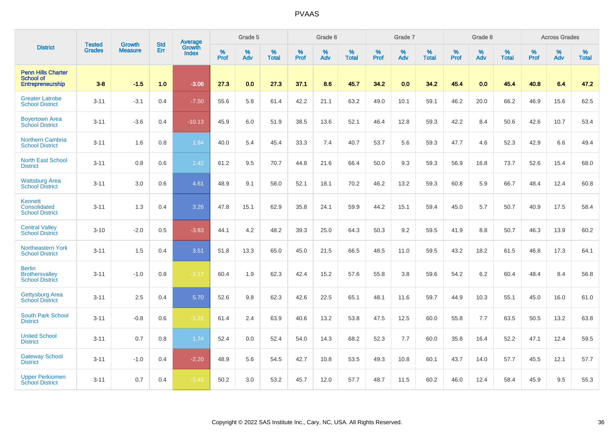|                                                                   | <b>Tested</b> | <b>Growth</b>  | <b>Std</b> | Average                       |              | Grade 5  |                   |           | Grade 6  |                   |           | Grade 7  |                   |           | Grade 8  |                   |           | <b>Across Grades</b> |                   |
|-------------------------------------------------------------------|---------------|----------------|------------|-------------------------------|--------------|----------|-------------------|-----------|----------|-------------------|-----------|----------|-------------------|-----------|----------|-------------------|-----------|----------------------|-------------------|
| <b>District</b>                                                   | <b>Grades</b> | <b>Measure</b> | Err        | <b>Growth</b><br><b>Index</b> | $\%$<br>Prof | %<br>Adv | %<br><b>Total</b> | %<br>Prof | %<br>Adv | %<br><b>Total</b> | %<br>Prof | %<br>Adv | %<br><b>Total</b> | %<br>Prof | %<br>Adv | %<br><b>Total</b> | %<br>Prof | %<br>Adv             | %<br><b>Total</b> |
| <b>Penn Hills Charter</b><br><b>School of</b><br>Entrepreneurship | $3 - 8$       | $-1.5$         | 1.0        | $-3.06$                       | 27.3         | 0.0      | 27.3              | 37.1      | 8.6      | 45.7              | 34.2      | 0.0      | 34.2              | 45.4      | 0.0      | 45.4              | 40.8      | 6.4                  | 47.2              |
| <b>Greater Latrobe</b><br><b>School District</b>                  | $3 - 11$      | $-3.1$         | 0.4        | $-7.50$                       | 55.6         | 5.8      | 61.4              | 42.2      | 21.1     | 63.2              | 49.0      | 10.1     | 59.1              | 46.2      | 20.0     | 66.2              | 46.9      | 15.6                 | 62.5              |
| <b>Boyertown Area</b><br><b>School District</b>                   | $3 - 11$      | $-3.6$         | 0.4        | $-10.13$                      | 45.9         | 6.0      | 51.9              | 38.5      | 13.6     | 52.1              | 46.4      | 12.8     | 59.3              | 42.2      | 8.4      | 50.6              | 42.6      | 10.7                 | 53.4              |
| <b>Northern Cambria</b><br><b>School District</b>                 | $3 - 11$      | 1.6            | 0.8        | 1.94                          | 40.0         | 5.4      | 45.4              | 33.3      | 7.4      | 40.7              | 53.7      | 5.6      | 59.3              | 47.7      | 4.6      | 52.3              | 42.9      | 6.6                  | 49.4              |
| <b>North East School</b><br><b>District</b>                       | $3 - 11$      | 0.8            | 0.6        | 1.42                          | 61.2         | 9.5      | 70.7              | 44.8      | 21.6     | 66.4              | 50.0      | 9.3      | 59.3              | 56.9      | 16.8     | 73.7              | 52.6      | 15.4                 | 68.0              |
| <b>Wattsburg Area</b><br><b>School District</b>                   | $3 - 11$      | 3.0            | 0.6        | 4.61                          | 48.9         | 9.1      | 58.0              | 52.1      | 18.1     | 70.2              | 46.2      | 13.2     | 59.3              | 60.8      | 5.9      | 66.7              | 48.4      | 12.4                 | 60.8              |
| Kennett<br>Consolidated<br><b>School District</b>                 | $3 - 11$      | 1.3            | 0.4        | 3.26                          | 47.8         | 15.1     | 62.9              | 35.8      | 24.1     | 59.9              | 44.2      | 15.1     | 59.4              | 45.0      | 5.7      | 50.7              | 40.9      | 17.5                 | 58.4              |
| <b>Central Valley</b><br><b>School District</b>                   | $3 - 10$      | $-2.0$         | 0.5        | $-3.83$                       | 44.1         | 4.2      | 48.2              | 39.3      | 25.0     | 64.3              | 50.3      | 9.2      | 59.5              | 41.9      | 8.8      | 50.7              | 46.3      | 13.9                 | 60.2              |
| Northeastern York<br><b>School District</b>                       | $3 - 11$      | 1.5            | 0.4        | 3.51                          | 51.8         | 13.3     | 65.0              | 45.0      | 21.5     | 66.5              | 48.5      | 11.0     | 59.5              | 43.2      | 18.2     | 61.5              | 46.8      | 17.3                 | 64.1              |
| <b>Berlin</b><br><b>Brothersvalley</b><br><b>School District</b>  | $3 - 11$      | $-1.0$         | 0.8        | $-1.17$                       | 60.4         | 1.9      | 62.3              | 42.4      | 15.2     | 57.6              | 55.8      | 3.8      | 59.6              | 54.2      | 6.2      | 60.4              | 48.4      | 8.4                  | 56.8              |
| <b>Gettysburg Area</b><br><b>School District</b>                  | $3 - 11$      | 2.5            | 0.4        | 5.70                          | 52.6         | 9.8      | 62.3              | 42.6      | 22.5     | 65.1              | 48.1      | 11.6     | 59.7              | 44.9      | 10.3     | 55.1              | 45.0      | 16.0                 | 61.0              |
| <b>South Park School</b><br><b>District</b>                       | $3 - 11$      | $-0.8$         | 0.6        | $-1.21$                       | 61.4         | 2.4      | 63.9              | 40.6      | 13.2     | 53.8              | 47.5      | 12.5     | 60.0              | 55.8      | 7.7      | 63.5              | 50.5      | 13.2                 | 63.8              |
| <b>United School</b><br><b>District</b>                           | $3 - 11$      | 0.7            | 0.8        | 1.74                          | 52.4         | 0.0      | 52.4              | 54.0      | 14.3     | 68.2              | 52.3      | 7.7      | 60.0              | 35.8      | 16.4     | 52.2              | 47.1      | 12.4                 | 59.5              |
| <b>Gateway School</b><br><b>District</b>                          | $3 - 11$      | $-1.0$         | 0.4        | $-2.20$                       | 48.9         | 5.6      | 54.5              | 42.7      | 10.8     | 53.5              | 49.3      | 10.8     | 60.1              | 43.7      | 14.0     | 57.7              | 45.5      | 12.1                 | 57.7              |
| <b>Upper Perkiomen</b><br><b>School District</b>                  | $3 - 11$      | 0.7            | 0.4        | $-1.43$                       | 50.2         | 3.0      | 53.2              | 45.7      | 12.0     | 57.7              | 48.7      | 11.5     | 60.2              | 46.0      | 12.4     | 58.4              | 45.9      | 9.5                  | 55.3              |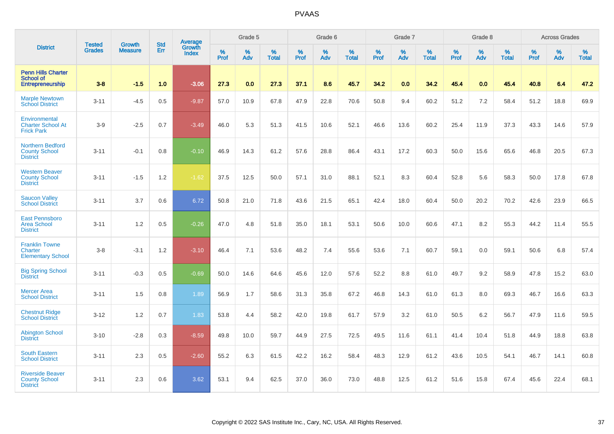|                                                                    |                                |                                 | <b>Std</b> | Average                |           | Grade 5  |                   |           | Grade 6  |                   |           | Grade 7  |                   |           | Grade 8  |                   |           | <b>Across Grades</b> |                   |
|--------------------------------------------------------------------|--------------------------------|---------------------------------|------------|------------------------|-----------|----------|-------------------|-----------|----------|-------------------|-----------|----------|-------------------|-----------|----------|-------------------|-----------|----------------------|-------------------|
| <b>District</b>                                                    | <b>Tested</b><br><b>Grades</b> | <b>Growth</b><br><b>Measure</b> | Err        | Growth<br><b>Index</b> | %<br>Prof | %<br>Adv | %<br><b>Total</b> | %<br>Prof | %<br>Adv | %<br><b>Total</b> | %<br>Prof | %<br>Adv | %<br><b>Total</b> | %<br>Prof | %<br>Adv | %<br><b>Total</b> | %<br>Prof | %<br>Adv             | %<br><b>Total</b> |
| <b>Penn Hills Charter</b><br><b>School of</b><br>Entrepreneurship  | $3 - 8$                        | $-1.5$                          | 1.0        | $-3.06$                | 27.3      | 0.0      | 27.3              | 37.1      | 8.6      | 45.7              | 34.2      | 0.0      | 34.2              | 45.4      | 0.0      | 45.4              | 40.8      | 6.4                  | 47.2              |
| <b>Marple Newtown</b><br><b>School District</b>                    | $3 - 11$                       | $-4.5$                          | 0.5        | $-9.87$                | 57.0      | 10.9     | 67.8              | 47.9      | 22.8     | 70.6              | 50.8      | 9.4      | 60.2              | 51.2      | 7.2      | 58.4              | 51.2      | 18.8                 | 69.9              |
| Environmental<br><b>Charter School At</b><br><b>Frick Park</b>     | $3-9$                          | $-2.5$                          | 0.7        | $-3.49$                | 46.0      | 5.3      | 51.3              | 41.5      | 10.6     | 52.1              | 46.6      | 13.6     | 60.2              | 25.4      | 11.9     | 37.3              | 43.3      | 14.6                 | 57.9              |
| <b>Northern Bedford</b><br><b>County School</b><br><b>District</b> | $3 - 11$                       | $-0.1$                          | 0.8        | $-0.10$                | 46.9      | 14.3     | 61.2              | 57.6      | 28.8     | 86.4              | 43.1      | 17.2     | 60.3              | 50.0      | 15.6     | 65.6              | 46.8      | 20.5                 | 67.3              |
| <b>Western Beaver</b><br><b>County School</b><br><b>District</b>   | $3 - 11$                       | $-1.5$                          | 1.2        | $-1.62$                | 37.5      | 12.5     | 50.0              | 57.1      | 31.0     | 88.1              | 52.1      | 8.3      | 60.4              | 52.8      | 5.6      | 58.3              | 50.0      | 17.8                 | 67.8              |
| <b>Saucon Valley</b><br><b>School District</b>                     | $3 - 11$                       | 3.7                             | 0.6        | 6.72                   | 50.8      | 21.0     | 71.8              | 43.6      | 21.5     | 65.1              | 42.4      | 18.0     | 60.4              | 50.0      | 20.2     | 70.2              | 42.6      | 23.9                 | 66.5              |
| <b>East Pennsboro</b><br><b>Area School</b><br><b>District</b>     | $3 - 11$                       | 1.2                             | 0.5        | $-0.26$                | 47.0      | 4.8      | 51.8              | 35.0      | 18.1     | 53.1              | 50.6      | 10.0     | 60.6              | 47.1      | 8.2      | 55.3              | 44.2      | 11.4                 | 55.5              |
| <b>Franklin Towne</b><br>Charter<br><b>Elementary School</b>       | $3-8$                          | $-3.1$                          | 1.2        | $-3.10$                | 46.4      | 7.1      | 53.6              | 48.2      | 7.4      | 55.6              | 53.6      | 7.1      | 60.7              | 59.1      | 0.0      | 59.1              | 50.6      | 6.8                  | 57.4              |
| <b>Big Spring School</b><br><b>District</b>                        | $3 - 11$                       | $-0.3$                          | 0.5        | $-0.69$                | 50.0      | 14.6     | 64.6              | 45.6      | 12.0     | 57.6              | 52.2      | 8.8      | 61.0              | 49.7      | 9.2      | 58.9              | 47.8      | 15.2                 | 63.0              |
| <b>Mercer Area</b><br><b>School District</b>                       | $3 - 11$                       | 1.5                             | 0.8        | 1.89                   | 56.9      | 1.7      | 58.6              | 31.3      | 35.8     | 67.2              | 46.8      | 14.3     | 61.0              | 61.3      | 8.0      | 69.3              | 46.7      | 16.6                 | 63.3              |
| <b>Chestnut Ridge</b><br><b>School District</b>                    | $3 - 12$                       | 1.2                             | 0.7        | 1.83                   | 53.8      | 4.4      | 58.2              | 42.0      | 19.8     | 61.7              | 57.9      | 3.2      | 61.0              | 50.5      | 6.2      | 56.7              | 47.9      | 11.6                 | 59.5              |
| <b>Abington School</b><br><b>District</b>                          | $3 - 10$                       | $-2.8$                          | 0.3        | $-8.59$                | 49.8      | 10.0     | 59.7              | 44.9      | 27.5     | 72.5              | 49.5      | 11.6     | 61.1              | 41.4      | 10.4     | 51.8              | 44.9      | 18.8                 | 63.8              |
| <b>South Eastern</b><br><b>School District</b>                     | $3 - 11$                       | 2.3                             | 0.5        | $-2.60$                | 55.2      | 6.3      | 61.5              | 42.2      | 16.2     | 58.4              | 48.3      | 12.9     | 61.2              | 43.6      | 10.5     | 54.1              | 46.7      | 14.1                 | 60.8              |
| <b>Riverside Beaver</b><br><b>County School</b><br><b>District</b> | $3 - 11$                       | 2.3                             | 0.6        | 3.62                   | 53.1      | 9.4      | 62.5              | 37.0      | 36.0     | 73.0              | 48.8      | 12.5     | 61.2              | 51.6      | 15.8     | 67.4              | 45.6      | 22.4                 | 68.1              |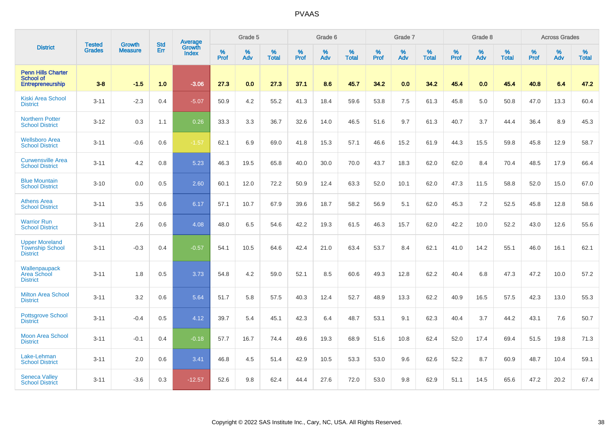|                                                                    | <b>Tested</b> | <b>Growth</b>  | <b>Std</b> | Average                       |              | Grade 5  |                   |           | Grade 6  |                   |           | Grade 7  |                   |           | Grade 8  |                   |           | <b>Across Grades</b> |                   |
|--------------------------------------------------------------------|---------------|----------------|------------|-------------------------------|--------------|----------|-------------------|-----------|----------|-------------------|-----------|----------|-------------------|-----------|----------|-------------------|-----------|----------------------|-------------------|
| <b>District</b>                                                    | <b>Grades</b> | <b>Measure</b> | Err        | <b>Growth</b><br><b>Index</b> | $\%$<br>Prof | %<br>Adv | %<br><b>Total</b> | %<br>Prof | %<br>Adv | %<br><b>Total</b> | %<br>Prof | %<br>Adv | %<br><b>Total</b> | %<br>Prof | %<br>Adv | %<br><b>Total</b> | %<br>Prof | %<br>Adv             | %<br><b>Total</b> |
| <b>Penn Hills Charter</b><br><b>School of</b><br>Entrepreneurship  | $3 - 8$       | $-1.5$         | 1.0        | $-3.06$                       | 27.3         | 0.0      | 27.3              | 37.1      | 8.6      | 45.7              | 34.2      | 0.0      | 34.2              | 45.4      | 0.0      | 45.4              | 40.8      | 6.4                  | 47.2              |
| <b>Kiski Area School</b><br><b>District</b>                        | $3 - 11$      | $-2.3$         | 0.4        | $-5.07$                       | 50.9         | 4.2      | 55.2              | 41.3      | 18.4     | 59.6              | 53.8      | 7.5      | 61.3              | 45.8      | 5.0      | 50.8              | 47.0      | 13.3                 | 60.4              |
| <b>Northern Potter</b><br><b>School District</b>                   | $3 - 12$      | 0.3            | 1.1        | 0.26                          | 33.3         | 3.3      | 36.7              | 32.6      | 14.0     | 46.5              | 51.6      | 9.7      | 61.3              | 40.7      | 3.7      | 44.4              | 36.4      | 8.9                  | 45.3              |
| <b>Wellsboro Area</b><br><b>School District</b>                    | $3 - 11$      | $-0.6$         | 0.6        | $-1.57$                       | 62.1         | 6.9      | 69.0              | 41.8      | 15.3     | 57.1              | 46.6      | 15.2     | 61.9              | 44.3      | 15.5     | 59.8              | 45.8      | 12.9                 | 58.7              |
| <b>Curwensville Area</b><br><b>School District</b>                 | $3 - 11$      | 4.2            | 0.8        | 5.23                          | 46.3         | 19.5     | 65.8              | 40.0      | 30.0     | 70.0              | 43.7      | 18.3     | 62.0              | 62.0      | 8.4      | 70.4              | 48.5      | 17.9                 | 66.4              |
| <b>Blue Mountain</b><br><b>School District</b>                     | $3 - 10$      | 0.0            | 0.5        | 2.60                          | 60.1         | 12.0     | 72.2              | 50.9      | 12.4     | 63.3              | 52.0      | 10.1     | 62.0              | 47.3      | 11.5     | 58.8              | 52.0      | 15.0                 | 67.0              |
| <b>Athens Area</b><br><b>School District</b>                       | $3 - 11$      | 3.5            | 0.6        | 6.17                          | 57.1         | 10.7     | 67.9              | 39.6      | 18.7     | 58.2              | 56.9      | 5.1      | 62.0              | 45.3      | 7.2      | 52.5              | 45.8      | 12.8                 | 58.6              |
| <b>Warrior Run</b><br><b>School District</b>                       | $3 - 11$      | 2.6            | 0.6        | 4.08                          | 48.0         | 6.5      | 54.6              | 42.2      | 19.3     | 61.5              | 46.3      | 15.7     | 62.0              | 42.2      | 10.0     | 52.2              | 43.0      | 12.6                 | 55.6              |
| <b>Upper Moreland</b><br><b>Township School</b><br><b>District</b> | $3 - 11$      | $-0.3$         | 0.4        | $-0.57$                       | 54.1         | 10.5     | 64.6              | 42.4      | 21.0     | 63.4              | 53.7      | 8.4      | 62.1              | 41.0      | 14.2     | 55.1              | 46.0      | 16.1                 | 62.1              |
| Wallenpaupack<br>Area School<br><b>District</b>                    | $3 - 11$      | 1.8            | 0.5        | 3.73                          | 54.8         | 4.2      | 59.0              | 52.1      | 8.5      | 60.6              | 49.3      | 12.8     | 62.2              | 40.4      | 6.8      | 47.3              | 47.2      | 10.0                 | 57.2              |
| <b>Milton Area School</b><br><b>District</b>                       | $3 - 11$      | 3.2            | 0.6        | 5.64                          | 51.7         | 5.8      | 57.5              | 40.3      | 12.4     | 52.7              | 48.9      | 13.3     | 62.2              | 40.9      | 16.5     | 57.5              | 42.3      | 13.0                 | 55.3              |
| <b>Pottsgrove School</b><br><b>District</b>                        | $3 - 11$      | $-0.4$         | 0.5        | 4.12                          | 39.7         | 5.4      | 45.1              | 42.3      | 6.4      | 48.7              | 53.1      | 9.1      | 62.3              | 40.4      | 3.7      | 44.2              | 43.1      | 7.6                  | 50.7              |
| <b>Moon Area School</b><br><b>District</b>                         | $3 - 11$      | $-0.1$         | 0.4        | $-0.18$                       | 57.7         | 16.7     | 74.4              | 49.6      | 19.3     | 68.9              | 51.6      | 10.8     | 62.4              | 52.0      | 17.4     | 69.4              | 51.5      | 19.8                 | 71.3              |
| Lake-Lehman<br><b>School District</b>                              | $3 - 11$      | 2.0            | 0.6        | 3.41                          | 46.8         | 4.5      | 51.4              | 42.9      | 10.5     | 53.3              | 53.0      | 9.6      | 62.6              | 52.2      | 8.7      | 60.9              | 48.7      | 10.4                 | 59.1              |
| <b>Seneca Valley</b><br><b>School District</b>                     | $3 - 11$      | $-3.6$         | 0.3        | $-12.57$                      | 52.6         | 9.8      | 62.4              | 44.4      | 27.6     | 72.0              | 53.0      | 9.8      | 62.9              | 51.1      | 14.5     | 65.6              | 47.2      | 20.2                 | 67.4              |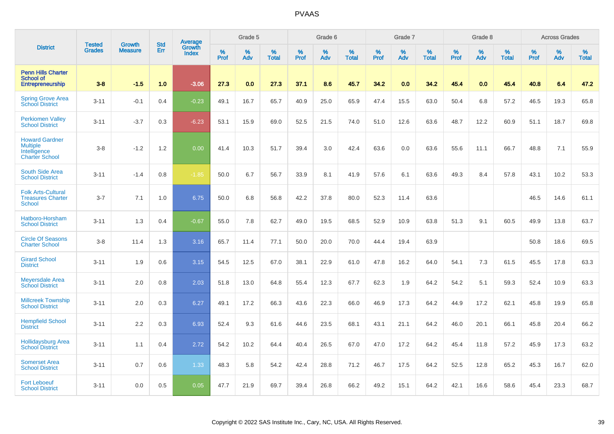|                                                                                   |                                |                                 | <b>Std</b> | <b>Average</b>  |           | Grade 5  |                   |           | Grade 6  |                   |           | Grade 7  |                   |           | Grade 8  |                   |           | <b>Across Grades</b> |                   |
|-----------------------------------------------------------------------------------|--------------------------------|---------------------------------|------------|-----------------|-----------|----------|-------------------|-----------|----------|-------------------|-----------|----------|-------------------|-----------|----------|-------------------|-----------|----------------------|-------------------|
| <b>District</b>                                                                   | <b>Tested</b><br><b>Grades</b> | <b>Growth</b><br><b>Measure</b> | Err        | Growth<br>Index | %<br>Prof | %<br>Adv | %<br><b>Total</b> | %<br>Prof | %<br>Adv | %<br><b>Total</b> | %<br>Prof | %<br>Adv | %<br><b>Total</b> | %<br>Prof | %<br>Adv | %<br><b>Total</b> | %<br>Prof | %<br>Adv             | %<br><b>Total</b> |
| <b>Penn Hills Charter</b><br><b>School of</b><br><b>Entrepreneurship</b>          | $3 - 8$                        | $-1.5$                          | 1.0        | $-3.06$         | 27.3      | 0.0      | 27.3              | 37.1      | 8.6      | 45.7              | 34.2      | 0.0      | 34.2              | 45.4      | 0.0      | 45.4              | 40.8      | 6.4                  | 47.2              |
| <b>Spring Grove Area</b><br>School District                                       | $3 - 11$                       | $-0.1$                          | 0.4        | $-0.23$         | 49.1      | 16.7     | 65.7              | 40.9      | 25.0     | 65.9              | 47.4      | 15.5     | 63.0              | 50.4      | 6.8      | 57.2              | 46.5      | 19.3                 | 65.8              |
| <b>Perkiomen Valley</b><br><b>School District</b>                                 | $3 - 11$                       | $-3.7$                          | 0.3        | $-6.23$         | 53.1      | 15.9     | 69.0              | 52.5      | 21.5     | 74.0              | 51.0      | 12.6     | 63.6              | 48.7      | 12.2     | 60.9              | 51.1      | 18.7                 | 69.8              |
| <b>Howard Gardner</b><br><b>Multiple</b><br>Intelligence<br><b>Charter School</b> | $3 - 8$                        | $-1.2$                          | 1.2        | 0.00            | 41.4      | 10.3     | 51.7              | 39.4      | 3.0      | 42.4              | 63.6      | 0.0      | 63.6              | 55.6      | 11.1     | 66.7              | 48.8      | 7.1                  | 55.9              |
| South Side Area<br><b>School District</b>                                         | $3 - 11$                       | $-1.4$                          | 0.8        | $-1.85$         | 50.0      | 6.7      | 56.7              | 33.9      | 8.1      | 41.9              | 57.6      | 6.1      | 63.6              | 49.3      | 8.4      | 57.8              | 43.1      | 10.2                 | 53.3              |
| <b>Folk Arts-Cultural</b><br><b>Treasures Charter</b><br><b>School</b>            | $3 - 7$                        | 7.1                             | 1.0        | 6.75            | 50.0      | 6.8      | 56.8              | 42.2      | 37.8     | 80.0              | 52.3      | 11.4     | 63.6              |           |          |                   | 46.5      | 14.6                 | 61.1              |
| Hatboro-Horsham<br><b>School District</b>                                         | $3 - 11$                       | 1.3                             | 0.4        | $-0.67$         | 55.0      | 7.8      | 62.7              | 49.0      | 19.5     | 68.5              | 52.9      | 10.9     | 63.8              | 51.3      | 9.1      | 60.5              | 49.9      | 13.8                 | 63.7              |
| <b>Circle Of Seasons</b><br><b>Charter School</b>                                 | $3-8$                          | 11.4                            | 1.3        | 3.16            | 65.7      | 11.4     | 77.1              | 50.0      | 20.0     | 70.0              | 44.4      | 19.4     | 63.9              |           |          |                   | 50.8      | 18.6                 | 69.5              |
| <b>Girard School</b><br><b>District</b>                                           | $3 - 11$                       | 1.9                             | 0.6        | 3.15            | 54.5      | 12.5     | 67.0              | 38.1      | 22.9     | 61.0              | 47.8      | 16.2     | 64.0              | 54.1      | 7.3      | 61.5              | 45.5      | 17.8                 | 63.3              |
| <b>Meyersdale Area</b><br><b>School District</b>                                  | $3 - 11$                       | 2.0                             | 0.8        | 2.03            | 51.8      | 13.0     | 64.8              | 55.4      | 12.3     | 67.7              | 62.3      | 1.9      | 64.2              | 54.2      | 5.1      | 59.3              | 52.4      | 10.9                 | 63.3              |
| <b>Millcreek Township</b><br><b>School District</b>                               | $3 - 11$                       | 2.0                             | 0.3        | 6.27            | 49.1      | 17.2     | 66.3              | 43.6      | 22.3     | 66.0              | 46.9      | 17.3     | 64.2              | 44.9      | 17.2     | 62.1              | 45.8      | 19.9                 | 65.8              |
| <b>Hempfield School</b><br><b>District</b>                                        | $3 - 11$                       | 2.2                             | 0.3        | 6.93            | 52.4      | 9.3      | 61.6              | 44.6      | 23.5     | 68.1              | 43.1      | 21.1     | 64.2              | 46.0      | 20.1     | 66.1              | 45.8      | 20.4                 | 66.2              |
| <b>Hollidaysburg Area</b><br><b>School District</b>                               | $3 - 11$                       | 1.1                             | 0.4        | 2.72            | 54.2      | 10.2     | 64.4              | 40.4      | 26.5     | 67.0              | 47.0      | 17.2     | 64.2              | 45.4      | 11.8     | 57.2              | 45.9      | 17.3                 | 63.2              |
| <b>Somerset Area</b><br><b>School District</b>                                    | $3 - 11$                       | 0.7                             | 0.6        | 1.33            | 48.3      | 5.8      | 54.2              | 42.4      | 28.8     | 71.2              | 46.7      | 17.5     | 64.2              | 52.5      | 12.8     | 65.2              | 45.3      | 16.7                 | 62.0              |
| <b>Fort Leboeuf</b><br><b>School District</b>                                     | $3 - 11$                       | 0.0                             | 0.5        | 0.05            | 47.7      | 21.9     | 69.7              | 39.4      | 26.8     | 66.2              | 49.2      | 15.1     | 64.2              | 42.1      | 16.6     | 58.6              | 45.4      | 23.3                 | 68.7              |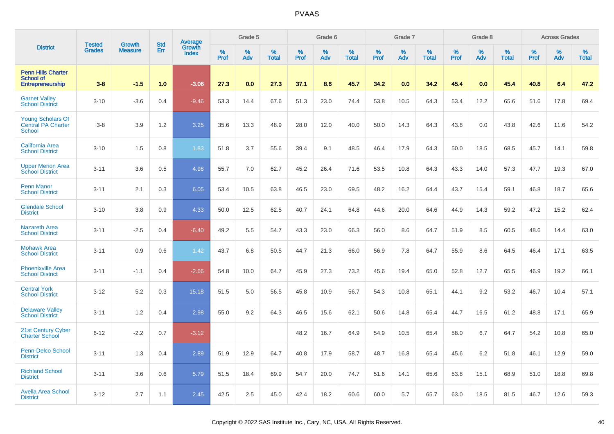|                                                                        | <b>Tested</b> | <b>Growth</b>  | <b>Std</b> | Average<br>Growth |              | Grade 5  |                   |              | Grade 6  |                   |              | Grade 7  |                   |              | Grade 8  |                   |              | <b>Across Grades</b> |                   |
|------------------------------------------------------------------------|---------------|----------------|------------|-------------------|--------------|----------|-------------------|--------------|----------|-------------------|--------------|----------|-------------------|--------------|----------|-------------------|--------------|----------------------|-------------------|
| <b>District</b>                                                        | <b>Grades</b> | <b>Measure</b> | Err        | <b>Index</b>      | $\%$<br>Prof | %<br>Adv | %<br><b>Total</b> | $\%$<br>Prof | %<br>Adv | %<br><b>Total</b> | $\%$<br>Prof | %<br>Adv | %<br><b>Total</b> | $\%$<br>Prof | %<br>Adv | %<br><b>Total</b> | $\%$<br>Prof | $\%$<br>Adv          | %<br><b>Total</b> |
| <b>Penn Hills Charter</b><br><b>School of</b><br>Entrepreneurship      | $3 - 8$       | $-1.5$         | 1.0        | $-3.06$           | 27.3         | 0.0      | 27.3              | 37.1         | 8.6      | 45.7              | 34.2         | 0.0      | 34.2              | 45.4         | 0.0      | 45.4              | 40.8         | 6.4                  | 47.2              |
| <b>Garnet Valley</b><br><b>School District</b>                         | $3 - 10$      | $-3.6$         | 0.4        | $-9.46$           | 53.3         | 14.4     | 67.6              | 51.3         | 23.0     | 74.4              | 53.8         | 10.5     | 64.3              | 53.4         | 12.2     | 65.6              | 51.6         | 17.8                 | 69.4              |
| <b>Young Scholars Of</b><br><b>Central PA Charter</b><br><b>School</b> | $3-8$         | 3.9            | 1.2        | 3.25              | 35.6         | 13.3     | 48.9              | 28.0         | 12.0     | 40.0              | 50.0         | 14.3     | 64.3              | 43.8         | 0.0      | 43.8              | 42.6         | 11.6                 | 54.2              |
| <b>California Area</b><br><b>School District</b>                       | $3 - 10$      | 1.5            | 0.8        | 1.83              | 51.8         | 3.7      | 55.6              | 39.4         | 9.1      | 48.5              | 46.4         | 17.9     | 64.3              | 50.0         | 18.5     | 68.5              | 45.7         | 14.1                 | 59.8              |
| <b>Upper Merion Area</b><br><b>School District</b>                     | $3 - 11$      | 3.6            | 0.5        | 4.98              | 55.7         | 7.0      | 62.7              | 45.2         | 26.4     | 71.6              | 53.5         | 10.8     | 64.3              | 43.3         | 14.0     | 57.3              | 47.7         | 19.3                 | 67.0              |
| <b>Penn Manor</b><br><b>School District</b>                            | $3 - 11$      | 2.1            | 0.3        | 6.05              | 53.4         | 10.5     | 63.8              | 46.5         | 23.0     | 69.5              | 48.2         | 16.2     | 64.4              | 43.7         | 15.4     | 59.1              | 46.8         | 18.7                 | 65.6              |
| <b>Glendale School</b><br><b>District</b>                              | $3 - 10$      | 3.8            | 0.9        | 4.33              | 50.0         | 12.5     | 62.5              | 40.7         | 24.1     | 64.8              | 44.6         | 20.0     | 64.6              | 44.9         | 14.3     | 59.2              | 47.2         | 15.2                 | 62.4              |
| <b>Nazareth Area</b><br><b>School District</b>                         | $3 - 11$      | $-2.5$         | 0.4        | $-6.40$           | 49.2         | 5.5      | 54.7              | 43.3         | 23.0     | 66.3              | 56.0         | 8.6      | 64.7              | 51.9         | 8.5      | 60.5              | 48.6         | 14.4                 | 63.0              |
| <b>Mohawk Area</b><br><b>School District</b>                           | $3 - 11$      | 0.9            | 0.6        | 1.42              | 43.7         | 6.8      | 50.5              | 44.7         | 21.3     | 66.0              | 56.9         | 7.8      | 64.7              | 55.9         | 8.6      | 64.5              | 46.4         | 17.1                 | 63.5              |
| <b>Phoenixville Area</b><br><b>School District</b>                     | $3 - 11$      | $-1.1$         | 0.4        | $-2.66$           | 54.8         | 10.0     | 64.7              | 45.9         | 27.3     | 73.2              | 45.6         | 19.4     | 65.0              | 52.8         | 12.7     | 65.5              | 46.9         | 19.2                 | 66.1              |
| <b>Central York</b><br><b>School District</b>                          | $3 - 12$      | 5.2            | 0.3        | 15.18             | 51.5         | 5.0      | 56.5              | 45.8         | 10.9     | 56.7              | 54.3         | 10.8     | 65.1              | 44.1         | 9.2      | 53.2              | 46.7         | 10.4                 | 57.1              |
| <b>Delaware Valley</b><br><b>School District</b>                       | $3 - 11$      | 1.2            | 0.4        | 2.98              | 55.0         | 9.2      | 64.3              | 46.5         | 15.6     | 62.1              | 50.6         | 14.8     | 65.4              | 44.7         | 16.5     | 61.2              | 48.8         | 17.1                 | 65.9              |
| 21st Century Cyber<br><b>Charter School</b>                            | $6 - 12$      | $-2.2$         | 0.7        | $-3.12$           |              |          |                   | 48.2         | 16.7     | 64.9              | 54.9         | 10.5     | 65.4              | 58.0         | 6.7      | 64.7              | 54.2         | 10.8                 | 65.0              |
| <b>Penn-Delco School</b><br><b>District</b>                            | $3 - 11$      | 1.3            | 0.4        | 2.89              | 51.9         | 12.9     | 64.7              | 40.8         | 17.9     | 58.7              | 48.7         | 16.8     | 65.4              | 45.6         | 6.2      | 51.8              | 46.1         | 12.9                 | 59.0              |
| <b>Richland School</b><br><b>District</b>                              | $3 - 11$      | 3.6            | 0.6        | 5.79              | 51.5         | 18.4     | 69.9              | 54.7         | 20.0     | 74.7              | 51.6         | 14.1     | 65.6              | 53.8         | 15.1     | 68.9              | 51.0         | 18.8                 | 69.8              |
| <b>Avella Area School</b><br><b>District</b>                           | $3 - 12$      | 2.7            | 1.1        | 2.45              | 42.5         | 2.5      | 45.0              | 42.4         | 18.2     | 60.6              | 60.0         | 5.7      | 65.7              | 63.0         | 18.5     | 81.5              | 46.7         | 12.6                 | 59.3              |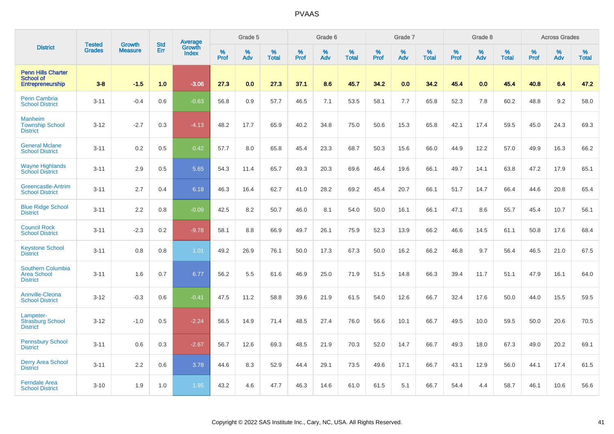|                                                                   | <b>Tested</b> | <b>Growth</b>  | <b>Std</b> | Average                |              | Grade 5  |                   |           | Grade 6  |                   |              | Grade 7  |                   |           | Grade 8  |                   |           | <b>Across Grades</b> |                   |
|-------------------------------------------------------------------|---------------|----------------|------------|------------------------|--------------|----------|-------------------|-----------|----------|-------------------|--------------|----------|-------------------|-----------|----------|-------------------|-----------|----------------------|-------------------|
| <b>District</b>                                                   | <b>Grades</b> | <b>Measure</b> | Err        | Growth<br><b>Index</b> | $\%$<br>Prof | %<br>Adv | %<br><b>Total</b> | %<br>Prof | %<br>Adv | %<br><b>Total</b> | $\%$<br>Prof | %<br>Adv | %<br><b>Total</b> | %<br>Prof | %<br>Adv | %<br><b>Total</b> | %<br>Prof | %<br>Adv             | %<br><b>Total</b> |
| <b>Penn Hills Charter</b><br><b>School of</b><br>Entrepreneurship | $3 - 8$       | $-1.5$         | 1.0        | $-3.06$                | 27.3         | 0.0      | 27.3              | 37.1      | 8.6      | 45.7              | 34.2         | 0.0      | 34.2              | 45.4      | 0.0      | 45.4              | 40.8      | 6.4                  | 47.2              |
| <b>Penn Cambria</b><br><b>School District</b>                     | $3 - 11$      | $-0.4$         | 0.6        | $-0.63$                | 56.8         | 0.9      | 57.7              | 46.5      | 7.1      | 53.5              | 58.1         | 7.7      | 65.8              | 52.3      | 7.8      | 60.2              | 48.8      | 9.2                  | 58.0              |
| <b>Manheim</b><br><b>Township School</b><br><b>District</b>       | $3 - 12$      | $-2.7$         | 0.3        | $-4.13$                | 48.2         | 17.7     | 65.9              | 40.2      | 34.8     | 75.0              | 50.6         | 15.3     | 65.8              | 42.1      | 17.4     | 59.5              | 45.0      | 24.3                 | 69.3              |
| <b>General Mclane</b><br><b>School District</b>                   | $3 - 11$      | 0.2            | 0.5        | 0.42                   | 57.7         | 8.0      | 65.8              | 45.4      | 23.3     | 68.7              | 50.3         | 15.6     | 66.0              | 44.9      | 12.2     | 57.0              | 49.9      | 16.3                 | 66.2              |
| <b>Wayne Highlands</b><br><b>School District</b>                  | $3 - 11$      | 2.9            | 0.5        | 5.65                   | 54.3         | 11.4     | 65.7              | 49.3      | 20.3     | 69.6              | 46.4         | 19.6     | 66.1              | 49.7      | 14.1     | 63.8              | 47.2      | 17.9                 | 65.1              |
| Greencastle-Antrim<br><b>School District</b>                      | $3 - 11$      | 2.7            | 0.4        | 6.18                   | 46.3         | 16.4     | 62.7              | 41.0      | 28.2     | 69.2              | 45.4         | 20.7     | 66.1              | 51.7      | 14.7     | 66.4              | 44.6      | 20.8                 | 65.4              |
| <b>Blue Ridge School</b><br><b>District</b>                       | $3 - 11$      | 2.2            | 0.8        | $-0.09$                | 42.5         | 8.2      | 50.7              | 46.0      | 8.1      | 54.0              | 50.0         | 16.1     | 66.1              | 47.1      | 8.6      | 55.7              | 45.4      | 10.7                 | 56.1              |
| <b>Council Rock</b><br><b>School District</b>                     | $3 - 11$      | $-2.3$         | 0.2        | $-9.78$                | 58.1         | 8.8      | 66.9              | 49.7      | 26.1     | 75.9              | 52.3         | 13.9     | 66.2              | 46.6      | 14.5     | 61.1              | 50.8      | 17.6                 | 68.4              |
| <b>Keystone School</b><br><b>District</b>                         | $3 - 11$      | 0.8            | 0.8        | 1.01                   | 49.2         | 26.9     | 76.1              | 50.0      | 17.3     | 67.3              | 50.0         | 16.2     | 66.2              | 46.8      | 9.7      | 56.4              | 46.5      | 21.0                 | 67.5              |
| <b>Southern Columbia</b><br><b>Area School</b><br><b>District</b> | $3 - 11$      | 1.6            | 0.7        | 6.77                   | 56.2         | 5.5      | 61.6              | 46.9      | 25.0     | 71.9              | 51.5         | 14.8     | 66.3              | 39.4      | 11.7     | 51.1              | 47.9      | 16.1                 | 64.0              |
| Annville-Cleona<br><b>School District</b>                         | $3 - 12$      | $-0.3$         | 0.6        | $-0.41$                | 47.5         | 11.2     | 58.8              | 39.6      | 21.9     | 61.5              | 54.0         | 12.6     | 66.7              | 32.4      | 17.6     | 50.0              | 44.0      | 15.5                 | 59.5              |
| Lampeter-<br><b>Strasburg School</b><br><b>District</b>           | $3 - 12$      | $-1.0$         | 0.5        | $-2.24$                | 56.5         | 14.9     | 71.4              | 48.5      | 27.4     | 76.0              | 56.6         | 10.1     | 66.7              | 49.5      | 10.0     | 59.5              | 50.0      | 20.6                 | 70.5              |
| <b>Pennsbury School</b><br><b>District</b>                        | $3 - 11$      | 0.6            | 0.3        | $-2.67$                | 56.7         | 12.6     | 69.3              | 48.5      | 21.9     | 70.3              | 52.0         | 14.7     | 66.7              | 49.3      | 18.0     | 67.3              | 49.0      | 20.2                 | 69.1              |
| <b>Derry Area School</b><br><b>District</b>                       | $3 - 11$      | 2.2            | 0.6        | 3.78                   | 44.6         | 8.3      | 52.9              | 44.4      | 29.1     | 73.5              | 49.6         | 17.1     | 66.7              | 43.1      | 12.9     | 56.0              | 44.1      | 17.4                 | 61.5              |
| <b>Ferndale Area</b><br><b>School District</b>                    | $3 - 10$      | 1.9            | 1.0        | 1.95                   | 43.2         | 4.6      | 47.7              | 46.3      | 14.6     | 61.0              | 61.5         | 5.1      | 66.7              | 54.4      | 4.4      | 58.7              | 46.1      | 10.6                 | 56.6              |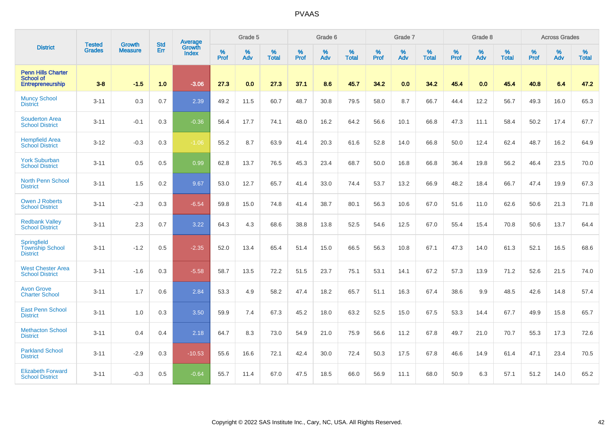|                                                                 | <b>Tested</b> | <b>Growth</b>  | <b>Std</b> | <b>Average</b>         |                  | Grade 5  |                   |           | Grade 6  |                   |           | Grade 7  |                   |           | Grade 8  |                   |                  | <b>Across Grades</b> |                   |
|-----------------------------------------------------------------|---------------|----------------|------------|------------------------|------------------|----------|-------------------|-----------|----------|-------------------|-----------|----------|-------------------|-----------|----------|-------------------|------------------|----------------------|-------------------|
| <b>District</b>                                                 | <b>Grades</b> | <b>Measure</b> | Err        | Growth<br><b>Index</b> | %<br><b>Prof</b> | %<br>Adv | %<br><b>Total</b> | %<br>Prof | %<br>Adv | %<br><b>Total</b> | %<br>Prof | %<br>Adv | %<br><b>Total</b> | %<br>Prof | %<br>Adv | %<br><b>Total</b> | %<br><b>Prof</b> | %<br>Adv             | %<br><b>Total</b> |
| <b>Penn Hills Charter</b><br>School of<br>Entrepreneurship      | $3 - 8$       | $-1.5$         | 1.0        | $-3.06$                | 27.3             | 0.0      | 27.3              | 37.1      | 8.6      | 45.7              | 34.2      | 0.0      | 34.2              | 45.4      | 0.0      | 45.4              | 40.8             | 6.4                  | 47.2              |
| <b>Muncy School</b><br><b>District</b>                          | $3 - 11$      | 0.3            | 0.7        | 2.39                   | 49.2             | 11.5     | 60.7              | 48.7      | 30.8     | 79.5              | 58.0      | 8.7      | 66.7              | 44.4      | 12.2     | 56.7              | 49.3             | 16.0                 | 65.3              |
| <b>Souderton Area</b><br><b>School District</b>                 | $3 - 11$      | $-0.1$         | 0.3        | $-0.36$                | 56.4             | 17.7     | 74.1              | 48.0      | 16.2     | 64.2              | 56.6      | 10.1     | 66.8              | 47.3      | 11.1     | 58.4              | 50.2             | 17.4                 | 67.7              |
| <b>Hempfield Area</b><br><b>School District</b>                 | $3 - 12$      | $-0.3$         | 0.3        | $-1.06$                | 55.2             | 8.7      | 63.9              | 41.4      | 20.3     | 61.6              | 52.8      | 14.0     | 66.8              | 50.0      | 12.4     | 62.4              | 48.7             | 16.2                 | 64.9              |
| <b>York Suburban</b><br><b>School District</b>                  | $3 - 11$      | 0.5            | 0.5        | 0.99                   | 62.8             | 13.7     | 76.5              | 45.3      | 23.4     | 68.7              | 50.0      | 16.8     | 66.8              | 36.4      | 19.8     | 56.2              | 46.4             | 23.5                 | 70.0              |
| <b>North Penn School</b><br><b>District</b>                     | $3 - 11$      | 1.5            | 0.2        | 9.67                   | 53.0             | 12.7     | 65.7              | 41.4      | 33.0     | 74.4              | 53.7      | 13.2     | 66.9              | 48.2      | 18.4     | 66.7              | 47.4             | 19.9                 | 67.3              |
| <b>Owen J Roberts</b><br><b>School District</b>                 | $3 - 11$      | $-2.3$         | 0.3        | $-6.54$                | 59.8             | 15.0     | 74.8              | 41.4      | 38.7     | 80.1              | 56.3      | 10.6     | 67.0              | 51.6      | 11.0     | 62.6              | 50.6             | 21.3                 | 71.8              |
| <b>Redbank Valley</b><br><b>School District</b>                 | $3 - 11$      | 2.3            | 0.7        | 3.22                   | 64.3             | 4.3      | 68.6              | 38.8      | 13.8     | 52.5              | 54.6      | 12.5     | 67.0              | 55.4      | 15.4     | 70.8              | 50.6             | 13.7                 | 64.4              |
| <b>Springfield</b><br><b>Township School</b><br><b>District</b> | $3 - 11$      | $-1.2$         | 0.5        | $-2.35$                | 52.0             | 13.4     | 65.4              | 51.4      | 15.0     | 66.5              | 56.3      | 10.8     | 67.1              | 47.3      | 14.0     | 61.3              | 52.1             | 16.5                 | 68.6              |
| <b>West Chester Area</b><br><b>School District</b>              | $3 - 11$      | $-1.6$         | 0.3        | $-5.58$                | 58.7             | 13.5     | 72.2              | 51.5      | 23.7     | 75.1              | 53.1      | 14.1     | 67.2              | 57.3      | 13.9     | 71.2              | 52.6             | 21.5                 | 74.0              |
| <b>Avon Grove</b><br><b>Charter School</b>                      | $3 - 11$      | 1.7            | 0.6        | 2.84                   | 53.3             | 4.9      | 58.2              | 47.4      | 18.2     | 65.7              | 51.1      | 16.3     | 67.4              | 38.6      | 9.9      | 48.5              | 42.6             | 14.8                 | 57.4              |
| <b>East Penn School</b><br><b>District</b>                      | $3 - 11$      | 1.0            | 0.3        | 3.50                   | 59.9             | 7.4      | 67.3              | 45.2      | 18.0     | 63.2              | 52.5      | 15.0     | 67.5              | 53.3      | 14.4     | 67.7              | 49.9             | 15.8                 | 65.7              |
| <b>Methacton School</b><br><b>District</b>                      | $3 - 11$      | 0.4            | 0.4        | 2.18                   | 64.7             | 8.3      | 73.0              | 54.9      | 21.0     | 75.9              | 56.6      | 11.2     | 67.8              | 49.7      | 21.0     | 70.7              | 55.3             | 17.3                 | 72.6              |
| <b>Parkland School</b><br><b>District</b>                       | $3 - 11$      | $-2.9$         | 0.3        | $-10.53$               | 55.6             | 16.6     | 72.1              | 42.4      | 30.0     | 72.4              | 50.3      | 17.5     | 67.8              | 46.6      | 14.9     | 61.4              | 47.1             | 23.4                 | 70.5              |
| <b>Elizabeth Forward</b><br><b>School District</b>              | $3 - 11$      | $-0.3$         | 0.5        | $-0.64$                | 55.7             | 11.4     | 67.0              | 47.5      | 18.5     | 66.0              | 56.9      | 11.1     | 68.0              | 50.9      | 6.3      | 57.1              | 51.2             | 14.0                 | 65.2              |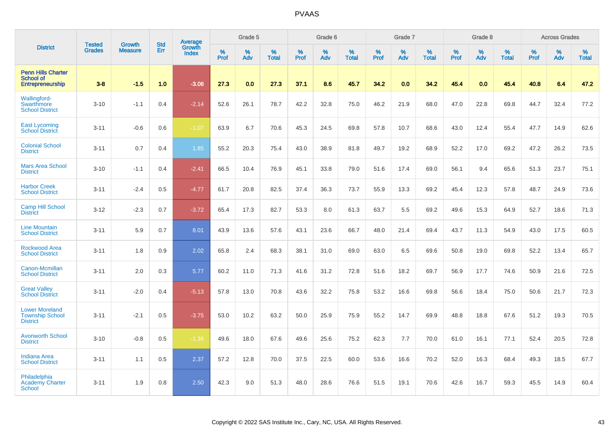|                                                                          | <b>Tested</b> | <b>Growth</b>  | <b>Std</b> | Average                |              | Grade 5  |                   |           | Grade 6  |                   |                  | Grade 7  |                   |                  | Grade 8     |                   |           | <b>Across Grades</b> |                   |
|--------------------------------------------------------------------------|---------------|----------------|------------|------------------------|--------------|----------|-------------------|-----------|----------|-------------------|------------------|----------|-------------------|------------------|-------------|-------------------|-----------|----------------------|-------------------|
| <b>District</b>                                                          | <b>Grades</b> | <b>Measure</b> | Err        | Growth<br><b>Index</b> | $\%$<br>Prof | %<br>Adv | %<br><b>Total</b> | %<br>Prof | %<br>Adv | %<br><b>Total</b> | %<br><b>Prof</b> | %<br>Adv | %<br><b>Total</b> | %<br><b>Prof</b> | $\%$<br>Adv | %<br><b>Total</b> | %<br>Prof | %<br>Adv             | %<br><b>Total</b> |
| <b>Penn Hills Charter</b><br><b>School of</b><br><b>Entrepreneurship</b> | $3-8$         | $-1.5$         | 1.0        | $-3.06$                | 27.3         | 0.0      | 27.3              | 37.1      | 8.6      | 45.7              | 34.2             | 0.0      | 34.2              | 45.4             | 0.0         | 45.4              | 40.8      | 6.4                  | 47.2              |
| <b>Wallingford-</b><br><b>Swarthmore</b><br><b>School District</b>       | $3 - 10$      | $-1.1$         | 0.4        | $-2.14$                | 52.6         | 26.1     | 78.7              | 42.2      | 32.8     | 75.0              | 46.2             | 21.9     | 68.0              | 47.0             | 22.8        | 69.8              | 44.7      | 32.4                 | 77.2              |
| <b>East Lycoming</b><br><b>School District</b>                           | $3 - 11$      | $-0.6$         | 0.6        | $-1.07$                | 63.9         | 6.7      | 70.6              | 45.3      | 24.5     | 69.8              | 57.8             | 10.7     | 68.6              | 43.0             | 12.4        | 55.4              | 47.7      | 14.9                 | 62.6              |
| <b>Colonial School</b><br><b>District</b>                                | $3 - 11$      | 0.7            | 0.4        | 1.85                   | 55.2         | 20.3     | 75.4              | 43.0      | 38.9     | 81.8              | 49.7             | 19.2     | 68.9              | 52.2             | 17.0        | 69.2              | 47.2      | 26.2                 | 73.5              |
| <b>Mars Area School</b><br><b>District</b>                               | $3 - 10$      | $-1.1$         | 0.4        | $-2.41$                | 66.5         | 10.4     | 76.9              | 45.1      | 33.8     | 79.0              | 51.6             | 17.4     | 69.0              | 56.1             | 9.4         | 65.6              | 51.3      | 23.7                 | 75.1              |
| <b>Harbor Creek</b><br><b>School District</b>                            | $3 - 11$      | $-2.4$         | 0.5        | $-4.77$                | 61.7         | 20.8     | 82.5              | 37.4      | 36.3     | 73.7              | 55.9             | 13.3     | 69.2              | 45.4             | 12.3        | 57.8              | 48.7      | 24.9                 | 73.6              |
| <b>Camp Hill School</b><br><b>District</b>                               | $3 - 12$      | $-2.3$         | 0.7        | $-3.72$                | 65.4         | 17.3     | 82.7              | 53.3      | 8.0      | 61.3              | 63.7             | 5.5      | 69.2              | 49.6             | 15.3        | 64.9              | 52.7      | 18.6                 | 71.3              |
| <b>Line Mountain</b><br><b>School District</b>                           | $3 - 11$      | 5.9            | 0.7        | 8.01                   | 43.9         | 13.6     | 57.6              | 43.1      | 23.6     | 66.7              | 48.0             | 21.4     | 69.4              | 43.7             | 11.3        | 54.9              | 43.0      | 17.5                 | 60.5              |
| <b>Rockwood Area</b><br><b>School District</b>                           | $3 - 11$      | 1.8            | 0.9        | 2.02                   | 65.8         | 2.4      | 68.3              | 38.1      | 31.0     | 69.0              | 63.0             | 6.5      | 69.6              | 50.8             | 19.0        | 69.8              | 52.2      | 13.4                 | 65.7              |
| <b>Canon-Mcmillan</b><br><b>School District</b>                          | $3 - 11$      | 2.0            | 0.3        | 5.77                   | 60.2         | 11.0     | 71.3              | 41.6      | 31.2     | 72.8              | 51.6             | 18.2     | 69.7              | 56.9             | 17.7        | 74.6              | 50.9      | 21.6                 | 72.5              |
| <b>Great Valley</b><br><b>School District</b>                            | $3 - 11$      | $-2.0$         | 0.4        | $-5.13$                | 57.8         | 13.0     | 70.8              | 43.6      | 32.2     | 75.8              | 53.2             | 16.6     | 69.8              | 56.6             | 18.4        | 75.0              | 50.6      | 21.7                 | 72.3              |
| <b>Lower Moreland</b><br><b>Township School</b><br><b>District</b>       | $3 - 11$      | $-2.1$         | 0.5        | $-3.75$                | 53.0         | 10.2     | 63.2              | 50.0      | 25.9     | 75.9              | 55.2             | 14.7     | 69.9              | 48.8             | 18.8        | 67.6              | 51.2      | 19.3                 | 70.5              |
| <b>Avonworth School</b><br><b>District</b>                               | $3 - 10$      | $-0.8$         | 0.5        | $-1.38$                | 49.6         | 18.0     | 67.6              | 49.6      | 25.6     | 75.2              | 62.3             | 7.7      | 70.0              | 61.0             | 16.1        | 77.1              | 52.4      | 20.5                 | 72.8              |
| <b>Indiana Area</b><br><b>School District</b>                            | $3 - 11$      | 1.1            | 0.5        | 2.37                   | 57.2         | 12.8     | 70.0              | 37.5      | 22.5     | 60.0              | 53.6             | 16.6     | 70.2              | 52.0             | 16.3        | 68.4              | 49.3      | 18.5                 | 67.7              |
| Philadelphia<br>Academy Charter<br><b>School</b>                         | $3 - 11$      | 1.9            | 0.8        | 2.50                   | 42.3         | 9.0      | 51.3              | 48.0      | 28.6     | 76.6              | 51.5             | 19.1     | 70.6              | 42.6             | 16.7        | 59.3              | 45.5      | 14.9                 | 60.4              |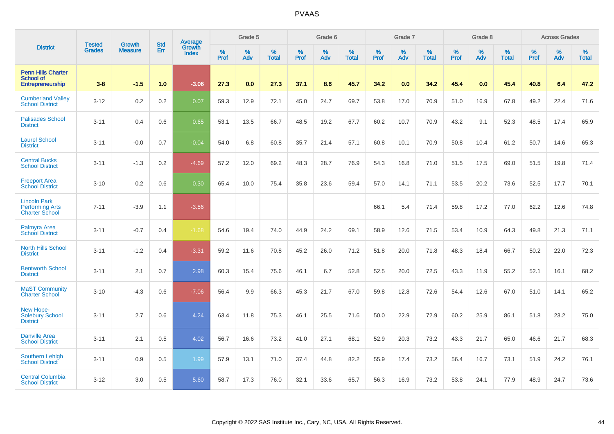|                                                                        | <b>Tested</b> | <b>Growth</b>  | <b>Std</b> | Average                       |           | Grade 5  |                   |           | Grade 6  |                   |           | Grade 7  |                   |           | Grade 8  |                   |           | <b>Across Grades</b> |                   |
|------------------------------------------------------------------------|---------------|----------------|------------|-------------------------------|-----------|----------|-------------------|-----------|----------|-------------------|-----------|----------|-------------------|-----------|----------|-------------------|-----------|----------------------|-------------------|
| <b>District</b>                                                        | <b>Grades</b> | <b>Measure</b> | Err        | <b>Growth</b><br><b>Index</b> | %<br>Prof | %<br>Adv | %<br><b>Total</b> | %<br>Prof | %<br>Adv | %<br><b>Total</b> | %<br>Prof | %<br>Adv | %<br><b>Total</b> | %<br>Prof | %<br>Adv | %<br><b>Total</b> | %<br>Prof | %<br>Adv             | %<br><b>Total</b> |
| <b>Penn Hills Charter</b><br><b>School of</b><br>Entrepreneurship      | $3 - 8$       | $-1.5$         | 1.0        | $-3.06$                       | 27.3      | 0.0      | 27.3              | 37.1      | 8.6      | 45.7              | 34.2      | 0.0      | 34.2              | 45.4      | 0.0      | 45.4              | 40.8      | 6.4                  | 47.2              |
| <b>Cumberland Valley</b><br><b>School District</b>                     | $3 - 12$      | 0.2            | 0.2        | 0.07                          | 59.3      | 12.9     | 72.1              | 45.0      | 24.7     | 69.7              | 53.8      | 17.0     | 70.9              | 51.0      | 16.9     | 67.8              | 49.2      | 22.4                 | 71.6              |
| <b>Palisades School</b><br><b>District</b>                             | $3 - 11$      | 0.4            | 0.6        | 0.65                          | 53.1      | 13.5     | 66.7              | 48.5      | 19.2     | 67.7              | 60.2      | 10.7     | 70.9              | 43.2      | 9.1      | 52.3              | 48.5      | 17.4                 | 65.9              |
| <b>Laurel School</b><br><b>District</b>                                | $3 - 11$      | $-0.0$         | 0.7        | $-0.04$                       | 54.0      | 6.8      | 60.8              | 35.7      | 21.4     | 57.1              | 60.8      | 10.1     | 70.9              | 50.8      | 10.4     | 61.2              | 50.7      | 14.6                 | 65.3              |
| <b>Central Bucks</b><br><b>School District</b>                         | $3 - 11$      | $-1.3$         | 0.2        | $-4.69$                       | 57.2      | 12.0     | 69.2              | 48.3      | 28.7     | 76.9              | 54.3      | 16.8     | 71.0              | 51.5      | 17.5     | 69.0              | 51.5      | 19.8                 | 71.4              |
| <b>Freeport Area</b><br><b>School District</b>                         | $3 - 10$      | 0.2            | 0.6        | 0.30                          | 65.4      | 10.0     | 75.4              | 35.8      | 23.6     | 59.4              | 57.0      | 14.1     | 71.1              | 53.5      | 20.2     | 73.6              | 52.5      | 17.7                 | 70.1              |
| <b>Lincoln Park</b><br><b>Performing Arts</b><br><b>Charter School</b> | $7 - 11$      | $-3.9$         | 1.1        | $-3.56$                       |           |          |                   |           |          |                   | 66.1      | 5.4      | 71.4              | 59.8      | 17.2     | 77.0              | 62.2      | 12.6                 | 74.8              |
| Palmyra Area<br><b>School District</b>                                 | $3 - 11$      | $-0.7$         | 0.4        | $-1.68$                       | 54.6      | 19.4     | 74.0              | 44.9      | 24.2     | 69.1              | 58.9      | 12.6     | 71.5              | 53.4      | 10.9     | 64.3              | 49.8      | 21.3                 | 71.1              |
| <b>North Hills School</b><br><b>District</b>                           | $3 - 11$      | $-1.2$         | 0.4        | $-3.31$                       | 59.2      | 11.6     | 70.8              | 45.2      | 26.0     | 71.2              | 51.8      | 20.0     | 71.8              | 48.3      | 18.4     | 66.7              | 50.2      | 22.0                 | 72.3              |
| <b>Bentworth School</b><br><b>District</b>                             | $3 - 11$      | 2.1            | 0.7        | 2.98                          | 60.3      | 15.4     | 75.6              | 46.1      | 6.7      | 52.8              | 52.5      | 20.0     | 72.5              | 43.3      | 11.9     | 55.2              | 52.1      | 16.1                 | 68.2              |
| <b>MaST Community</b><br><b>Charter School</b>                         | $3 - 10$      | $-4.3$         | 0.6        | $-7.06$                       | 56.4      | 9.9      | 66.3              | 45.3      | 21.7     | 67.0              | 59.8      | 12.8     | 72.6              | 54.4      | 12.6     | 67.0              | 51.0      | 14.1                 | 65.2              |
| New Hope-<br><b>Solebury School</b><br><b>District</b>                 | $3 - 11$      | 2.7            | 0.6        | 4.24                          | 63.4      | 11.8     | 75.3              | 46.1      | 25.5     | 71.6              | 50.0      | 22.9     | 72.9              | 60.2      | 25.9     | 86.1              | 51.8      | 23.2                 | 75.0              |
| <b>Danville Area</b><br><b>School District</b>                         | $3 - 11$      | 2.1            | 0.5        | 4.02                          | 56.7      | 16.6     | 73.2              | 41.0      | 27.1     | 68.1              | 52.9      | 20.3     | 73.2              | 43.3      | 21.7     | 65.0              | 46.6      | 21.7                 | 68.3              |
| <b>Southern Lehigh</b><br><b>School District</b>                       | $3 - 11$      | 0.9            | 0.5        | 1.99                          | 57.9      | 13.1     | 71.0              | 37.4      | 44.8     | 82.2              | 55.9      | 17.4     | 73.2              | 56.4      | 16.7     | 73.1              | 51.9      | 24.2                 | 76.1              |
| <b>Central Columbia</b><br><b>School District</b>                      | $3 - 12$      | 3.0            | 0.5        | 5.60                          | 58.7      | 17.3     | 76.0              | 32.1      | 33.6     | 65.7              | 56.3      | 16.9     | 73.2              | 53.8      | 24.1     | 77.9              | 48.9      | 24.7                 | 73.6              |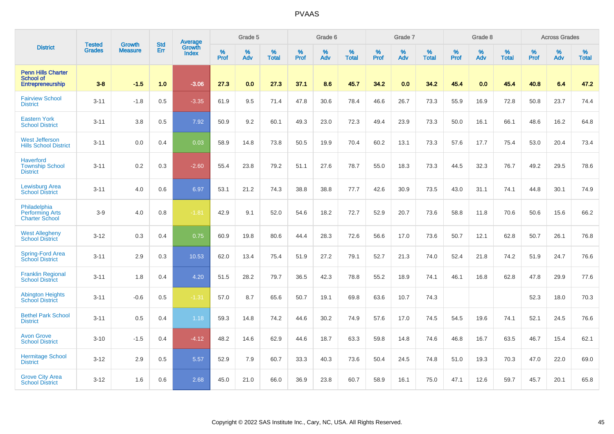|                                                                   |                                |                                 | <b>Std</b> | Average                |           | Grade 5  |                   |           | Grade 6  |                   |           | Grade 7  |                   |           | Grade 8  |                   |           | <b>Across Grades</b> |                   |
|-------------------------------------------------------------------|--------------------------------|---------------------------------|------------|------------------------|-----------|----------|-------------------|-----------|----------|-------------------|-----------|----------|-------------------|-----------|----------|-------------------|-----------|----------------------|-------------------|
| <b>District</b>                                                   | <b>Tested</b><br><b>Grades</b> | <b>Growth</b><br><b>Measure</b> | Err        | <b>Growth</b><br>Index | %<br>Prof | %<br>Adv | %<br><b>Total</b> | %<br>Prof | %<br>Adv | %<br><b>Total</b> | %<br>Prof | %<br>Adv | %<br><b>Total</b> | %<br>Prof | %<br>Adv | %<br><b>Total</b> | %<br>Prof | %<br>Adv             | %<br><b>Total</b> |
| <b>Penn Hills Charter</b><br><b>School of</b><br>Entrepreneurship | $3 - 8$                        | $-1.5$                          | 1.0        | $-3.06$                | 27.3      | 0.0      | 27.3              | 37.1      | 8.6      | 45.7              | 34.2      | 0.0      | 34.2              | 45.4      | 0.0      | 45.4              | 40.8      | 6.4                  | 47.2              |
| <b>Fairview School</b><br><b>District</b>                         | $3 - 11$                       | $-1.8$                          | 0.5        | $-3.35$                | 61.9      | 9.5      | 71.4              | 47.8      | 30.6     | 78.4              | 46.6      | 26.7     | 73.3              | 55.9      | 16.9     | 72.8              | 50.8      | 23.7                 | 74.4              |
| <b>Eastern York</b><br><b>School District</b>                     | $3 - 11$                       | 3.8                             | 0.5        | 7.92                   | 50.9      | 9.2      | 60.1              | 49.3      | 23.0     | 72.3              | 49.4      | 23.9     | 73.3              | 50.0      | 16.1     | 66.1              | 48.6      | 16.2                 | 64.8              |
| <b>West Jefferson</b><br><b>Hills School District</b>             | $3 - 11$                       | 0.0                             | 0.4        | 0.03                   | 58.9      | 14.8     | 73.8              | 50.5      | 19.9     | 70.4              | 60.2      | 13.1     | 73.3              | 57.6      | 17.7     | 75.4              | 53.0      | 20.4                 | 73.4              |
| <b>Haverford</b><br><b>Township School</b><br><b>District</b>     | $3 - 11$                       | 0.2                             | 0.3        | $-2.60$                | 55.4      | 23.8     | 79.2              | 51.1      | 27.6     | 78.7              | 55.0      | 18.3     | 73.3              | 44.5      | 32.3     | 76.7              | 49.2      | 29.5                 | 78.6              |
| <b>Lewisburg Area</b><br><b>School District</b>                   | $3 - 11$                       | 4.0                             | 0.6        | 6.97                   | 53.1      | 21.2     | 74.3              | 38.8      | 38.8     | 77.7              | 42.6      | 30.9     | 73.5              | 43.0      | 31.1     | 74.1              | 44.8      | 30.1                 | 74.9              |
| Philadelphia<br><b>Performing Arts</b><br><b>Charter School</b>   | $3-9$                          | 4.0                             | 0.8        | $-1.81$                | 42.9      | 9.1      | 52.0              | 54.6      | 18.2     | 72.7              | 52.9      | 20.7     | 73.6              | 58.8      | 11.8     | 70.6              | 50.6      | 15.6                 | 66.2              |
| <b>West Allegheny</b><br><b>School District</b>                   | $3 - 12$                       | 0.3                             | 0.4        | 0.75                   | 60.9      | 19.8     | 80.6              | 44.4      | 28.3     | 72.6              | 56.6      | 17.0     | 73.6              | 50.7      | 12.1     | 62.8              | 50.7      | 26.1                 | 76.8              |
| Spring-Ford Area<br><b>School District</b>                        | $3 - 11$                       | 2.9                             | 0.3        | 10.53                  | 62.0      | 13.4     | 75.4              | 51.9      | 27.2     | 79.1              | 52.7      | 21.3     | 74.0              | 52.4      | 21.8     | 74.2              | 51.9      | 24.7                 | 76.6              |
| <b>Franklin Regional</b><br><b>School District</b>                | $3 - 11$                       | 1.8                             | 0.4        | 4.20                   | 51.5      | 28.2     | 79.7              | 36.5      | 42.3     | 78.8              | 55.2      | 18.9     | 74.1              | 46.1      | 16.8     | 62.8              | 47.8      | 29.9                 | 77.6              |
| <b>Abington Heights</b><br><b>School District</b>                 | $3 - 11$                       | $-0.6$                          | 0.5        | $-1.31$                | 57.0      | 8.7      | 65.6              | 50.7      | 19.1     | 69.8              | 63.6      | 10.7     | 74.3              |           |          |                   | 52.3      | 18.0                 | 70.3              |
| <b>Bethel Park School</b><br><b>District</b>                      | $3 - 11$                       | 0.5                             | 0.4        | 1.18                   | 59.3      | 14.8     | 74.2              | 44.6      | 30.2     | 74.9              | 57.6      | 17.0     | 74.5              | 54.5      | 19.6     | 74.1              | 52.1      | 24.5                 | 76.6              |
| <b>Avon Grove</b><br><b>School District</b>                       | $3 - 10$                       | $-1.5$                          | 0.4        | $-4.12$                | 48.2      | 14.6     | 62.9              | 44.6      | 18.7     | 63.3              | 59.8      | 14.8     | 74.6              | 46.8      | 16.7     | 63.5              | 46.7      | 15.4                 | 62.1              |
| <b>Hermitage School</b><br><b>District</b>                        | $3 - 12$                       | 2.9                             | 0.5        | 5.57                   | 52.9      | 7.9      | 60.7              | 33.3      | 40.3     | 73.6              | 50.4      | 24.5     | 74.8              | 51.0      | 19.3     | 70.3              | 47.0      | 22.0                 | 69.0              |
| <b>Grove City Area</b><br><b>School District</b>                  | $3 - 12$                       | 1.6                             | 0.6        | 2.68                   | 45.0      | 21.0     | 66.0              | 36.9      | 23.8     | 60.7              | 58.9      | 16.1     | 75.0              | 47.1      | 12.6     | 59.7              | 45.7      | 20.1                 | 65.8              |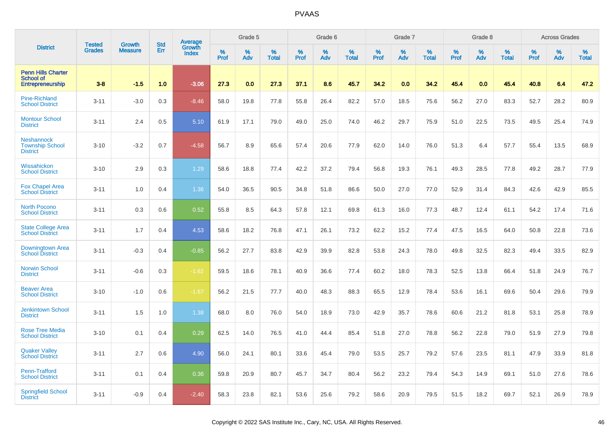|                                                                   | <b>Tested</b> | <b>Growth</b>  | <b>Std</b> | Average<br>Growth |              | Grade 5  |                   |              | Grade 6  |                   |              | Grade 7  |                   |              | Grade 8  |                   |              | <b>Across Grades</b> |                   |
|-------------------------------------------------------------------|---------------|----------------|------------|-------------------|--------------|----------|-------------------|--------------|----------|-------------------|--------------|----------|-------------------|--------------|----------|-------------------|--------------|----------------------|-------------------|
| <b>District</b>                                                   | <b>Grades</b> | <b>Measure</b> | Err        | <b>Index</b>      | $\%$<br>Prof | %<br>Adv | %<br><b>Total</b> | $\%$<br>Prof | %<br>Adv | %<br><b>Total</b> | $\%$<br>Prof | %<br>Adv | %<br><b>Total</b> | $\%$<br>Prof | %<br>Adv | %<br><b>Total</b> | $\%$<br>Prof | $\%$<br>Adv          | %<br><b>Total</b> |
| <b>Penn Hills Charter</b><br><b>School of</b><br>Entrepreneurship | $3 - 8$       | $-1.5$         | 1.0        | $-3.06$           | 27.3         | 0.0      | 27.3              | 37.1         | 8.6      | 45.7              | 34.2         | 0.0      | 34.2              | 45.4         | 0.0      | 45.4              | 40.8         | 6.4                  | 47.2              |
| <b>Pine-Richland</b><br><b>School District</b>                    | $3 - 11$      | $-3.0$         | 0.3        | $-8.46$           | 58.0         | 19.8     | 77.8              | 55.8         | 26.4     | 82.2              | 57.0         | 18.5     | 75.6              | 56.2         | 27.0     | 83.3              | 52.7         | 28.2                 | 80.9              |
| <b>Montour School</b><br><b>District</b>                          | $3 - 11$      | 2.4            | 0.5        | 5.10              | 61.9         | 17.1     | 79.0              | 49.0         | 25.0     | 74.0              | 46.2         | 29.7     | 75.9              | 51.0         | 22.5     | 73.5              | 49.5         | 25.4                 | 74.9              |
| <b>Neshannock</b><br><b>Township School</b><br><b>District</b>    | $3 - 10$      | $-3.2$         | 0.7        | $-4.58$           | 56.7         | 8.9      | 65.6              | 57.4         | 20.6     | 77.9              | 62.0         | 14.0     | 76.0              | 51.3         | 6.4      | 57.7              | 55.4         | 13.5                 | 68.9              |
| Wissahickon<br><b>School District</b>                             | $3 - 10$      | 2.9            | 0.3        | 1.29              | 58.6         | 18.8     | 77.4              | 42.2         | 37.2     | 79.4              | 56.8         | 19.3     | 76.1              | 49.3         | 28.5     | 77.8              | 49.2         | 28.7                 | 77.9              |
| <b>Fox Chapel Area</b><br><b>School District</b>                  | $3 - 11$      | 1.0            | 0.4        | 1.36              | 54.0         | 36.5     | 90.5              | 34.8         | 51.8     | 86.6              | 50.0         | 27.0     | 77.0              | 52.9         | 31.4     | 84.3              | 42.6         | 42.9                 | 85.5              |
| <b>North Pocono</b><br><b>School District</b>                     | $3 - 11$      | 0.3            | 0.6        | 0.52              | 55.8         | 8.5      | 64.3              | 57.8         | 12.1     | 69.8              | 61.3         | 16.0     | 77.3              | 48.7         | 12.4     | 61.1              | 54.2         | 17.4                 | 71.6              |
| <b>State College Area</b><br><b>School District</b>               | $3 - 11$      | 1.7            | 0.4        | 4.53              | 58.6         | 18.2     | 76.8              | 47.1         | 26.1     | 73.2              | 62.2         | 15.2     | 77.4              | 47.5         | 16.5     | 64.0              | 50.8         | 22.8                 | 73.6              |
| Downingtown Area<br><b>School District</b>                        | $3 - 11$      | $-0.3$         | 0.4        | $-0.85$           | 56.2         | 27.7     | 83.8              | 42.9         | 39.9     | 82.8              | 53.8         | 24.3     | 78.0              | 49.8         | 32.5     | 82.3              | 49.4         | 33.5                 | 82.9              |
| <b>Norwin School</b><br><b>District</b>                           | $3 - 11$      | $-0.6$         | 0.3        | $-1.62$           | 59.5         | 18.6     | 78.1              | 40.9         | 36.6     | 77.4              | 60.2         | 18.0     | 78.3              | 52.5         | 13.8     | 66.4              | 51.8         | 24.9                 | 76.7              |
| <b>Beaver Area</b><br><b>School District</b>                      | $3 - 10$      | $-1.0$         | 0.6        | $-1.67$           | 56.2         | 21.5     | 77.7              | 40.0         | 48.3     | 88.3              | 65.5         | 12.9     | 78.4              | 53.6         | 16.1     | 69.6              | 50.4         | 29.6                 | 79.9              |
| <b>Jenkintown School</b><br><b>District</b>                       | $3 - 11$      | 1.5            | 1.0        | 1.38              | 68.0         | 8.0      | 76.0              | 54.0         | 18.9     | 73.0              | 42.9         | 35.7     | 78.6              | 60.6         | 21.2     | 81.8              | 53.1         | 25.8                 | 78.9              |
| <b>Rose Tree Media</b><br><b>School District</b>                  | $3 - 10$      | 0.1            | 0.4        | 0.29              | 62.5         | 14.0     | 76.5              | 41.0         | 44.4     | 85.4              | 51.8         | 27.0     | 78.8              | 56.2         | 22.8     | 79.0              | 51.9         | 27.9                 | 79.8              |
| <b>Quaker Valley</b><br><b>School District</b>                    | $3 - 11$      | 2.7            | 0.6        | 4.90              | 56.0         | 24.1     | 80.1              | 33.6         | 45.4     | 79.0              | 53.5         | 25.7     | 79.2              | 57.6         | 23.5     | 81.1              | 47.9         | 33.9                 | 81.8              |
| Penn-Trafford<br><b>School District</b>                           | $3 - 11$      | 0.1            | 0.4        | 0.36              | 59.8         | 20.9     | 80.7              | 45.7         | 34.7     | 80.4              | 56.2         | 23.2     | 79.4              | 54.3         | 14.9     | 69.1              | 51.0         | 27.6                 | 78.6              |
| <b>Springfield School</b><br><b>District</b>                      | $3 - 11$      | $-0.9$         | 0.4        | $-2.40$           | 58.3         | 23.8     | 82.1              | 53.6         | 25.6     | 79.2              | 58.6         | 20.9     | 79.5              | 51.5         | 18.2     | 69.7              | 52.1         | 26.9                 | 78.9              |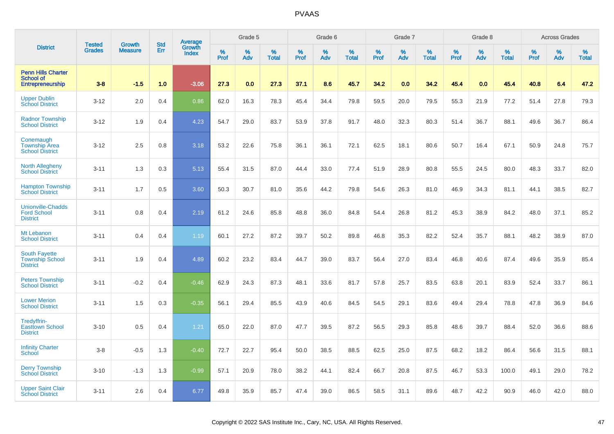|                                                                          | <b>Tested</b> | <b>Growth</b>  | <b>Std</b> |                                          |              | Grade 5  |                   |           | Grade 6  |                   |           | Grade 7  |                   |           | Grade 8  |                   |           | <b>Across Grades</b> |                   |
|--------------------------------------------------------------------------|---------------|----------------|------------|------------------------------------------|--------------|----------|-------------------|-----------|----------|-------------------|-----------|----------|-------------------|-----------|----------|-------------------|-----------|----------------------|-------------------|
| <b>District</b>                                                          | <b>Grades</b> | <b>Measure</b> | Err        | <b>Average</b><br>Growth<br><b>Index</b> | $\%$<br>Prof | %<br>Adv | %<br><b>Total</b> | %<br>Prof | %<br>Adv | %<br><b>Total</b> | %<br>Prof | %<br>Adv | %<br><b>Total</b> | %<br>Prof | %<br>Adv | %<br><b>Total</b> | %<br>Prof | %<br>Adv             | %<br><b>Total</b> |
| <b>Penn Hills Charter</b><br><b>School of</b><br><b>Entrepreneurship</b> | $3-8$         | $-1.5$         | 1.0        | $-3.06$                                  | 27.3         | 0.0      | 27.3              | 37.1      | 8.6      | 45.7              | 34.2      | 0.0      | 34.2              | 45.4      | 0.0      | 45.4              | 40.8      | 6.4                  | 47.2              |
| <b>Upper Dublin</b><br><b>School District</b>                            | $3 - 12$      | 2.0            | 0.4        | 0.86                                     | 62.0         | 16.3     | 78.3              | 45.4      | 34.4     | 79.8              | 59.5      | 20.0     | 79.5              | 55.3      | 21.9     | 77.2              | 51.4      | 27.8                 | 79.3              |
| <b>Radnor Township</b><br><b>School District</b>                         | $3 - 12$      | 1.9            | 0.4        | 4.23                                     | 54.7         | 29.0     | 83.7              | 53.9      | 37.8     | 91.7              | 48.0      | 32.3     | 80.3              | 51.4      | 36.7     | 88.1              | 49.6      | 36.7                 | 86.4              |
| Conemaugh<br><b>Township Area</b><br><b>School District</b>              | $3 - 12$      | 2.5            | 0.8        | 3.18                                     | 53.2         | 22.6     | 75.8              | 36.1      | 36.1     | 72.1              | 62.5      | 18.1     | 80.6              | 50.7      | 16.4     | 67.1              | 50.9      | 24.8                 | 75.7              |
| North Allegheny<br><b>School District</b>                                | $3 - 11$      | 1.3            | 0.3        | 5.13                                     | 55.4         | 31.5     | 87.0              | 44.4      | 33.0     | 77.4              | 51.9      | 28.9     | 80.8              | 55.5      | 24.5     | 80.0              | 48.3      | 33.7                 | 82.0              |
| <b>Hampton Township</b><br><b>School District</b>                        | $3 - 11$      | 1.7            | 0.5        | 3.60                                     | 50.3         | 30.7     | 81.0              | 35.6      | 44.2     | 79.8              | 54.6      | 26.3     | 81.0              | 46.9      | 34.3     | 81.1              | 44.1      | 38.5                 | 82.7              |
| <b>Unionville-Chadds</b><br><b>Ford School</b><br><b>District</b>        | $3 - 11$      | 0.8            | 0.4        | 2.19                                     | 61.2         | 24.6     | 85.8              | 48.8      | 36.0     | 84.8              | 54.4      | 26.8     | 81.2              | 45.3      | 38.9     | 84.2              | 48.0      | 37.1                 | 85.2              |
| Mt Lebanon<br><b>School District</b>                                     | $3 - 11$      | 0.4            | 0.4        | 1.19                                     | 60.1         | 27.2     | 87.2              | 39.7      | 50.2     | 89.8              | 46.8      | 35.3     | 82.2              | 52.4      | 35.7     | 88.1              | 48.2      | 38.9                 | 87.0              |
| <b>South Fayette</b><br><b>Township School</b><br><b>District</b>        | $3 - 11$      | 1.9            | 0.4        | 4.89                                     | 60.2         | 23.2     | 83.4              | 44.7      | 39.0     | 83.7              | 56.4      | 27.0     | 83.4              | 46.8      | 40.6     | 87.4              | 49.6      | 35.9                 | 85.4              |
| <b>Peters Township</b><br><b>School District</b>                         | $3 - 11$      | $-0.2$         | 0.4        | $-0.46$                                  | 62.9         | 24.3     | 87.3              | 48.1      | 33.6     | 81.7              | 57.8      | 25.7     | 83.5              | 63.8      | 20.1     | 83.9              | 52.4      | 33.7                 | 86.1              |
| <b>Lower Merion</b><br><b>School District</b>                            | $3 - 11$      | 1.5            | 0.3        | $-0.35$                                  | 56.1         | 29.4     | 85.5              | 43.9      | 40.6     | 84.5              | 54.5      | 29.1     | 83.6              | 49.4      | 29.4     | 78.8              | 47.8      | 36.9                 | 84.6              |
| Tredyffrin-<br><b>Easttown School</b><br><b>District</b>                 | $3 - 10$      | 0.5            | 0.4        | 1.21                                     | 65.0         | 22.0     | 87.0              | 47.7      | 39.5     | 87.2              | 56.5      | 29.3     | 85.8              | 48.6      | 39.7     | 88.4              | 52.0      | 36.6                 | 88.6              |
| <b>Infinity Charter</b><br><b>School</b>                                 | $3 - 8$       | $-0.5$         | 1.3        | $-0.40$                                  | 72.7         | 22.7     | 95.4              | 50.0      | 38.5     | 88.5              | 62.5      | 25.0     | 87.5              | 68.2      | 18.2     | 86.4              | 56.6      | 31.5                 | 88.1              |
| <b>Derry Township</b><br><b>School District</b>                          | $3 - 10$      | $-1.3$         | 1.3        | $-0.99$                                  | 57.1         | 20.9     | 78.0              | 38.2      | 44.1     | 82.4              | 66.7      | 20.8     | 87.5              | 46.7      | 53.3     | 100.0             | 49.1      | 29.0                 | 78.2              |
| <b>Upper Saint Clair</b><br><b>School District</b>                       | $3 - 11$      | 2.6            | 0.4        | 6.77                                     | 49.8         | 35.9     | 85.7              | 47.4      | 39.0     | 86.5              | 58.5      | 31.1     | 89.6              | 48.7      | 42.2     | 90.9              | 46.0      | 42.0                 | 88.0              |